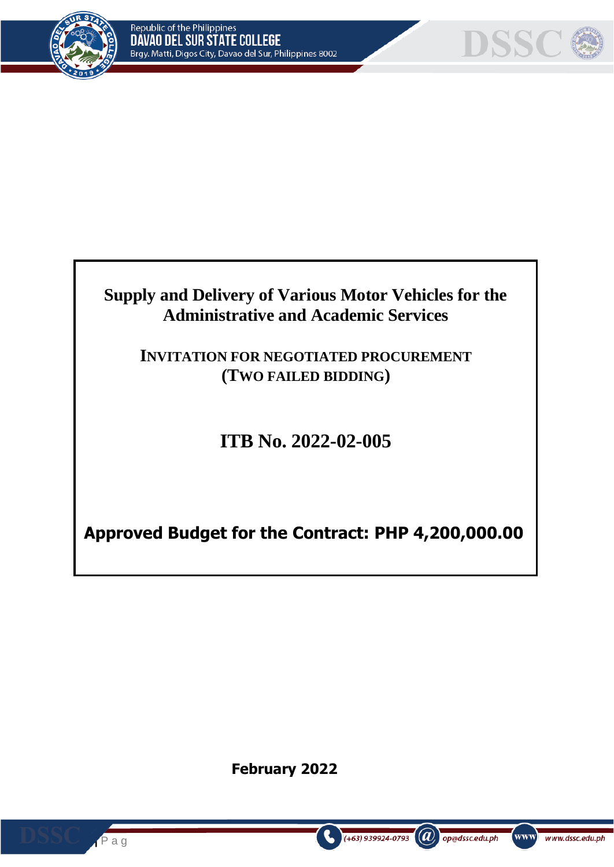



# **Supply and Delivery of Various Motor Vehicles for the Administrative and Academic Services**

# **INVITATION FOR NEGOTIATED PROCUREMENT (TWO FAILED BIDDING)**

# **ITB No. 2022-02-005**

**Approved Budget for the Contract: PHP 4,200,000.00**

**February 2022**

 $(a)$ 

op@dssc.edu.ph

www]

www.dssc.edu.ph

 $(+63)$  939924-0793

**1 |** P a g

e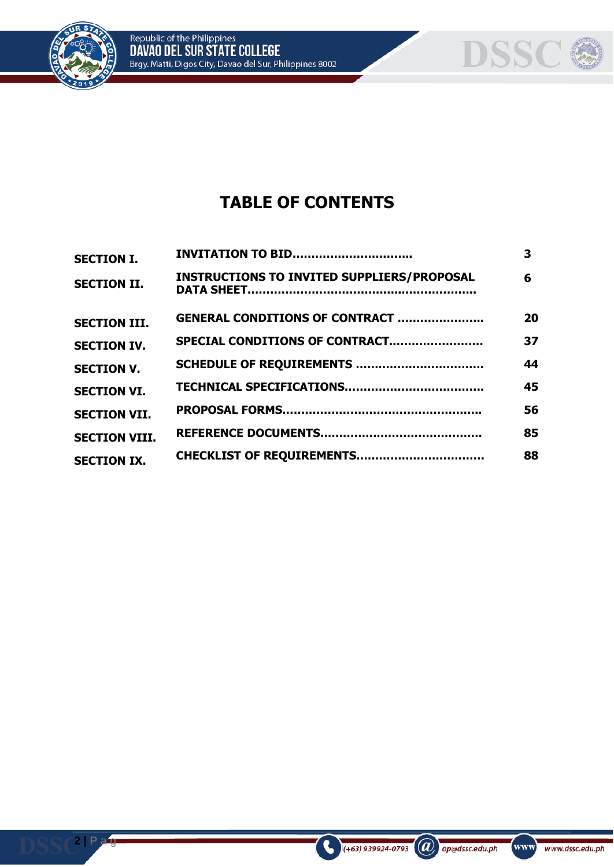



# **TABLE OF CONTENTS**

| <b>SECTION I.</b>    | <b>INVITATION TO BID</b>                          | 3  |
|----------------------|---------------------------------------------------|----|
| <b>SECTION II.</b>   | <b>INSTRUCTIONS TO INVITED SUPPLIERS/PROPOSAL</b> | 6  |
| <b>SECTION III.</b>  | <b>GENERAL CONDITIONS OF CONTRACT </b>            | 20 |
| <b>SECTION IV.</b>   | SPECIAL CONDITIONS OF CONTRACT                    | 37 |
| <b>SECTION V.</b>    |                                                   | 44 |
| <b>SECTION VI.</b>   |                                                   | 45 |
| <b>SECTION VII.</b>  |                                                   | 56 |
| <b>SECTION VIII.</b> |                                                   | 85 |
| <b>SECTION IX.</b>   |                                                   | 88 |

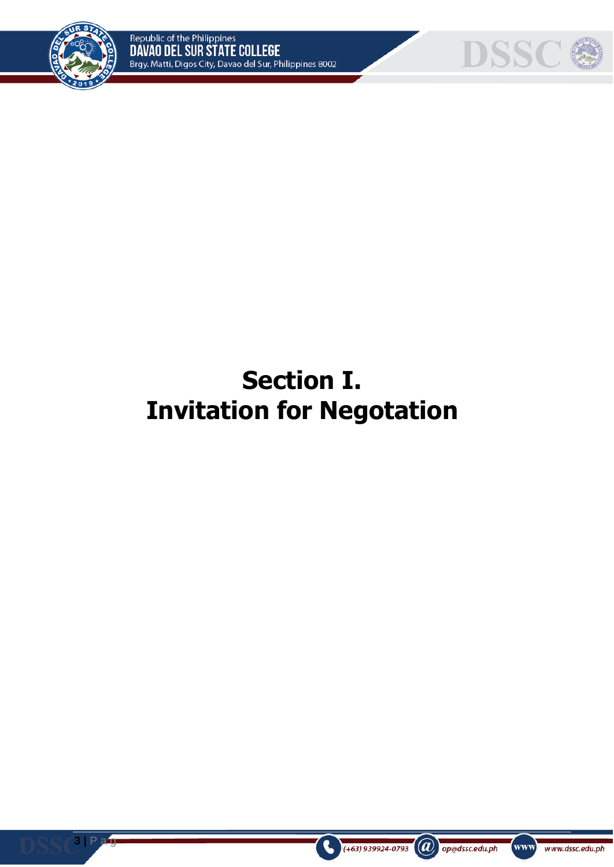



# **Section I. Invitation for Negotation**



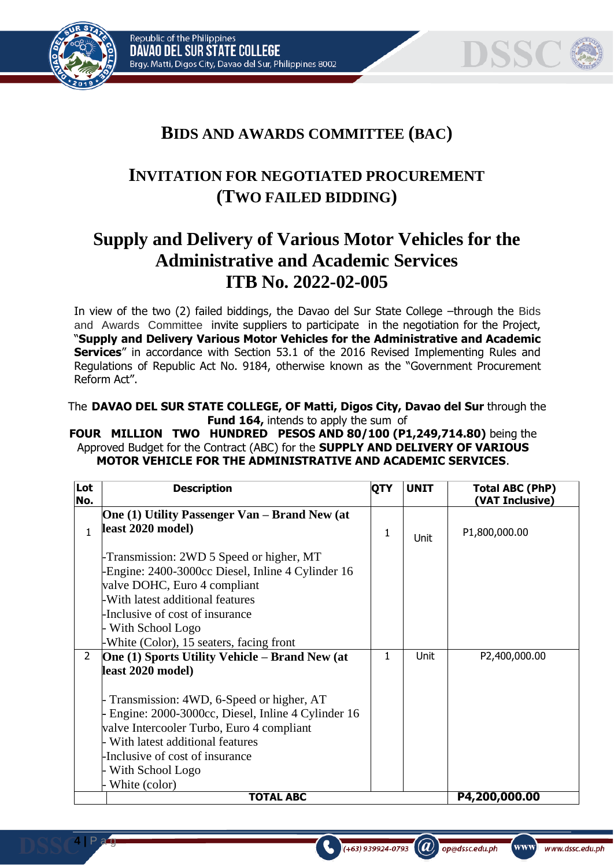





www]

www.dssc.edu.ph

op@dssc.edu.ph

# **BIDS AND AWARDS COMMITTEE (BAC)**

# **INVITATION FOR NEGOTIATED PROCUREMENT (TWO FAILED BIDDING)**

# **Supply and Delivery of Various Motor Vehicles for the Administrative and Academic Services ITB No. 2022-02-005**

In view of the two (2) failed biddings, the Davao del Sur State College –through the Bids and Awards Committee invite suppliers to participate in the negotiation for the Project, "**Supply and Delivery Various Motor Vehicles for the Administrative and Academic Services**" in accordance with Section 53.1 of the 2016 Revised Implementing Rules and Regulations of Republic Act No. 9184, otherwise known as the "Government Procurement Reform Act".

The **DAVAO DEL SUR STATE COLLEGE, OF Matti, Digos City, Davao del Sur** through the **Fund 164, intends to apply the sum of** 

**FOUR MILLION TWO HUNDRED PESOS AND 80/100 (P1,249,714.80)** being the Approved Budget for the Contract (ABC) for the **SUPPLY AND DELIVERY OF VARIOUS MOTOR VEHICLE FOR THE ADMINISTRATIVE AND ACADEMIC SERVICES**.

| Lot<br>No.     | <b>Description</b>                                    | QTY | <b>UNIT</b> | <b>Total ABC (PhP)</b><br>(VAT Inclusive) |
|----------------|-------------------------------------------------------|-----|-------------|-------------------------------------------|
|                | One (1) Utility Passenger Van – Brand New (at         |     |             |                                           |
| $\mathbf{1}$   | least 2020 model)                                     | 1   | Unit        | P1,800,000.00                             |
|                | -Transmission: 2WD 5 Speed or higher, MT              |     |             |                                           |
|                | -Engine: 2400-3000cc Diesel, Inline 4 Cylinder 16     |     |             |                                           |
|                | valve DOHC, Euro 4 compliant                          |     |             |                                           |
|                | -With latest additional features                      |     |             |                                           |
|                | Inclusive of cost of insurance                        |     |             |                                           |
|                | With School Logo                                      |     |             |                                           |
|                | -White (Color), 15 seaters, facing front              |     |             |                                           |
| $\overline{2}$ | <b>One (1) Sports Utility Vehicle – Brand New (at</b> | 1   | <b>Unit</b> | P2,400,000.00                             |
|                | least 2020 model)                                     |     |             |                                           |
|                | Transmission: 4WD, 6-Speed or higher, AT              |     |             |                                           |
|                | - Engine: 2000-3000cc, Diesel, Inline 4 Cylinder 16   |     |             |                                           |
|                | valve Intercooler Turbo, Euro 4 compliant             |     |             |                                           |
|                | With latest additional features                       |     |             |                                           |
|                | -Inclusive of cost of insurance                       |     |             |                                           |
|                | With School Logo                                      |     |             |                                           |
|                | White (color)                                         |     |             |                                           |
|                | <b>TOTAL ABC</b>                                      |     |             | P4,200,000.00                             |

 $(+63)$  939924-0793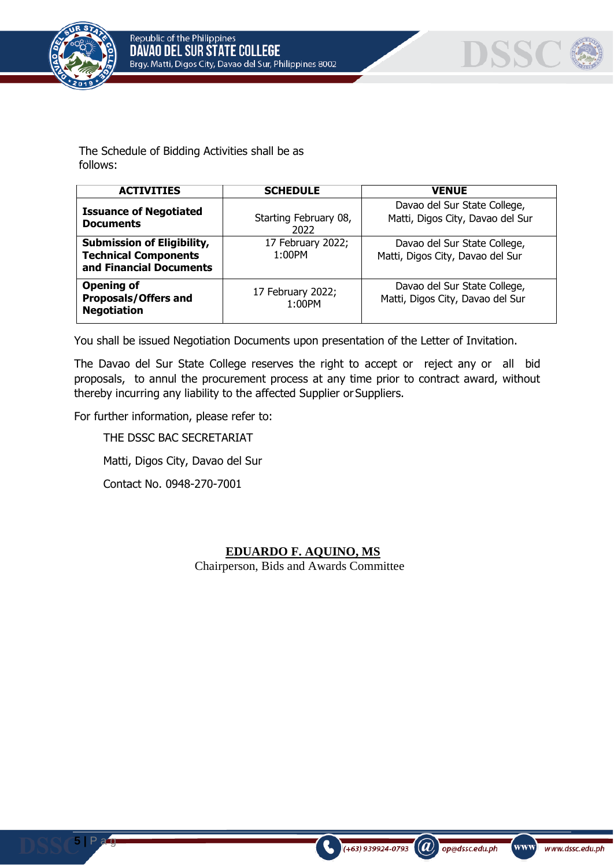



The Schedule of Bidding Activities shall be as follows:

| <b>ACTIVITIES</b>                                                                           | <b>SCHEDULE</b>               | <b>VENUE</b>                                                     |
|---------------------------------------------------------------------------------------------|-------------------------------|------------------------------------------------------------------|
| <b>Issuance of Negotiated</b><br><b>Documents</b>                                           | Starting February 08,<br>2022 | Davao del Sur State College,<br>Matti, Digos City, Davao del Sur |
| <b>Submission of Eligibility,</b><br><b>Technical Components</b><br>and Financial Documents | 17 February 2022;<br>1:00PM   | Davao del Sur State College,<br>Matti, Digos City, Davao del Sur |
| <b>Opening of</b><br><b>Proposals/Offers and</b><br><b>Negotiation</b>                      | 17 February 2022;<br>1:00PM   | Davao del Sur State College,<br>Matti, Digos City, Davao del Sur |

You shall be issued Negotiation Documents upon presentation of the Letter of Invitation.

The Davao del Sur State College reserves the right to accept or reject any or all bid proposals, to annul the procurement process at any time prior to contract award, without thereby incurring any liability to the affected Supplier or Suppliers.

For further information, please refer to:

**5 |** P a g

THE DSSC BAC SECRETARIAT Matti, Digos City, Davao del Sur Contact No. 0948-270-7001

## **EDUARDO F. AQUINO, MS**

 $\left(\boldsymbol{a}\right)$  op@dssc.edu.ph

(+63) 939924-0793

www)

www.dssc.edu.ph

Chairperson, Bids and Awards Committee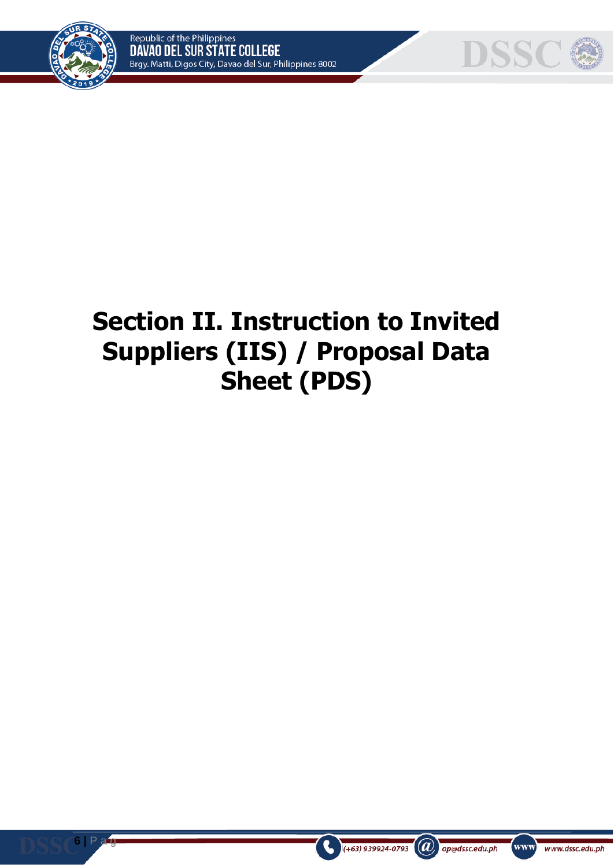



# **Section II. Instruction to Invited Suppliers (IIS) / Proposal Data Sheet (PDS)**



**6 |** P a g



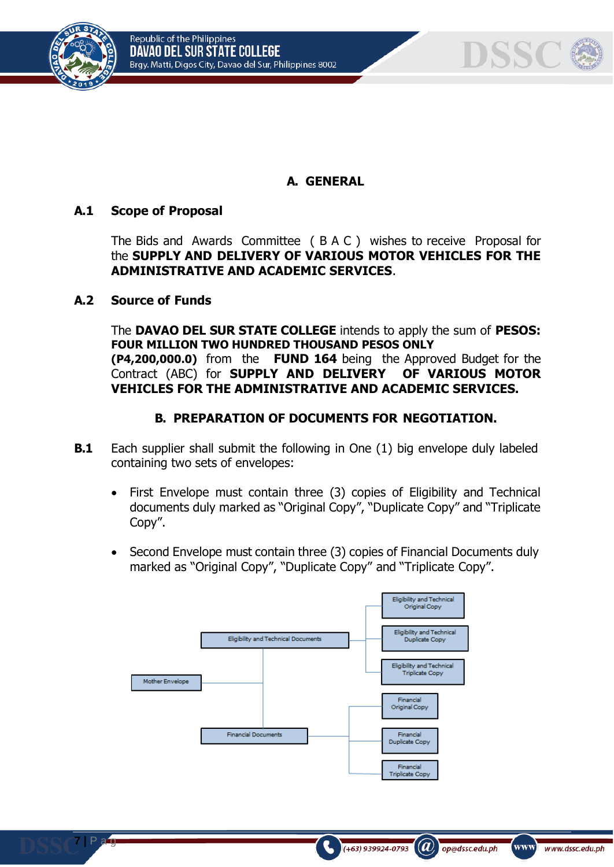





# **A. GENERAL**

## **A.1 Scope of Proposal**

The Bids and Awards Committee ( B A C ) wishes to receive Proposal for the **SUPPLY AND DELIVERY OF VARIOUS MOTOR VEHICLES FOR THE ADMINISTRATIVE AND ACADEMIC SERVICES**.

#### **A.2 Source of Funds**

**7 |** P a g

The **DAVAO DEL SUR STATE COLLEGE** intends to apply the sum of **PESOS: FOUR MILLION TWO HUNDRED THOUSAND PESOS ONLY (P4,200,000.0)** from the **FUND 164** being the Approved Budget for the Contract (ABC) for **SUPPLY AND DELIVERY OF VARIOUS MOTOR VEHICLES FOR THE ADMINISTRATIVE AND ACADEMIC SERVICES.**

## **B. PREPARATION OF DOCUMENTS FOR NEGOTIATION.**

- **B.1** Each supplier shall submit the following in One (1) big envelope duly labeled containing two sets of envelopes:
	- First Envelope must contain three (3) copies of Eligibility and Technical documents duly marked as "Original Copy", "Duplicate Copy" and "Triplicate Copy".
	- Second Envelope must contain three (3) copies of Financial Documents duly marked as "Original Copy", "Duplicate Copy" and "Triplicate Copy".



 $(a)$ 

op@dssc.edu.ph

www)

www.dssc.edu.ph

 $(+63)$  939924-0793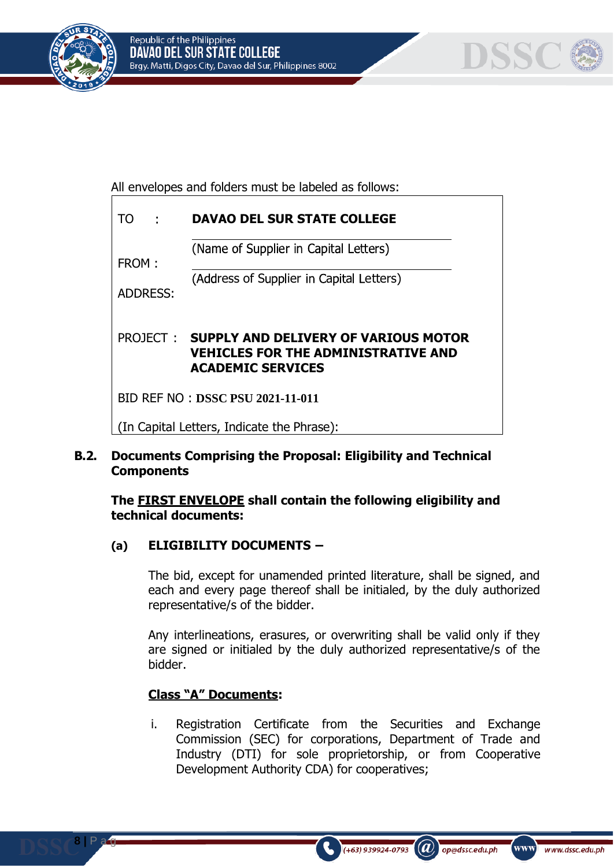



All envelopes and folders must be labeled as follows:

| TO.<br>÷                                   | <b>DAVAO DEL SUR STATE COLLEGE</b>                                                                                             |  |  |
|--------------------------------------------|--------------------------------------------------------------------------------------------------------------------------------|--|--|
| FROM:                                      | (Name of Supplier in Capital Letters)                                                                                          |  |  |
| <b>ADDRESS:</b>                            | (Address of Supplier in Capital Letters)                                                                                       |  |  |
|                                            | <b>PROJECT: SUPPLY AND DELIVERY OF VARIOUS MOTOR</b><br><b>VEHICLES FOR THE ADMINISTRATIVE AND</b><br><b>ACADEMIC SERVICES</b> |  |  |
| BID REF NO: DSSC PSU 2021-11-011           |                                                                                                                                |  |  |
| (In Capital Letters, Indicate the Phrase): |                                                                                                                                |  |  |

# **B.2. Documents Comprising the Proposal: Eligibility and Technical Components**

**The FIRST ENVELOPE shall contain the following eligibility and technical documents:**

# **(a) ELIGIBILITY DOCUMENTS –**

The bid, except for unamended printed literature, shall be signed, and each and every page thereof shall be initialed, by the duly authorized representative/s of the bidder.

Any interlineations, erasures, or overwriting shall be valid only if they are signed or initialed by the duly authorized representative/s of the bidder.

# **Class "A" Documents:**

**8 |** P a g

i. Registration Certificate from the Securities and Exchange Commission (SEC) for corporations, Department of Trade and Industry (DTI) for sole proprietorship, or from Cooperative Development Authority CDA) for cooperatives;

 $\mathbf{a}$ 

op@dssc.edu.ph

www]

www.dssc.edu.ph

 $(+63)$  939924-0793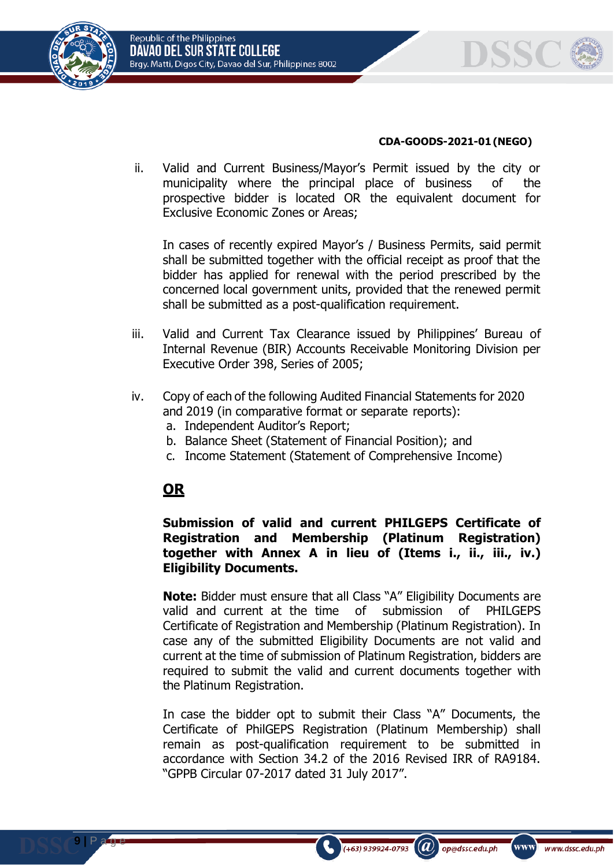



#### **CDA-GOODS-2021-01(NEGO)**

ii. Valid and Current Business/Mayor's Permit issued by the city or municipality where the principal place of business of the prospective bidder is located OR the equivalent document for Exclusive Economic Zones or Areas;

In cases of recently expired Mayor's / Business Permits, said permit shall be submitted together with the official receipt as proof that the bidder has applied for renewal with the period prescribed by the concerned local government units, provided that the renewed permit shall be submitted as a post-qualification requirement.

- iii. Valid and Current Tax Clearance issued by Philippines' Bureau of Internal Revenue (BIR) Accounts Receivable Monitoring Division per Executive Order 398, Series of 2005;
- iv. Copy of each of the following Audited Financial Statements for 2020 and 2019 (in comparative format or separate reports): a. Independent Auditor's Report;
	- b. Balance Sheet (Statement of Financial Position); and
	- c. Income Statement (Statement of Comprehensive Income)

# **OR**

**9 |** P a g e

#### **Submission of valid and current PHILGEPS Certificate of Registration and Membership (Platinum Registration) together with Annex A in lieu of (Items i., ii., iii., iv.) Eligibility Documents.**

**Note:** Bidder must ensure that all Class "A" Eligibility Documents are valid and current at the time of submission of PHILGEPS Certificate of Registration and Membership (Platinum Registration). In case any of the submitted Eligibility Documents are not valid and current at the time of submission of Platinum Registration, bidders are required to submit the valid and current documents together with the Platinum Registration.

In case the bidder opt to submit their Class "A" Documents, the Certificate of PhilGEPS Registration (Platinum Membership) shall remain as post-qualification requirement to be submitted in accordance with Section 34.2 of the 2016 Revised IRR of RA9184. "GPPB Circular 07-2017 dated 31 July 2017".

 $(+63)$  939924-0793

 $(a)$ 

op@dssc.edu.ph

www)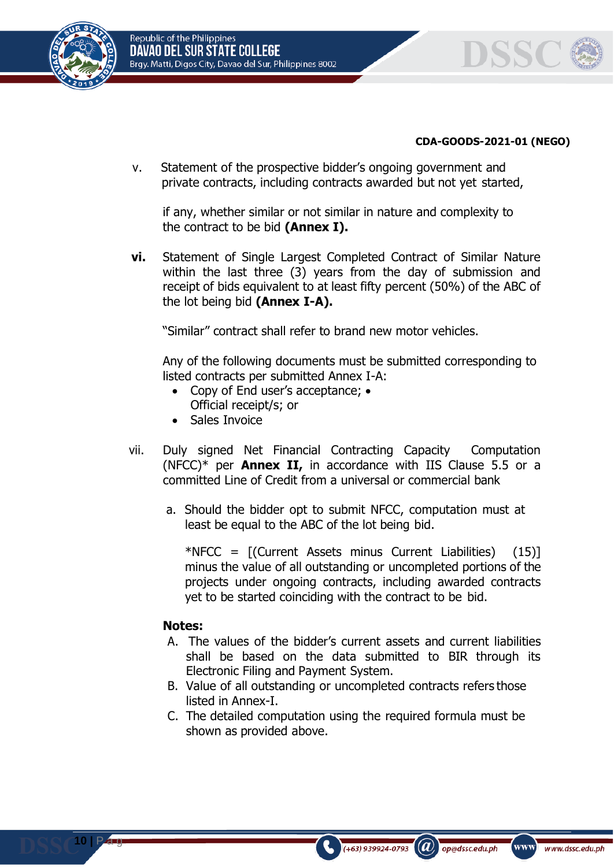



#### **CDA-GOODS-2021-01 (NEGO)**

v. Statement of the prospective bidder's ongoing government and private contracts, including contracts awarded but not yet started,

if any, whether similar or not similar in nature and complexity to the contract to be bid **(Annex I).**

**vi.** Statement of Single Largest Completed Contract of Similar Nature within the last three (3) years from the day of submission and receipt of bids equivalent to at least fifty percent (50%) of the ABC of the lot being bid **(Annex I-A).**

"Similar" contract shall refer to brand new motor vehicles.

Any of the following documents must be submitted corresponding to listed contracts per submitted Annex I-A:

- Copy of End user's acceptance; Official receipt/s; or
- Sales Invoice
- vii. Duly signed Net Financial Contracting Capacity Computation (NFCC)\* per **Annex II,** in accordance with IIS Clause 5.5 or a committed Line of Credit from a universal or commercial bank
	- a. Should the bidder opt to submit NFCC, computation must at least be equal to the ABC of the lot being bid.

\*NFCC =  $[(Current Assets minus Current Liabilities)$  (15) minus the value of all outstanding or uncompleted portions of the projects under ongoing contracts, including awarded contracts yet to be started coinciding with the contract to be bid.

#### **Notes:**

**10 |** P a g

- A. The values of the bidder's current assets and current liabilities shall be based on the data submitted to BIR through its Electronic Filing and Payment System.
- B. Value of all outstanding or uncompleted contracts refers those listed in Annex-I.
- C. The detailed computation using the required formula must be shown as provided above.

 $(a)$ 

op@dssc.edu.ph

 $(+63)$  939924-0793

www)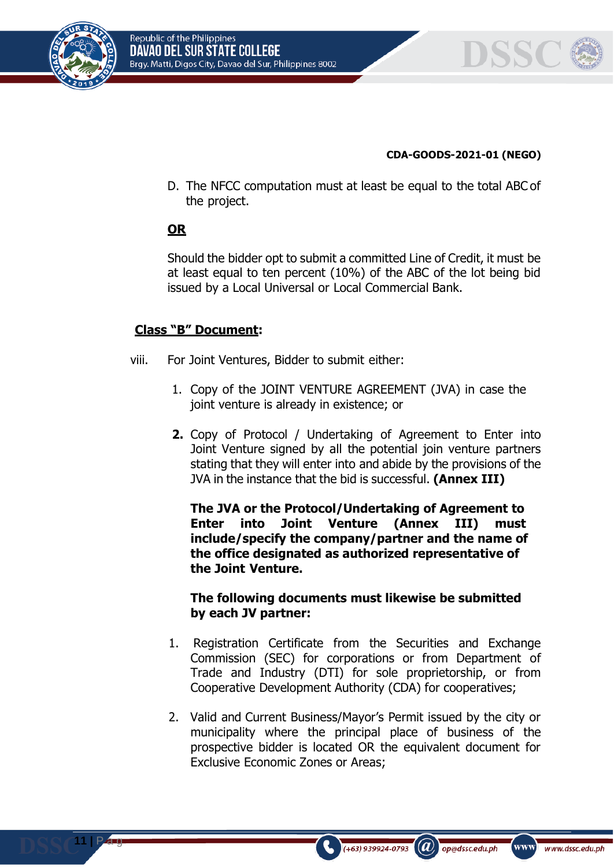



#### **CDA-GOODS-2021-01 (NEGO)**

D. The NFCC computation must at least be equal to the total ABC of the project.

# **OR**

Should the bidder opt to submit a committed Line of Credit, it must be at least equal to ten percent (10%) of the ABC of the lot being bid issued by a Local Universal or Local Commercial Bank.

# **Class "B" Document:**

- viii. For Joint Ventures, Bidder to submit either:
	- 1. Copy of the JOINT VENTURE AGREEMENT (JVA) in case the joint venture is already in existence; or
	- **2.** Copy of Protocol / Undertaking of Agreement to Enter into Joint Venture signed by all the potential join venture partners stating that they will enter into and abide by the provisions of the JVA in the instance that the bid is successful. **(Annex III)**

**The JVA or the Protocol/Undertaking of Agreement to Enter into Joint Venture (Annex III) must include/specify the company/partner and the name of the office designated as authorized representative of the Joint Venture.**

## **The following documents must likewise be submitted by each JV partner:**

- 1. Registration Certificate from the Securities and Exchange Commission (SEC) for corporations or from Department of Trade and Industry (DTI) for sole proprietorship, or from Cooperative Development Authority (CDA) for cooperatives;
- 2. Valid and Current Business/Mayor's Permit issued by the city or municipality where the principal place of business of the prospective bidder is located OR the equivalent document for Exclusive Economic Zones or Areas;

 $(+63)$  939924-0793

 $(a)$ 

op@dssc.edu.ph

www)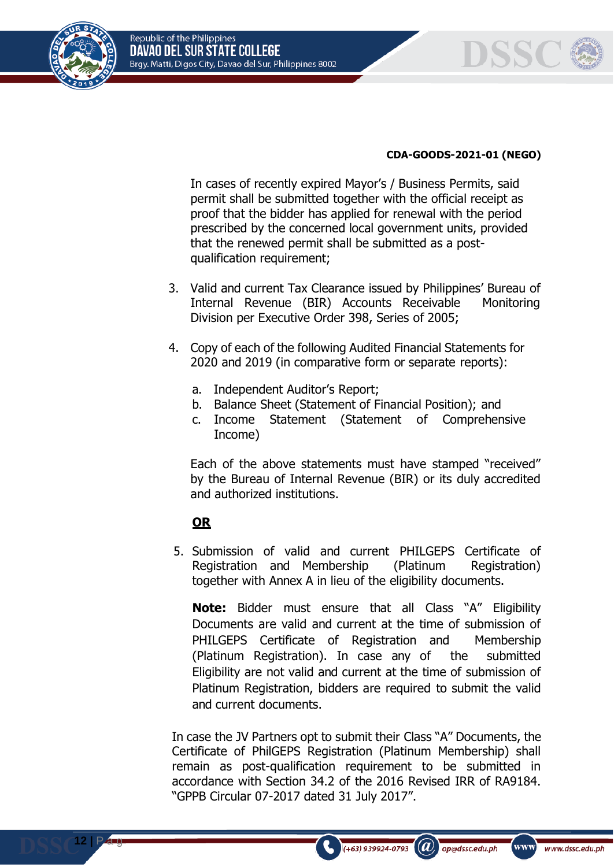



#### **CDA-GOODS-2021-01 (NEGO)**

In cases of recently expired Mayor's / Business Permits, said permit shall be submitted together with the official receipt as proof that the bidder has applied for renewal with the period prescribed by the concerned local government units, provided that the renewed permit shall be submitted as a postqualification requirement;

- 3. Valid and current Tax Clearance issued by Philippines' Bureau of Internal Revenue (BIR) Accounts Receivable Monitoring Division per Executive Order 398, Series of 2005;
- 4. Copy of each of the following Audited Financial Statements for 2020 and 2019 (in comparative form or separate reports):
	- a. Independent Auditor's Report;
	- b. Balance Sheet (Statement of Financial Position); and
	- c. Income Statement (Statement of Comprehensive Income)

Each of the above statements must have stamped "received" by the Bureau of Internal Revenue (BIR) or its duly accredited and authorized institutions.

# **OR**

**12 |** P a g

5. Submission of valid and current PHILGEPS Certificate of Registration and Membership (Platinum Registration) together with Annex A in lieu of the eligibility documents.

**Note:** Bidder must ensure that all Class "A" Eligibility Documents are valid and current at the time of submission of PHILGEPS Certificate of Registration and Membership (Platinum Registration). In case any of the submitted Eligibility are not valid and current at the time of submission of Platinum Registration, bidders are required to submit the valid and current documents.

In case the JV Partners opt to submit their Class "A" Documents, the Certificate of PhilGEPS Registration (Platinum Membership) shall remain as post-qualification requirement to be submitted in accordance with Section 34.2 of the 2016 Revised IRR of RA9184. "GPPB Circular 07-2017 dated 31 July 2017".

 $(+63)$  939924-0793

 $(a)$ 

op@dssc.edu.ph

www)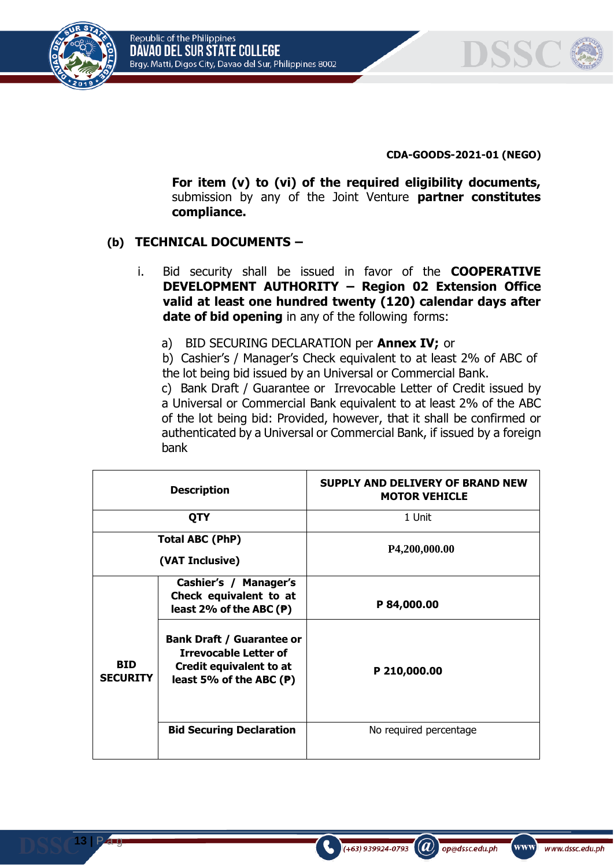



**CDA-GOODS-2021-01 (NEGO)**

**For item (v) to (vi) of the required eligibility documents,**  submission by any of the Joint Venture **partner constitutes compliance.**

# **(b) TECHNICAL DOCUMENTS –**

- i. Bid security shall be issued in favor of the **COOPERATIVE DEVELOPMENT AUTHORITY – Region 02 Extension Office valid at least one hundred twenty (120) calendar days after date of bid opening** in any of the following forms:
	- a) BID SECURING DECLARATION per **Annex IV;** or

b) Cashier's / Manager's Check equivalent to at least 2% of ABC of the lot being bid issued by an Universal or Commercial Bank.

c) Bank Draft / Guarantee or Irrevocable Letter of Credit issued by a Universal or Commercial Bank equivalent to at least 2% of the ABC of the lot being bid: Provided, however, that it shall be confirmed or authenticated by a Universal or Commercial Bank, if issued by a foreign bank

| <b>Description</b>                        |                                                                                                                                 | <b>SUPPLY AND DELIVERY OF BRAND NEW</b><br><b>MOTOR VEHICLE</b> |  |
|-------------------------------------------|---------------------------------------------------------------------------------------------------------------------------------|-----------------------------------------------------------------|--|
|                                           | <b>QTY</b>                                                                                                                      | 1 Unit                                                          |  |
| <b>Total ABC (PhP)</b><br>(VAT Inclusive) |                                                                                                                                 | P4,200,000.00                                                   |  |
|                                           | Cashier's / Manager's<br>Check equivalent to at<br>least 2% of the ABC $(P)$                                                    | P 84,000.00                                                     |  |
| <b>BID</b><br><b>SECURITY</b>             | <b>Bank Draft / Guarantee or</b><br><b>Irrevocable Letter of</b><br><b>Credit equivalent to at</b><br>least 5% of the ABC $(P)$ | P 210,000.00                                                    |  |
|                                           | <b>Bid Securing Declaration</b>                                                                                                 | No required percentage                                          |  |

**13 |** P a g

 $\left(\boldsymbol{a}\right)$  op@dssc.edu.ph

(+63) 939924-0793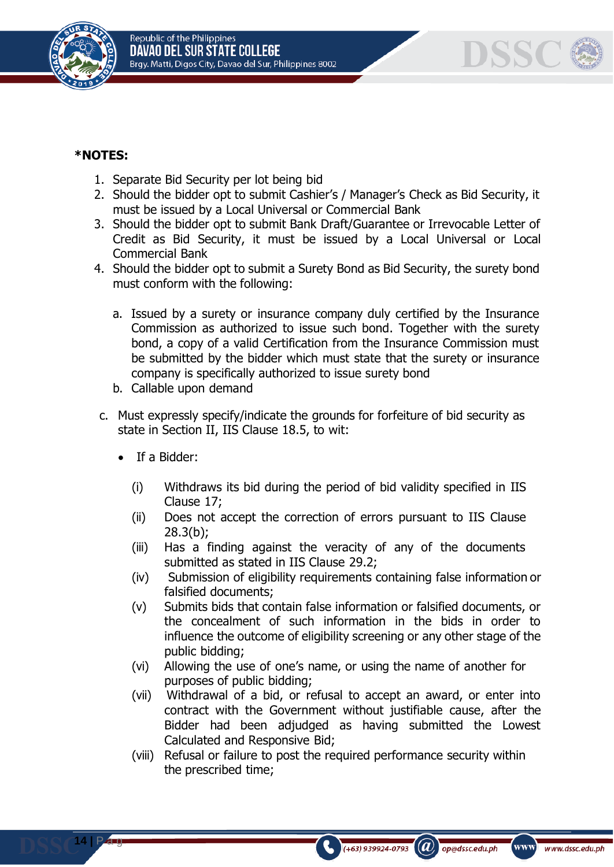



# **\*NOTES:**

- 1. Separate Bid Security per lot being bid
- 2. Should the bidder opt to submit Cashier's / Manager's Check as Bid Security, it must be issued by a Local Universal or Commercial Bank
- 3. Should the bidder opt to submit Bank Draft/Guarantee or Irrevocable Letter of Credit as Bid Security, it must be issued by a Local Universal or Local Commercial Bank
- 4. Should the bidder opt to submit a Surety Bond as Bid Security, the surety bond must conform with the following:
	- a. Issued by a surety or insurance company duly certified by the Insurance Commission as authorized to issue such bond. Together with the surety bond, a copy of a valid Certification from the Insurance Commission must be submitted by the bidder which must state that the surety or insurance company is specifically authorized to issue surety bond
	- b. Callable upon demand
- c. Must expressly specify/indicate the grounds for forfeiture of bid security as state in Section II, IIS Clause 18.5, to wit:
	- If a Bidder:

**14 |** P a g

- (i) Withdraws its bid during the period of bid validity specified in IIS Clause 17;
- (ii) Does not accept the correction of errors pursuant to IIS Clause 28.3(b);
- (iii) Has a finding against the veracity of any of the documents submitted as stated in IIS Clause 29.2;
- (iv) Submission of eligibility requirements containing false information or falsified documents;
- (v) Submits bids that contain false information or falsified documents, or the concealment of such information in the bids in order to influence the outcome of eligibility screening or any other stage of the public bidding;
- (vi) Allowing the use of one's name, or using the name of another for purposes of public bidding;
- (vii) Withdrawal of a bid, or refusal to accept an award, or enter into contract with the Government without justifiable cause, after the Bidder had been adjudged as having submitted the Lowest Calculated and Responsive Bid;
- (viii) Refusal or failure to post the required performance security within the prescribed time;

 $\mathcal{L}(\boldsymbol{a})$ 

op@dssc.edu.ph

 $(+63)$  939924-0793

www)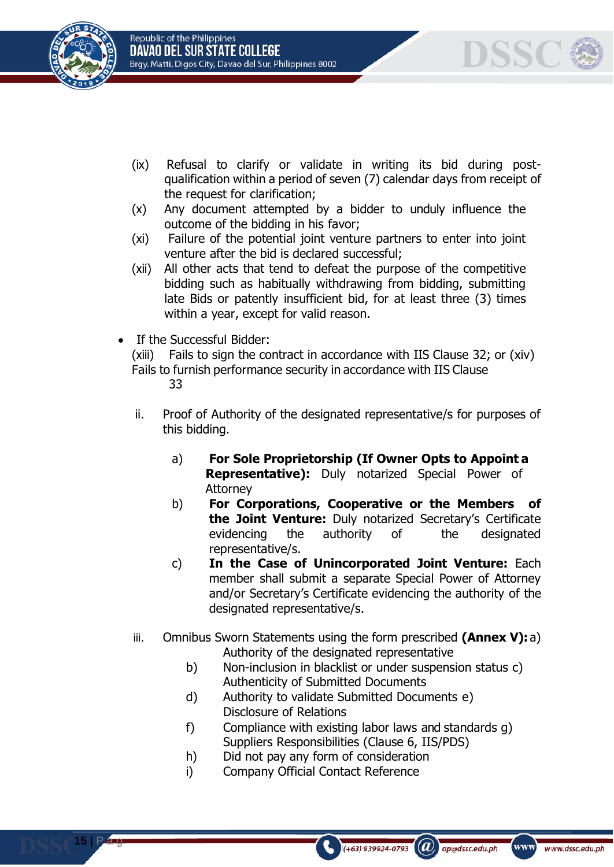





- (ix) Refusal to clarify or validate in writing its bid during postqualification within a period of seven (7) calendar days from receipt of the request for clarification;
- (x) Any document attempted by a bidder to unduly influence the outcome of the bidding in his favor;
- (xi) Failure of the potential joint venture partners to enter into joint venture after the bid is declared successful;
- (xii) All other acts that tend to defeat the purpose of the competitive bidding such as habitually withdrawing from bidding, submitting late Bids or patently insufficient bid, for at least three (3) times within a year, except for valid reason.
- If the Successful Bidder:

(xiii) Fails to sign the contract in accordance with IIS Clause 32; or (xiv) Fails to furnish performance security in accordance with IIS Clause 33

- ii. Proof of Authority of the designated representative/s for purposes of this bidding.
	- a) **For Sole Proprietorship (If Owner Opts to Appoint a Representative):** Duly notarized Special Power of Attorney
	- b) **For Corporations, Cooperative or the Members of the Joint Venture:** Duly notarized Secretary's Certificate evidencing the authority of the designated representative/s.
	- c) **In the Case of Unincorporated Joint Venture:** Each member shall submit a separate Special Power of Attorney and/or Secretary's Certificate evidencing the authority of the designated representative/s.
- iii. Omnibus Sworn Statements using the form prescribed **(Annex V):** a) Authority of the designated representative
	- b) Non-inclusion in blacklist or under suspension status c) Authenticity of Submitted Documents
	- d) Authority to validate Submitted Documents e) Disclosure of Relations
	- f) Compliance with existing labor laws and standards g) Suppliers Responsibilities (Clause 6, IIS/PDS)

 $\mathcal{L}(\boldsymbol{a})$ 

op@dssc.edu.ph

 $(+63)$  939924-0793

www)

- h) Did not pay any form of consideration
- i) Company Official Contact Reference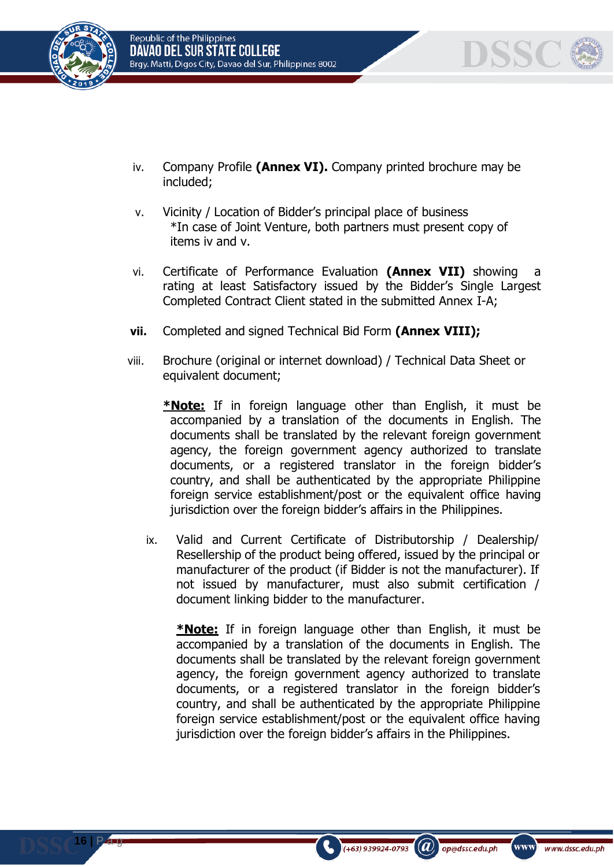



- iv. Company Profile **(Annex VI).** Company printed brochure may be included;
- v. Vicinity / Location of Bidder's principal place of business \*In case of Joint Venture, both partners must present copy of items iv and v.
- vi. Certificate of Performance Evaluation **(Annex VII)** showing a rating at least Satisfactory issued by the Bidder's Single Largest Completed Contract Client stated in the submitted Annex I-A;
- **vii.** Completed and signed Technical Bid Form **(Annex VIII);**
- viii. Brochure (original or internet download) / Technical Data Sheet or equivalent document;
	- **\*Note:** If in foreign language other than English, it must be accompanied by a translation of the documents in English. The documents shall be translated by the relevant foreign government agency, the foreign government agency authorized to translate documents, or a registered translator in the foreign bidder's country, and shall be authenticated by the appropriate Philippine foreign service establishment/post or the equivalent office having jurisdiction over the foreign bidder's affairs in the Philippines.
	- ix. Valid and Current Certificate of Distributorship / Dealership/ Resellership of the product being offered, issued by the principal or manufacturer of the product (if Bidder is not the manufacturer). If not issued by manufacturer, must also submit certification / document linking bidder to the manufacturer.

**\*Note:** If in foreign language other than English, it must be accompanied by a translation of the documents in English. The documents shall be translated by the relevant foreign government agency, the foreign government agency authorized to translate documents, or a registered translator in the foreign bidder's country, and shall be authenticated by the appropriate Philippine foreign service establishment/post or the equivalent office having jurisdiction over the foreign bidder's affairs in the Philippines.

 $(+63)$  939924-0793

 $(a)$ 

op@dssc.edu.ph

www)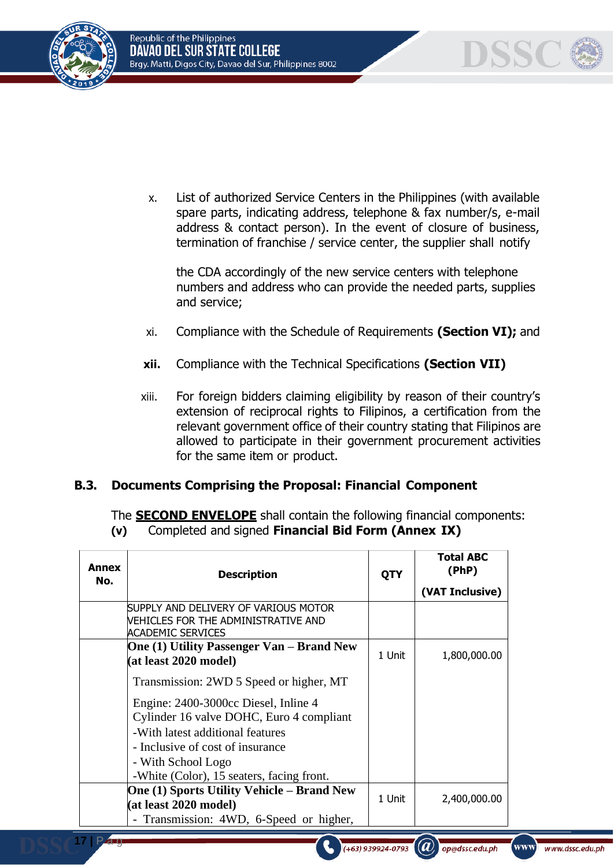



x. List of authorized Service Centers in the Philippines (with available spare parts, indicating address, telephone & fax number/s, e-mail address & contact person). In the event of closure of business, termination of franchise / service center, the supplier shall notify

the CDA accordingly of the new service centers with telephone numbers and address who can provide the needed parts, supplies and service;

- xi. Compliance with the Schedule of Requirements **(Section VI);** and
- **xii.** Compliance with the Technical Specifications **(Section VII)**
- xiii. For foreign bidders claiming eligibility by reason of their country's extension of reciprocal rights to Filipinos, a certification from the relevant government office of their country stating that Filipinos are allowed to participate in their government procurement activities for the same item or product.

## **B.3. Documents Comprising the Proposal: Financial Component**

The **SECOND ENVELOPE** shall contain the following financial components: **(v)** Completed and signed **Financial Bid Form (Annex IX)**

| Annex<br>No. | <b>Description</b>                                                                                                                                                                                                          | <b>QTY</b> | Total ABC<br>(PhP) |
|--------------|-----------------------------------------------------------------------------------------------------------------------------------------------------------------------------------------------------------------------------|------------|--------------------|
|              |                                                                                                                                                                                                                             |            | (VAT Inclusive)    |
|              | SUPPLY AND DELIVERY OF VARIOUS MOTOR<br><b>VEHICLES FOR THE ADMINISTRATIVE AND</b><br><b>ACADEMIC SERVICES</b>                                                                                                              |            |                    |
|              | <b>One (1) Utility Passenger Van – Brand New</b><br>(at least 2020 model)                                                                                                                                                   | 1 Unit     | 1,800,000.00       |
|              | Transmission: 2WD 5 Speed or higher, MT                                                                                                                                                                                     |            |                    |
|              | Engine: 2400-3000cc Diesel, Inline 4<br>Cylinder 16 valve DOHC, Euro 4 compliant<br>-With latest additional features<br>- Inclusive of cost of insurance<br>- With School Logo<br>-White (Color), 15 seaters, facing front. |            |                    |
|              | <b>One (1) Sports Utility Vehicle – Brand New</b><br>(at least 2020 model)<br>- Transmission: 4WD, 6-Speed or higher,                                                                                                       | 1 Unit     | 2,400,000.00       |

 $(a)$ 

(+63) 939924-0793

op@dssc.edu.ph

www)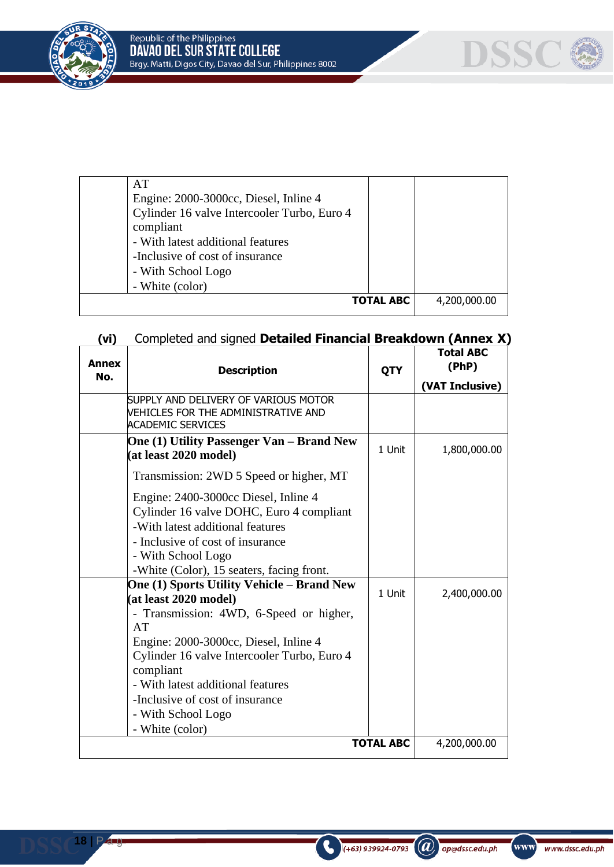



| AT                                          |                  |              |
|---------------------------------------------|------------------|--------------|
| Engine: 2000-3000cc, Diesel, Inline 4       |                  |              |
| Cylinder 16 valve Intercooler Turbo, Euro 4 |                  |              |
| compliant                                   |                  |              |
| - With latest additional features           |                  |              |
| -Inclusive of cost of insurance             |                  |              |
| - With School Logo                          |                  |              |
| - White (color)                             |                  |              |
|                                             | <b>TOTAL ABC</b> | 4,200,000.00 |
|                                             |                  |              |

# **(vi)** Completed and signed **Detailed Financial Breakdown (Annex X)**

| <b>Annex</b>     | <b>Description</b>                                                                                                                                                                                                                                                                                                                                | QTY    | <b>Total ABC</b><br>(PhP) |
|------------------|---------------------------------------------------------------------------------------------------------------------------------------------------------------------------------------------------------------------------------------------------------------------------------------------------------------------------------------------------|--------|---------------------------|
| No.              |                                                                                                                                                                                                                                                                                                                                                   |        | (VAT Inclusive)           |
|                  | SUPPLY AND DELIVERY OF VARIOUS MOTOR<br>VEHICLES FOR THE ADMINISTRATIVE AND<br><b>ACADEMIC SERVICES</b>                                                                                                                                                                                                                                           |        |                           |
|                  | One (1) Utility Passenger Van – Brand New<br>(at least 2020 model)                                                                                                                                                                                                                                                                                | 1 Unit | 1,800,000.00              |
|                  | Transmission: 2WD 5 Speed or higher, MT                                                                                                                                                                                                                                                                                                           |        |                           |
|                  | Engine: 2400-3000cc Diesel, Inline 4<br>Cylinder 16 valve DOHC, Euro 4 compliant<br>-With latest additional features<br>- Inclusive of cost of insurance<br>- With School Logo<br>-White (Color), 15 seaters, facing front.                                                                                                                       |        |                           |
|                  | <b>One (1) Sports Utility Vehicle - Brand New</b><br>(at least 2020 model)<br>- Transmission: 4WD, 6-Speed or higher,<br>AT<br>Engine: 2000-3000cc, Diesel, Inline 4<br>Cylinder 16 valve Intercooler Turbo, Euro 4<br>compliant<br>- With latest additional features<br>-Inclusive of cost of insurance<br>- With School Logo<br>- White (color) | 1 Unit | 2,400,000.00              |
| <b>TOTAL ABC</b> |                                                                                                                                                                                                                                                                                                                                                   |        | 4,200,000.00              |

 $\left( +63\right)$  939924-0793

 $\left(\widehat{a}\right)$  op@dssc.edu.ph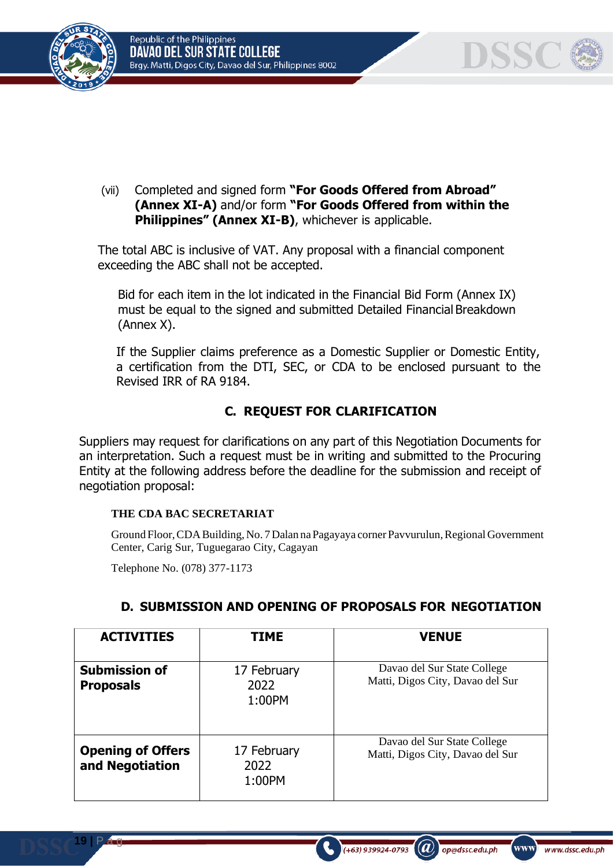





DSSC

(vii) Completed and signed form **"For Goods Offered from Abroad" (Annex XI-A)** and/or form **"For Goods Offered from within the Philippines" (Annex XI-B)**, whichever is applicable.

The total ABC is inclusive of VAT. Any proposal with a financial component exceeding the ABC shall not be accepted.

Bid for each item in the lot indicated in the Financial Bid Form (Annex IX) must be equal to the signed and submitted Detailed Financial Breakdown (Annex X).

If the Supplier claims preference as a Domestic Supplier or Domestic Entity, a certification from the DTI, SEC, or CDA to be enclosed pursuant to the Revised IRR of RA 9184.

# **C. REQUEST FOR CLARIFICATION**

Suppliers may request for clarifications on any part of this Negotiation Documents for an interpretation. Such a request must be in writing and submitted to the Procuring Entity at the following address before the deadline for the submission and receipt of negotiation proposal:

#### **THE CDA BAC SECRETARIAT**

Ground Floor,CDABuilding, No. 7Dalan naPagayaya corner Pavvurulun,Regional Government Center, Carig Sur, Tuguegarao City, Cagayan

Telephone No. (078) 377-1173

**19 |** P a g

| <b>ACTIVITIES</b>                           | <b>TIME</b>                   | <b>VENUE</b>                                                    |
|---------------------------------------------|-------------------------------|-----------------------------------------------------------------|
| <b>Submission of</b><br><b>Proposals</b>    | 17 February<br>2022<br>1:00PM | Davao del Sur State College<br>Matti, Digos City, Davao del Sur |
| <b>Opening of Offers</b><br>and Negotiation | 17 February<br>2022<br>1:00PM | Davao del Sur State College<br>Matti, Digos City, Davao del Sur |

 $(+63)$  939924-0793

(a)

op@dssc.edu.ph

www]

www.dssc.edu.ph

# **D. SUBMISSION AND OPENING OF PROPOSALS FOR NEGOTIATION**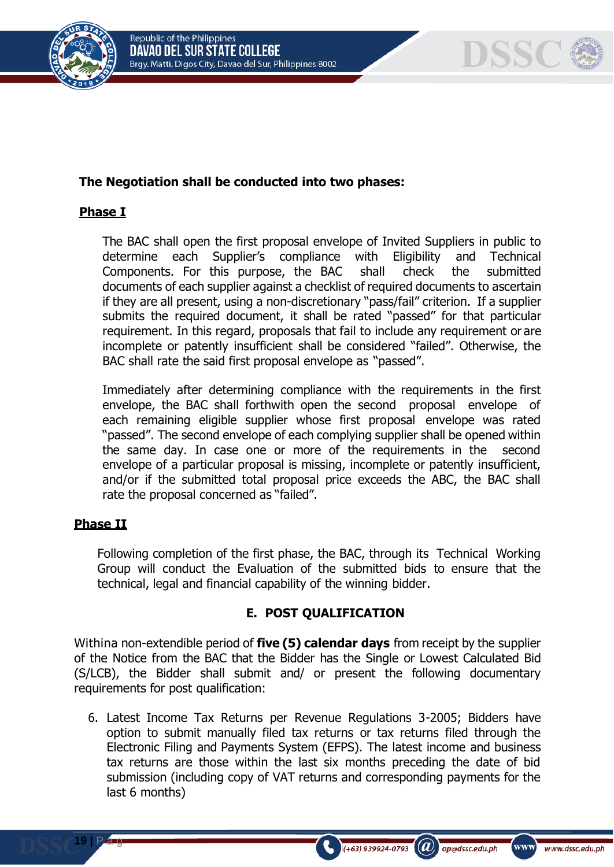

# DSSC

# **The Negotiation shall be conducted into two phases:**

# **Phase I**

The BAC shall open the first proposal envelope of Invited Suppliers in public to determine each Supplier's compliance with Eligibility and Technical Components. For this purpose, the BAC shall check the submitted documents of each supplier against a checklist of required documents to ascertain if they are all present, using a non-discretionary "pass/fail" criterion. If a supplier submits the required document, it shall be rated "passed" for that particular requirement. In this regard, proposals that fail to include any requirement or are incomplete or patently insufficient shall be considered "failed". Otherwise, the BAC shall rate the said first proposal envelope as "passed".

Immediately after determining compliance with the requirements in the first envelope, the BAC shall forthwith open the second proposal envelope of each remaining eligible supplier whose first proposal envelope was rated "passed". The second envelope of each complying supplier shall be opened within the same day. In case one or more of the requirements in the second envelope of a particular proposal is missing, incomplete or patently insufficient, and/or if the submitted total proposal price exceeds the ABC, the BAC shall rate the proposal concerned as "failed".

# **Phase II**

**19 |** P a g

Following completion of the first phase, the BAC, through its Technical Working Group will conduct the Evaluation of the submitted bids to ensure that the technical, legal and financial capability of the winning bidder.

## **E. POST QUALIFICATION**

Withina non-extendible period of **five (5) calendar days** from receipt by the supplier of the Notice from the BAC that the Bidder has the Single or Lowest Calculated Bid (S/LCB), the Bidder shall submit and/ or present the following documentary requirements for post qualification:

6. Latest Income Tax Returns per Revenue Regulations 3-2005; Bidders have option to submit manually filed tax returns or tax returns filed through the Electronic Filing and Payments System (EFPS). The latest income and business tax returns are those within the last six months preceding the date of bid submission (including copy of VAT returns and corresponding payments for the last 6 months)

 $(+63)$  939924-0793

 $\left(\boldsymbol{a}\right)$  op@dssc.edu.ph

www)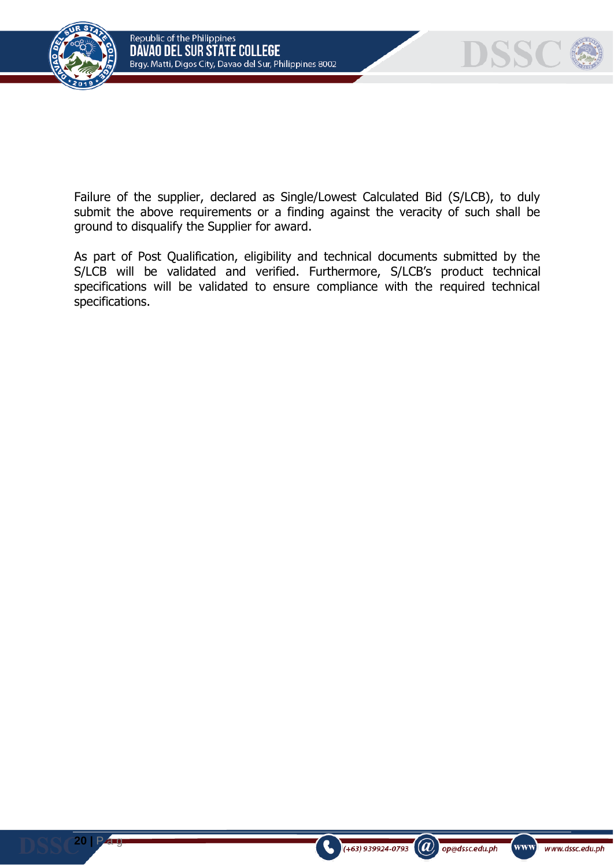



Failure of the supplier, declared as Single/Lowest Calculated Bid (S/LCB), to duly submit the above requirements or a finding against the veracity of such shall be ground to disqualify the Supplier for award.

As part of Post Qualification, eligibility and technical documents submitted by the S/LCB will be validated and verified. Furthermore, S/LCB's product technical specifications will be validated to ensure compliance with the required technical specifications.

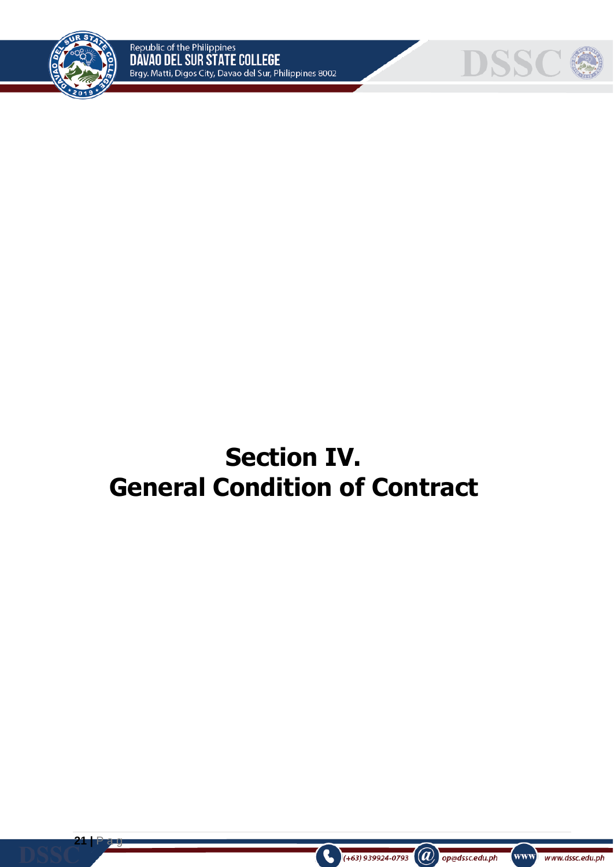



# **Section IV. General Condition of Contract**



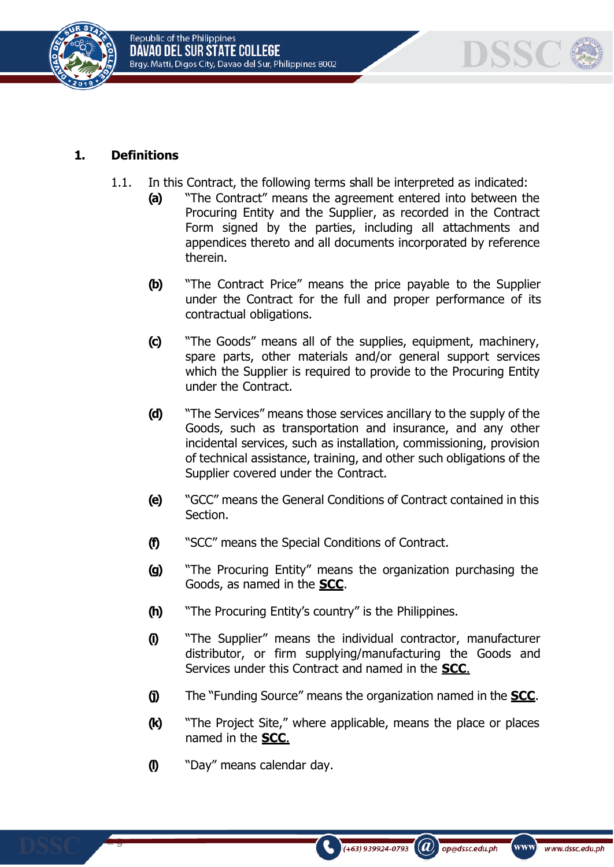





## **1. Definitions**

- 1.1. In this Contract, the following terms shall be interpreted as indicated:
	- **(a)** "The Contract" means the agreement entered into between the Procuring Entity and the Supplier, as recorded in the Contract Form signed by the parties, including all attachments and appendices thereto and all documents incorporated by reference therein.
	- **(b)** "The Contract Price" means the price payable to the Supplier under the Contract for the full and proper performance of its contractual obligations.
	- **(c)** "The Goods" means all of the supplies, equipment, machinery, spare parts, other materials and/or general support services which the Supplier is required to provide to the Procuring Entity under the Contract.
	- **(d)** "The Services" means those services ancillary to the supply of the Goods, such as transportation and insurance, and any other incidental services, such as installation, commissioning, provision of technical assistance, training, and other such obligations of the Supplier covered under the Contract.
	- **(e)** "GCC" means the General Conditions of Contract contained in this Section.
	- **(f)** "SCC" means the Special Conditions of Contract.
	- **(g)** "The Procuring Entity" means the organization purchasing the Goods, as named in the **SCC**.
	- **(h)** "The Procuring Entity's country" is the Philippines.
	- **(i)** "The Supplier" means the individual contractor, manufacturer distributor, or firm supplying/manufacturing the Goods and Services under this Contract and named in the **SCC**.
	- **(j)** The "Funding Source" means the organization named in the **SCC**.
	- **(k)** "The Project Site," where applicable, means the place or places named in the **SCC**.

 $(a)$ 

op@dssc.edu.ph

 $(+63)$  939924-0793

www]

www.dssc.edu.ph

**(l)** "Day" means calendar day.

**22 |** P a g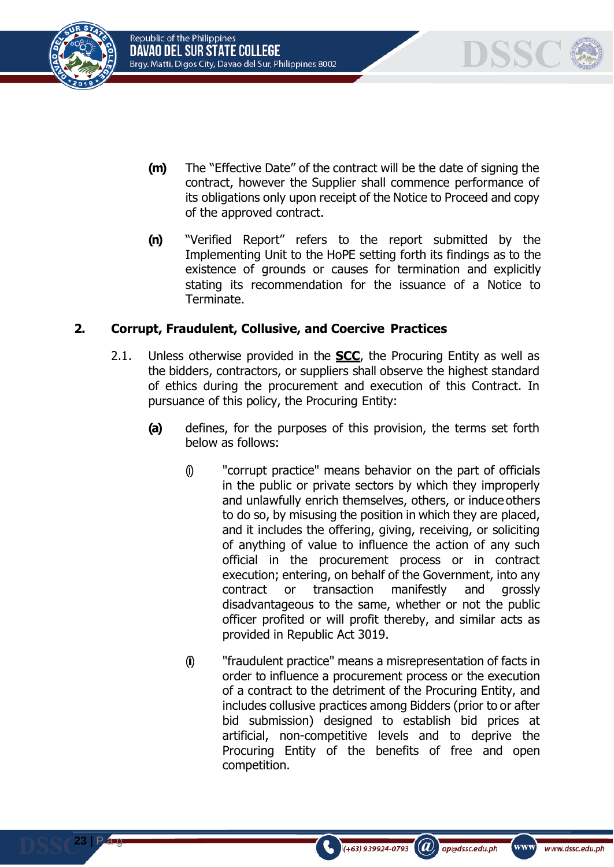





- **(m)** The "Effective Date" of the contract will be the date of signing the contract, however the Supplier shall commence performance of its obligations only upon receipt of the Notice to Proceed and copy of the approved contract.
- **(n)** "Verified Report" refers to the report submitted by the Implementing Unit to the HoPE setting forth its findings as to the existence of grounds or causes for termination and explicitly stating its recommendation for the issuance of a Notice to Terminate.

# **2. Corrupt, Fraudulent, Collusive, and Coercive Practices**

- 2.1. Unless otherwise provided in the **SCC**, the Procuring Entity as well as the bidders, contractors, or suppliers shall observe the highest standard of ethics during the procurement and execution of this Contract. In pursuance of this policy, the Procuring Entity:
	- **(a)** defines, for the purposes of this provision, the terms set forth below as follows:
		- (i) "corrupt practice" means behavior on the part of officials in the public or private sectors by which they improperly and unlawfully enrich themselves, others, or induce others to do so, by misusing the position in which they are placed, and it includes the offering, giving, receiving, or soliciting of anything of value to influence the action of any such official in the procurement process or in contract execution; entering, on behalf of the Government, into any contract or transaction manifestly and grossly disadvantageous to the same, whether or not the public officer profited or will profit thereby, and similar acts as provided in Republic Act 3019.
		- (ii) "fraudulent practice" means a misrepresentation of facts in order to influence a procurement process or the execution of a contract to the detriment of the Procuring Entity, and includes collusive practices among Bidders (prior to or after bid submission) designed to establish bid prices at artificial, non-competitive levels and to deprive the Procuring Entity of the benefits of free and open competition.

 $(+63)$  939924-0793

 $(a)$ 

op@dssc.edu.ph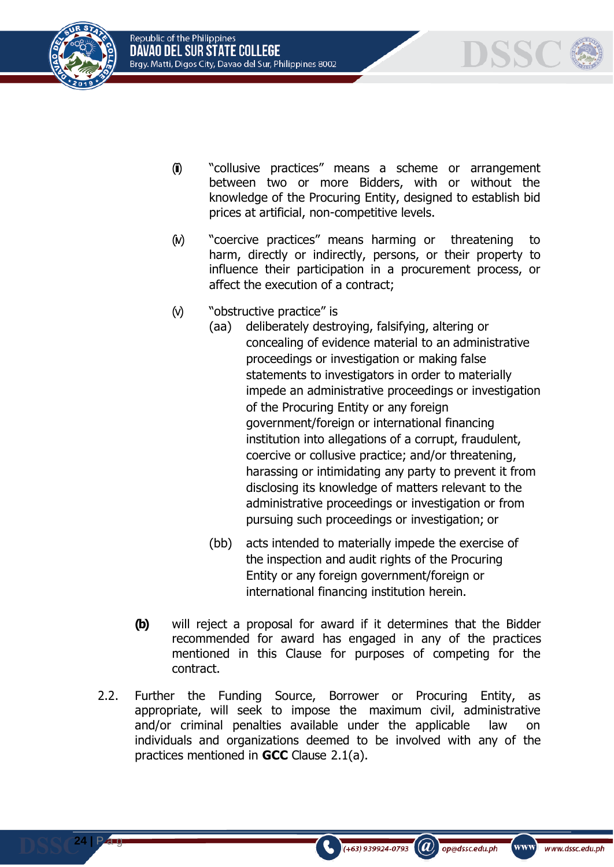Republic of the Philippines DAVAO DEL SUR STATE COLLEGE Brgy. Matti, Digos City, Davao del Sur, Philippines 8002



**24 |** P a g

DSSC

- (ii) "collusive practices" means a scheme or arrangement between two or more Bidders, with or without the knowledge of the Procuring Entity, designed to establish bid prices at artificial, non-competitive levels.
- (iv) "coercive practices" means harming or threatening to harm, directly or indirectly, persons, or their property to influence their participation in a procurement process, or affect the execution of a contract;
- (v) "obstructive practice" is
	- (aa) deliberately destroying, falsifying, altering or concealing of evidence material to an administrative proceedings or investigation or making false statements to investigators in order to materially impede an administrative proceedings or investigation of the Procuring Entity or any foreign government/foreign or international financing institution into allegations of a corrupt, fraudulent, coercive or collusive practice; and/or threatening, harassing or intimidating any party to prevent it from disclosing its knowledge of matters relevant to the administrative proceedings or investigation or from pursuing such proceedings or investigation; or
	- (bb) acts intended to materially impede the exercise of the inspection and audit rights of the Procuring Entity or any foreign government/foreign or international financing institution herein.

 $\mathbf{a}$ 

op@dssc.edu.ph

 $(+63)$  939924-0793

www]

- **(b)** will reject a proposal for award if it determines that the Bidder recommended for award has engaged in any of the practices mentioned in this Clause for purposes of competing for the contract.
- 2.2. Further the Funding Source, Borrower or Procuring Entity, as appropriate, will seek to impose the maximum civil, administrative and/or criminal penalties available under the applicable law on individuals and organizations deemed to be involved with any of the practices mentioned in **GCC** Clause 2.1(a).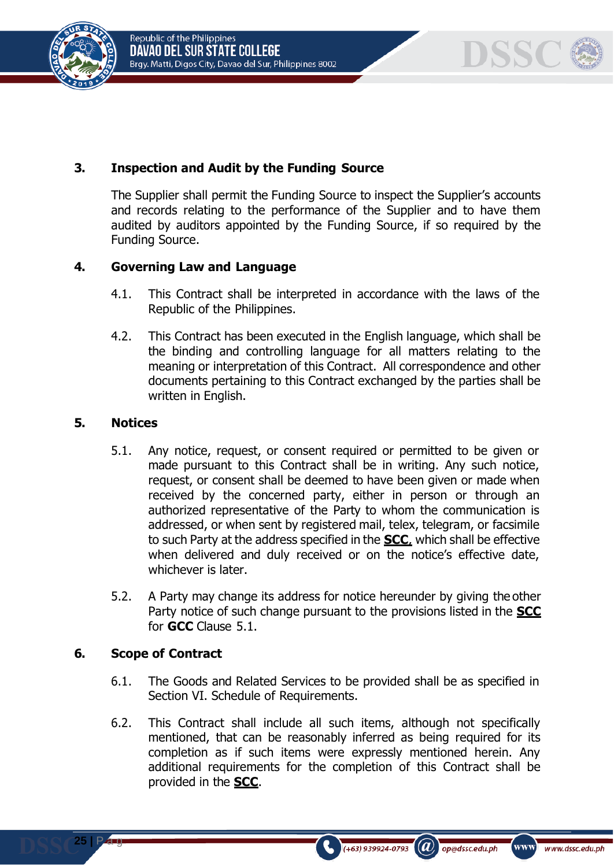



# **3. Inspection and Audit by the Funding Source**

The Supplier shall permit the Funding Source to inspect the Supplier's accounts and records relating to the performance of the Supplier and to have them audited by auditors appointed by the Funding Source, if so required by the Funding Source.

## **4. Governing Law and Language**

- 4.1. This Contract shall be interpreted in accordance with the laws of the Republic of the Philippines.
- 4.2. This Contract has been executed in the English language, which shall be the binding and controlling language for all matters relating to the meaning or interpretation of this Contract. All correspondence and other documents pertaining to this Contract exchanged by the parties shall be written in English.

#### **5. Notices**

- 5.1. Any notice, request, or consent required or permitted to be given or made pursuant to this Contract shall be in writing. Any such notice, request, or consent shall be deemed to have been given or made when received by the concerned party, either in person or through an authorized representative of the Party to whom the communication is addressed, or when sent by registered mail, telex, telegram, or facsimile to such Party at the address specified in the **SCC**, which shall be effective when delivered and duly received or on the notice's effective date, whichever is later.
- 5.2. A Party may change its address for notice hereunder by giving the other Party notice of such change pursuant to the provisions listed in the **SCC** for **GCC** Clause 5.1.

#### **6. Scope of Contract**

**25 |** P a g

- 6.1. The Goods and Related Services to be provided shall be as specified in Section VI. Schedule of Requirements.
- 6.2. This Contract shall include all such items, although not specifically mentioned, that can be reasonably inferred as being required for its completion as if such items were expressly mentioned herein. Any additional requirements for the completion of this Contract shall be provided in the **SCC**.

(+63) 939924-0793

 $\left(\boldsymbol{a}\right)$  op@dssc.edu.ph

www)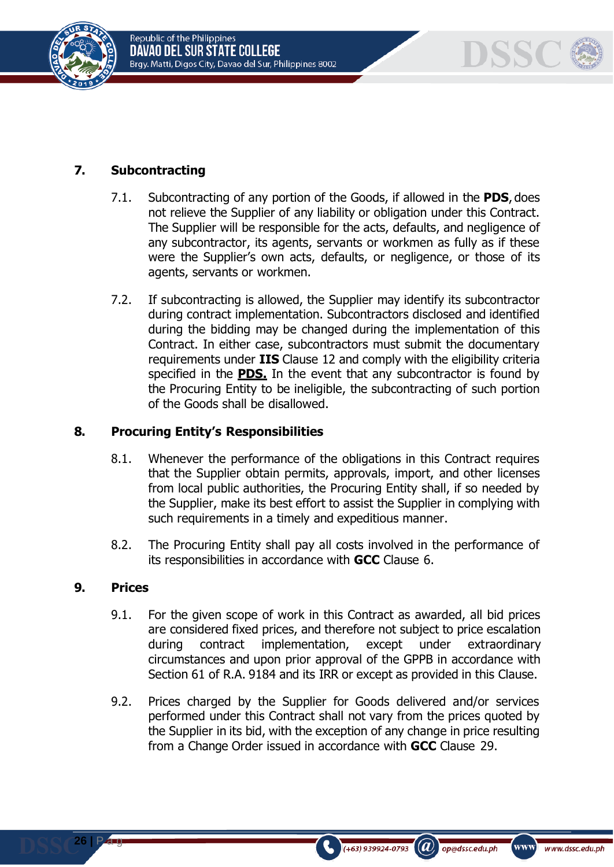



# **7. Subcontracting**

- 7.1. Subcontracting of any portion of the Goods, if allowed in the **PDS**, does not relieve the Supplier of any liability or obligation under this Contract. The Supplier will be responsible for the acts, defaults, and negligence of any subcontractor, its agents, servants or workmen as fully as if these were the Supplier's own acts, defaults, or negligence, or those of its agents, servants or workmen.
- 7.2. If subcontracting is allowed, the Supplier may identify its subcontractor during contract implementation. Subcontractors disclosed and identified during the bidding may be changed during the implementation of this Contract. In either case, subcontractors must submit the documentary requirements under **IIS** Clause 12 and comply with the eligibility criteria specified in the **PDS.** In the event that any subcontractor is found by the Procuring Entity to be ineligible, the subcontracting of such portion of the Goods shall be disallowed.

#### **8. Procuring Entity's Responsibilities**

- 8.1. Whenever the performance of the obligations in this Contract requires that the Supplier obtain permits, approvals, import, and other licenses from local public authorities, the Procuring Entity shall, if so needed by the Supplier, make its best effort to assist the Supplier in complying with such requirements in a timely and expeditious manner.
- 8.2. The Procuring Entity shall pay all costs involved in the performance of its responsibilities in accordance with **GCC** Clause 6.

#### **9. Prices**

- 9.1. For the given scope of work in this Contract as awarded, all bid prices are considered fixed prices, and therefore not subject to price escalation during contract implementation, except under extraordinary circumstances and upon prior approval of the GPPB in accordance with Section 61 of R.A. 9184 and its IRR or except as provided in this Clause.
- 9.2. Prices charged by the Supplier for Goods delivered and/or services performed under this Contract shall not vary from the prices quoted by the Supplier in its bid, with the exception of any change in price resulting from a Change Order issued in accordance with **GCC** Clause 29.

 $\mathcal{L}(\boldsymbol{a})$ 

op@dssc.edu.ph

 $(+63)$  939924-0793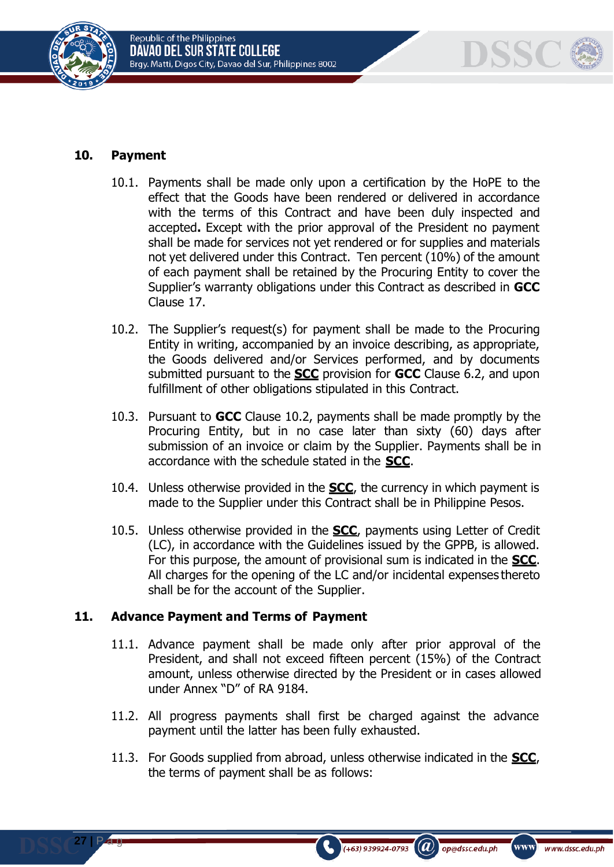



#### **10. Payment**

**27 |** P a g

- 10.1. Payments shall be made only upon a certification by the HoPE to the effect that the Goods have been rendered or delivered in accordance with the terms of this Contract and have been duly inspected and accepted**.** Except with the prior approval of the President no payment shall be made for services not yet rendered or for supplies and materials not yet delivered under this Contract. Ten percent (10%) of the amount of each payment shall be retained by the Procuring Entity to cover the Supplier's warranty obligations under this Contract as described in **GCC**  Clause 17.
- 10.2. The Supplier's request(s) for payment shall be made to the Procuring Entity in writing, accompanied by an invoice describing, as appropriate, the Goods delivered and/or Services performed, and by documents submitted pursuant to the **SCC** provision for **GCC** Clause 6.2, and upon fulfillment of other obligations stipulated in this Contract.
- 10.3. Pursuant to **GCC** Clause 10.2, payments shall be made promptly by the Procuring Entity, but in no case later than sixty (60) days after submission of an invoice or claim by the Supplier. Payments shall be in accordance with the schedule stated in the **SCC**.
- 10.4. Unless otherwise provided in the **SCC**, the currency in which payment is made to the Supplier under this Contract shall be in Philippine Pesos.
- 10.5. Unless otherwise provided in the **SCC**, payments using Letter of Credit (LC), in accordance with the Guidelines issued by the GPPB, is allowed. For this purpose, the amount of provisional sum is indicated in the **SCC**. All charges for the opening of the LC and/or incidental expenses thereto shall be for the account of the Supplier.

#### **11. Advance Payment and Terms of Payment**

- 11.1. Advance payment shall be made only after prior approval of the President, and shall not exceed fifteen percent (15%) of the Contract amount, unless otherwise directed by the President or in cases allowed under Annex "D" of RA 9184.
- 11.2. All progress payments shall first be charged against the advance payment until the latter has been fully exhausted.
- 11.3. For Goods supplied from abroad, unless otherwise indicated in the **SCC**, the terms of payment shall be as follows:

 $(a)$ 

op@dssc.edu.ph

 $(+63)$  939924-0793

www)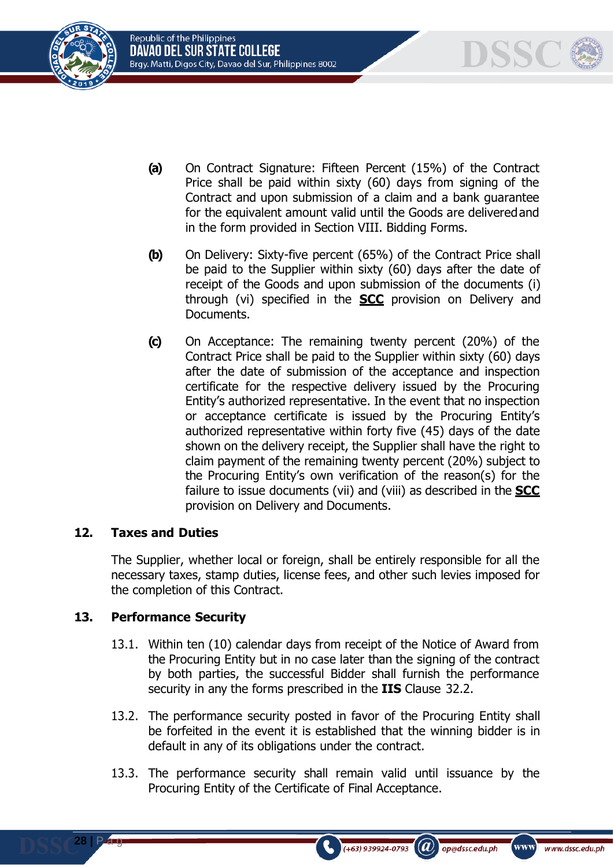Republic of the Philippines Davao del sur state college Brgy. Matti, Digos City, Davao del Sur, Philippines 8002





- **(a)** On Contract Signature: Fifteen Percent (15%) of the Contract Price shall be paid within sixty (60) days from signing of the Contract and upon submission of a claim and a bank guarantee for the equivalent amount valid until the Goods are deliveredand in the form provided in Section VIII. Bidding Forms.
- **(b)** On Delivery: Sixty-five percent (65%) of the Contract Price shall be paid to the Supplier within sixty (60) days after the date of receipt of the Goods and upon submission of the documents (i) through (vi) specified in the **SCC** provision on Delivery and Documents.
- **(c)** On Acceptance: The remaining twenty percent (20%) of the Contract Price shall be paid to the Supplier within sixty (60) days after the date of submission of the acceptance and inspection certificate for the respective delivery issued by the Procuring Entity's authorized representative. In the event that no inspection or acceptance certificate is issued by the Procuring Entity's authorized representative within forty five (45) days of the date shown on the delivery receipt, the Supplier shall have the right to claim payment of the remaining twenty percent (20%) subject to the Procuring Entity's own verification of the reason(s) for the failure to issue documents (vii) and (viii) as described in the **SCC** provision on Delivery and Documents.

## **12. Taxes and Duties**

The Supplier, whether local or foreign, shall be entirely responsible for all the necessary taxes, stamp duties, license fees, and other such levies imposed for the completion of this Contract.

## **13. Performance Security**

**28 |** P a g

- 13.1. Within ten (10) calendar days from receipt of the Notice of Award from the Procuring Entity but in no case later than the signing of the contract by both parties, the successful Bidder shall furnish the performance security in any the forms prescribed in the **IIS** Clause 32.2.
- 13.2. The performance security posted in favor of the Procuring Entity shall be forfeited in the event it is established that the winning bidder is in default in any of its obligations under the contract.
- 13.3. The performance security shall remain valid until issuance by the Procuring Entity of the Certificate of Final Acceptance.

 $(a)$ 

op@dssc.edu.ph

 $(+63)$  939924-0793

www)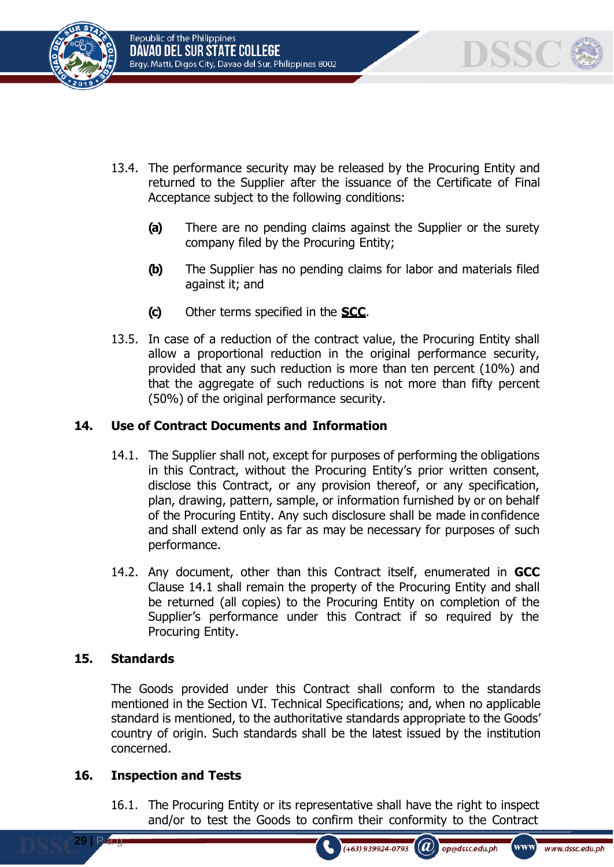





- 13.4. The performance security may be released by the Procuring Entity and returned to the Supplier after the issuance of the Certificate of Final Acceptance subject to the following conditions:
	- **(a)** There are no pending claims against the Supplier or the surety company filed by the Procuring Entity;
	- **(b)** The Supplier has no pending claims for labor and materials filed against it; and
	- **(c)** Other terms specified in the **SCC**.
- 13.5. In case of a reduction of the contract value, the Procuring Entity shall allow a proportional reduction in the original performance security, provided that any such reduction is more than ten percent (10%) and that the aggregate of such reductions is not more than fifty percent (50%) of the original performance security.

# **14. Use of Contract Documents and Information**

- 14.1. The Supplier shall not, except for purposes of performing the obligations in this Contract, without the Procuring Entity's prior written consent, disclose this Contract, or any provision thereof, or any specification, plan, drawing, pattern, sample, or information furnished by or on behalf of the Procuring Entity. Any such disclosure shall be made in confidence and shall extend only as far as may be necessary for purposes of such performance.
- 14.2. Any document, other than this Contract itself, enumerated in **GCC**  Clause 14.1 shall remain the property of the Procuring Entity and shall be returned (all copies) to the Procuring Entity on completion of the Supplier's performance under this Contract if so required by the Procuring Entity.

## **15. Standards**

**29 |** P a g

The Goods provided under this Contract shall conform to the standards mentioned in the Section VI. Technical Specifications; and, when no applicable standard is mentioned, to the authoritative standards appropriate to the Goods' country of origin. Such standards shall be the latest issued by the institution concerned.

## **16. Inspection and Tests**

16.1. The Procuring Entity or its representative shall have the right to inspect and/or to test the Goods to confirm their conformity to the Contract

op@dssc.edu.ph

 $(a)$ 

 $(+63)$  939924-0793

www www.dssc.edu.ph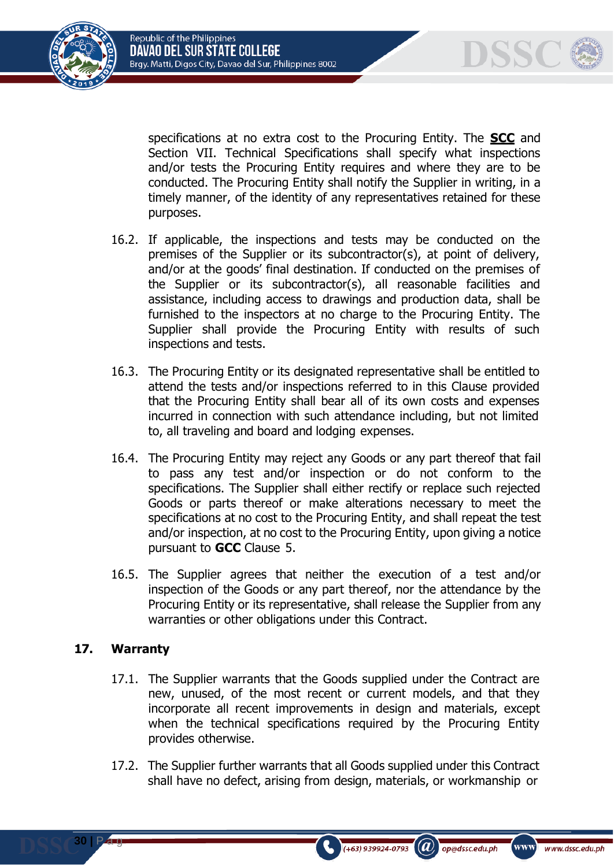



specifications at no extra cost to the Procuring Entity. The **SCC** and Section VII. Technical Specifications shall specify what inspections and/or tests the Procuring Entity requires and where they are to be conducted. The Procuring Entity shall notify the Supplier in writing, in a timely manner, of the identity of any representatives retained for these purposes.

- 16.2. If applicable, the inspections and tests may be conducted on the premises of the Supplier or its subcontractor(s), at point of delivery, and/or at the goods' final destination. If conducted on the premises of the Supplier or its subcontractor(s), all reasonable facilities and assistance, including access to drawings and production data, shall be furnished to the inspectors at no charge to the Procuring Entity. The Supplier shall provide the Procuring Entity with results of such inspections and tests.
- 16.3. The Procuring Entity or its designated representative shall be entitled to attend the tests and/or inspections referred to in this Clause provided that the Procuring Entity shall bear all of its own costs and expenses incurred in connection with such attendance including, but not limited to, all traveling and board and lodging expenses.
- 16.4. The Procuring Entity may reject any Goods or any part thereof that fail to pass any test and/or inspection or do not conform to the specifications. The Supplier shall either rectify or replace such rejected Goods or parts thereof or make alterations necessary to meet the specifications at no cost to the Procuring Entity, and shall repeat the test and/or inspection, at no cost to the Procuring Entity, upon giving a notice pursuant to **GCC** Clause 5.
- 16.5. The Supplier agrees that neither the execution of a test and/or inspection of the Goods or any part thereof, nor the attendance by the Procuring Entity or its representative, shall release the Supplier from any warranties or other obligations under this Contract.

## **17. Warranty**

**30 |** P a g

- 17.1. The Supplier warrants that the Goods supplied under the Contract are new, unused, of the most recent or current models, and that they incorporate all recent improvements in design and materials, except when the technical specifications required by the Procuring Entity provides otherwise.
- 17.2. The Supplier further warrants that all Goods supplied under this Contract shall have no defect, arising from design, materials, or workmanship or

 $(a)$ 

op@dssc.edu.ph

 $(+63)$  939924-0793

www)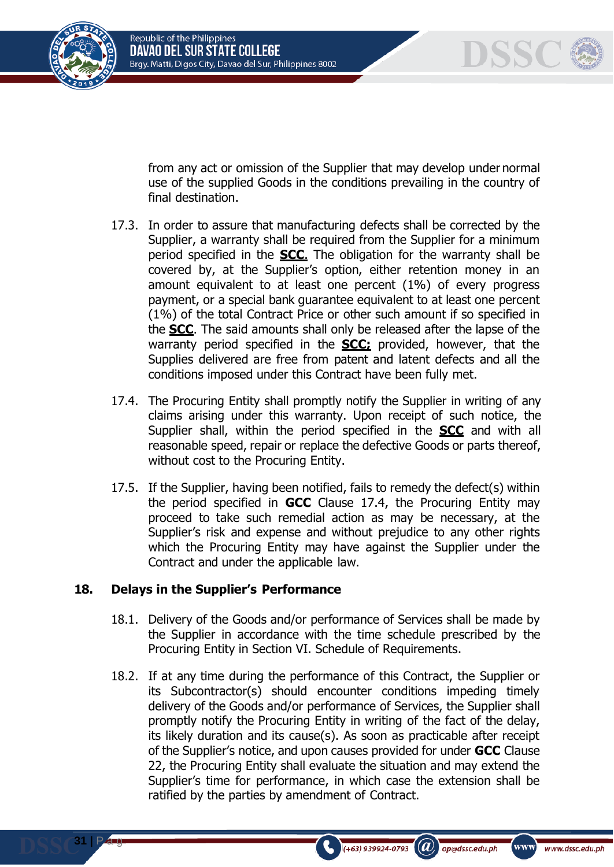



from any act or omission of the Supplier that may develop under normal use of the supplied Goods in the conditions prevailing in the country of final destination.

- 17.3. In order to assure that manufacturing defects shall be corrected by the Supplier, a warranty shall be required from the Supplier for a minimum period specified in the **SCC**. The obligation for the warranty shall be covered by, at the Supplier's option, either retention money in an amount equivalent to at least one percent (1%) of every progress payment, or a special bank guarantee equivalent to at least one percent (1%) of the total Contract Price or other such amount if so specified in the **SCC**. The said amounts shall only be released after the lapse of the warranty period specified in the **SCC;** provided, however, that the Supplies delivered are free from patent and latent defects and all the conditions imposed under this Contract have been fully met.
- 17.4. The Procuring Entity shall promptly notify the Supplier in writing of any claims arising under this warranty. Upon receipt of such notice, the Supplier shall, within the period specified in the **SCC** and with all reasonable speed, repair or replace the defective Goods or parts thereof, without cost to the Procuring Entity.
- 17.5. If the Supplier, having been notified, fails to remedy the defect(s) within the period specified in **GCC** Clause 17.4, the Procuring Entity may proceed to take such remedial action as may be necessary, at the Supplier's risk and expense and without prejudice to any other rights which the Procuring Entity may have against the Supplier under the Contract and under the applicable law.

# **18. Delays in the Supplier's Performance**

**31 |** P a g

- 18.1. Delivery of the Goods and/or performance of Services shall be made by the Supplier in accordance with the time schedule prescribed by the Procuring Entity in Section VI. Schedule of Requirements.
- 18.2. If at any time during the performance of this Contract, the Supplier or its Subcontractor(s) should encounter conditions impeding timely delivery of the Goods and/or performance of Services, the Supplier shall promptly notify the Procuring Entity in writing of the fact of the delay, its likely duration and its cause(s). As soon as practicable after receipt of the Supplier's notice, and upon causes provided for under **GCC** Clause 22, the Procuring Entity shall evaluate the situation and may extend the Supplier's time for performance, in which case the extension shall be ratified by the parties by amendment of Contract.

 $(+63)$  939924-0793

 $\left(\boldsymbol{a}\right)$  op@dssc.edu.ph

www)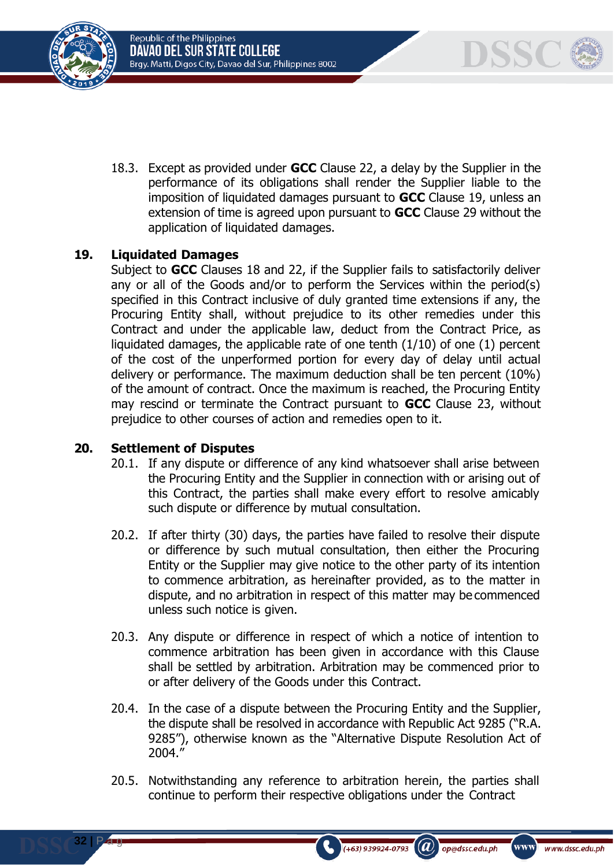Republic of the Philippines DAVAO DEL SUR STATE COLLEGE Brgy. Matti, Digos City, Davao del Sur, Philippines 8002



18.3. Except as provided under **GCC** Clause 22, a delay by the Supplier in the performance of its obligations shall render the Supplier liable to the imposition of liquidated damages pursuant to **GCC** Clause 19, unless an extension of time is agreed upon pursuant to **GCC** Clause 29 without the application of liquidated damages.

# **19. Liquidated Damages**

Subject to **GCC** Clauses 18 and 22, if the Supplier fails to satisfactorily deliver any or all of the Goods and/or to perform the Services within the period(s) specified in this Contract inclusive of duly granted time extensions if any, the Procuring Entity shall, without prejudice to its other remedies under this Contract and under the applicable law, deduct from the Contract Price, as liquidated damages, the applicable rate of one tenth (1/10) of one (1) percent of the cost of the unperformed portion for every day of delay until actual delivery or performance. The maximum deduction shall be ten percent (10%) of the amount of contract. Once the maximum is reached, the Procuring Entity may rescind or terminate the Contract pursuant to **GCC** Clause 23, without prejudice to other courses of action and remedies open to it.

## **20. Settlement of Disputes**

**32 |** P a g

- 20.1. If any dispute or difference of any kind whatsoever shall arise between the Procuring Entity and the Supplier in connection with or arising out of this Contract, the parties shall make every effort to resolve amicably such dispute or difference by mutual consultation.
- 20.2. If after thirty (30) days, the parties have failed to resolve their dispute or difference by such mutual consultation, then either the Procuring Entity or the Supplier may give notice to the other party of its intention to commence arbitration, as hereinafter provided, as to the matter in dispute, and no arbitration in respect of this matter may be commenced unless such notice is given.
- 20.3. Any dispute or difference in respect of which a notice of intention to commence arbitration has been given in accordance with this Clause shall be settled by arbitration. Arbitration may be commenced prior to or after delivery of the Goods under this Contract.
- 20.4. In the case of a dispute between the Procuring Entity and the Supplier, the dispute shall be resolved in accordance with Republic Act 9285 ("R.A. 9285"), otherwise known as the "Alternative Dispute Resolution Act of 2004."
- 20.5. Notwithstanding any reference to arbitration herein, the parties shall continue to perform their respective obligations under the Contract

 $(a)$ 

op@dssc.edu.ph

 $(+63)$  939924-0793

www)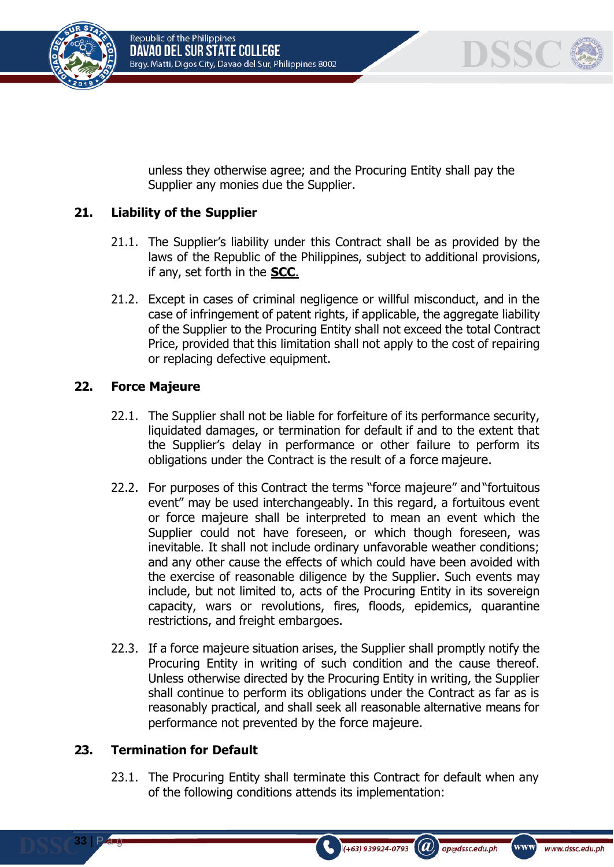



unless they otherwise agree; and the Procuring Entity shall pay the Supplier any monies due the Supplier.

# **21. Liability of the Supplier**

- 21.1. The Supplier's liability under this Contract shall be as provided by the laws of the Republic of the Philippines, subject to additional provisions, if any, set forth in the **SCC**.
- 21.2. Except in cases of criminal negligence or willful misconduct, and in the case of infringement of patent rights, if applicable, the aggregate liability of the Supplier to the Procuring Entity shall not exceed the total Contract Price, provided that this limitation shall not apply to the cost of repairing or replacing defective equipment.

## **22. Force Majeure**

- 22.1. The Supplier shall not be liable for forfeiture of its performance security, liquidated damages, or termination for default if and to the extent that the Supplier's delay in performance or other failure to perform its obligations under the Contract is the result of a force majeure.
- 22.2. For purposes of this Contract the terms "force majeure" and "fortuitous event" may be used interchangeably. In this regard, a fortuitous event or force majeure shall be interpreted to mean an event which the Supplier could not have foreseen, or which though foreseen, was inevitable. It shall not include ordinary unfavorable weather conditions; and any other cause the effects of which could have been avoided with the exercise of reasonable diligence by the Supplier. Such events may include, but not limited to, acts of the Procuring Entity in its sovereign capacity, wars or revolutions, fires, floods, epidemics, quarantine restrictions, and freight embargoes.
- 22.3. If a force majeure situation arises, the Supplier shall promptly notify the Procuring Entity in writing of such condition and the cause thereof. Unless otherwise directed by the Procuring Entity in writing, the Supplier shall continue to perform its obligations under the Contract as far as is reasonably practical, and shall seek all reasonable alternative means for performance not prevented by the force majeure.

## **23. Termination for Default**

**33 |** P a g

23.1. The Procuring Entity shall terminate this Contract for default when any of the following conditions attends its implementation:

 $(a)$ 

op@dssc.edu.ph

 $(+63)$  939924-0793

www)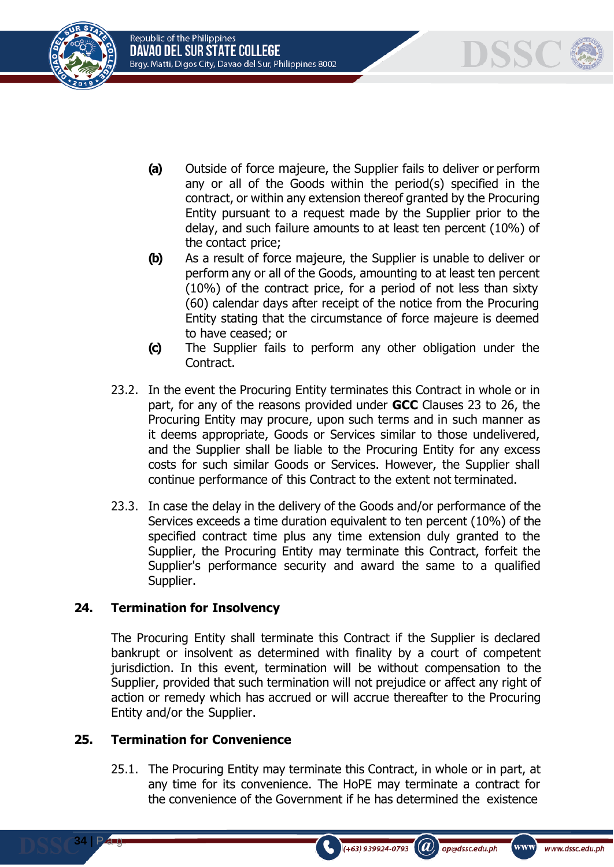



- **(a)** Outside of force majeure, the Supplier fails to deliver or perform any or all of the Goods within the period(s) specified in the contract, or within any extension thereof granted by the Procuring Entity pursuant to a request made by the Supplier prior to the delay, and such failure amounts to at least ten percent (10%) of the contact price;
- **(b)** As a result of force majeure, the Supplier is unable to deliver or perform any or all of the Goods, amounting to at least ten percent (10%) of the contract price, for a period of not less than sixty (60) calendar days after receipt of the notice from the Procuring Entity stating that the circumstance of force majeure is deemed to have ceased; or
- **(c)** The Supplier fails to perform any other obligation under the Contract.
- 23.2. In the event the Procuring Entity terminates this Contract in whole or in part, for any of the reasons provided under **GCC** Clauses 23 to 26, the Procuring Entity may procure, upon such terms and in such manner as it deems appropriate, Goods or Services similar to those undelivered, and the Supplier shall be liable to the Procuring Entity for any excess costs for such similar Goods or Services. However, the Supplier shall continue performance of this Contract to the extent not terminated.
- 23.3. In case the delay in the delivery of the Goods and/or performance of the Services exceeds a time duration equivalent to ten percent (10%) of the specified contract time plus any time extension duly granted to the Supplier, the Procuring Entity may terminate this Contract, forfeit the Supplier's performance security and award the same to a qualified Supplier.

# **24. Termination for Insolvency**

The Procuring Entity shall terminate this Contract if the Supplier is declared bankrupt or insolvent as determined with finality by a court of competent jurisdiction. In this event, termination will be without compensation to the Supplier, provided that such termination will not prejudice or affect any right of action or remedy which has accrued or will accrue thereafter to the Procuring Entity and/or the Supplier.

## **25. Termination for Convenience**

**34 |** P a g

25.1. The Procuring Entity may terminate this Contract, in whole or in part, at any time for its convenience. The HoPE may terminate a contract for the convenience of the Government if he has determined the existence

 $(a)$ 

op@dssc.edu.ph

 $(+63)$  939924-0793

www)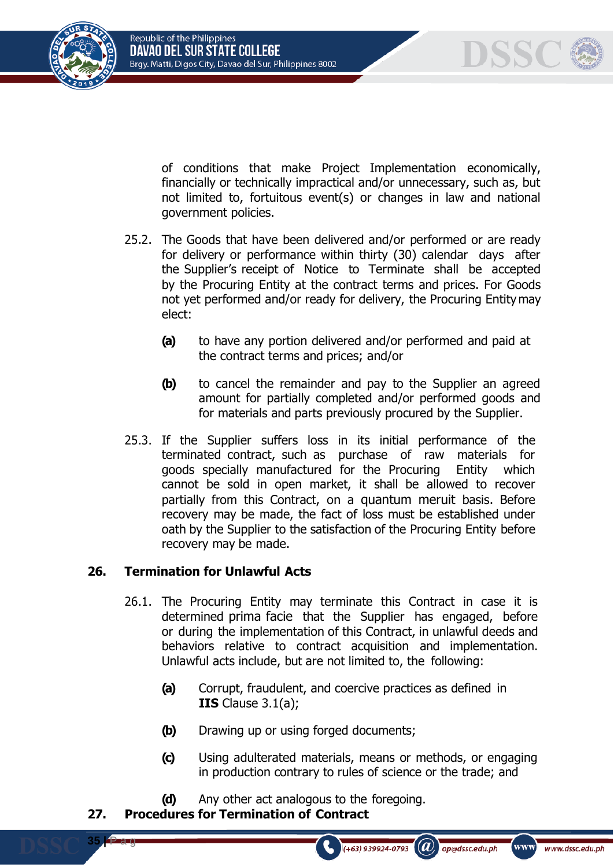



of conditions that make Project Implementation economically, financially or technically impractical and/or unnecessary, such as, but not limited to, fortuitous event(s) or changes in law and national government policies.

- 25.2. The Goods that have been delivered and/or performed or are ready for delivery or performance within thirty (30) calendar days after the Supplier's receipt of Notice to Terminate shall be accepted by the Procuring Entity at the contract terms and prices. For Goods not yet performed and/or ready for delivery, the Procuring Entity may elect:
	- **(a)** to have any portion delivered and/or performed and paid at the contract terms and prices; and/or
	- **(b)** to cancel the remainder and pay to the Supplier an agreed amount for partially completed and/or performed goods and for materials and parts previously procured by the Supplier.
- 25.3. If the Supplier suffers loss in its initial performance of the terminated contract, such as purchase of raw materials for goods specially manufactured for the Procuring Entity which cannot be sold in open market, it shall be allowed to recover partially from this Contract, on a quantum meruit basis. Before recovery may be made, the fact of loss must be established under oath by the Supplier to the satisfaction of the Procuring Entity before recovery may be made.

# **26. Termination for Unlawful Acts**

- 26.1. The Procuring Entity may terminate this Contract in case it is determined prima facie that the Supplier has engaged, before or during the implementation of this Contract, in unlawful deeds and behaviors relative to contract acquisition and implementation. Unlawful acts include, but are not limited to, the following:
	- **(a)** Corrupt, fraudulent, and coercive practices as defined in **IIS** Clause 3.1(a);
	- **(b)** Drawing up or using forged documents;
	- **(c)** Using adulterated materials, means or methods, or engaging in production contrary to rules of science or the trade; and

 $(+63)$  939924-0793

 $\mathcal{L}(\boldsymbol{a})$ 

op@dssc.edu.ph

www)

www.dssc.edu.ph

**(d)** Any other act analogous to the foregoing.

# **27. Procedures for Termination of Contract**

**35 |** P a g

e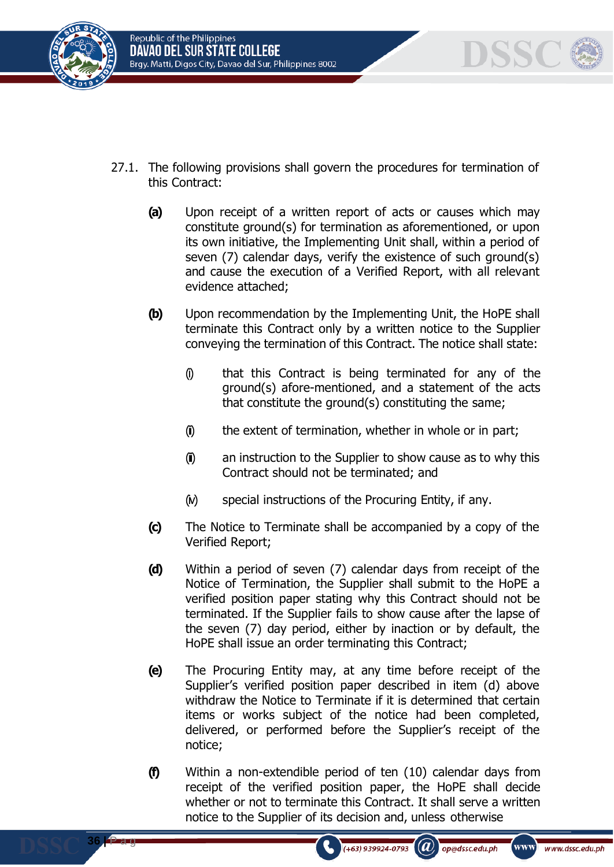

**36 |** P a g

e



- 27.1. The following provisions shall govern the procedures for termination of this Contract:
	- **(a)** Upon receipt of a written report of acts or causes which may constitute ground(s) for termination as aforementioned, or upon its own initiative, the Implementing Unit shall, within a period of seven (7) calendar days, verify the existence of such ground(s) and cause the execution of a Verified Report, with all relevant evidence attached;
	- **(b)** Upon recommendation by the Implementing Unit, the HoPE shall terminate this Contract only by a written notice to the Supplier conveying the termination of this Contract. The notice shall state:
		- (i) that this Contract is being terminated for any of the ground(s) afore-mentioned, and a statement of the acts that constitute the ground(s) constituting the same;
		- $(i)$  the extent of termination, whether in whole or in part;
		- (ii) an instruction to the Supplier to show cause as to why this Contract should not be terminated; and
		- $(w)$  special instructions of the Procuring Entity, if any.
	- **(c)** The Notice to Terminate shall be accompanied by a copy of the Verified Report;
	- **(d)** Within a period of seven (7) calendar days from receipt of the Notice of Termination, the Supplier shall submit to the HoPE a verified position paper stating why this Contract should not be terminated. If the Supplier fails to show cause after the lapse of the seven (7) day period, either by inaction or by default, the HoPE shall issue an order terminating this Contract;
	- **(e)** The Procuring Entity may, at any time before receipt of the Supplier's verified position paper described in item (d) above withdraw the Notice to Terminate if it is determined that certain items or works subject of the notice had been completed, delivered, or performed before the Supplier's receipt of the notice;
	- **(f)** Within a non-extendible period of ten (10) calendar days from receipt of the verified position paper, the HoPE shall decide whether or not to terminate this Contract. It shall serve a written notice to the Supplier of its decision and, unless otherwise

 $(+63)$  939924-0793

 $(a)$ 

op@dssc.edu.ph

www)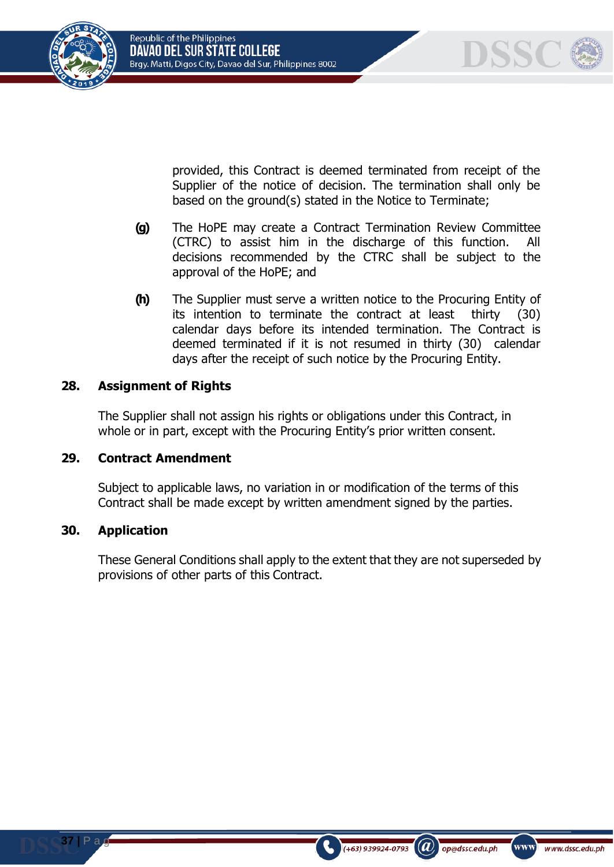



provided, this Contract is deemed terminated from receipt of the Supplier of the notice of decision. The termination shall only be based on the ground(s) stated in the Notice to Terminate;

- **(g)** The HoPE may create a Contract Termination Review Committee (CTRC) to assist him in the discharge of this function. All decisions recommended by the CTRC shall be subject to the approval of the HoPE; and
- **(h)** The Supplier must serve a written notice to the Procuring Entity of its intention to terminate the contract at least thirty (30) calendar days before its intended termination. The Contract is deemed terminated if it is not resumed in thirty (30) calendar days after the receipt of such notice by the Procuring Entity.

# **28. Assignment of Rights**

The Supplier shall not assign his rights or obligations under this Contract, in whole or in part, except with the Procuring Entity's prior written consent.

# **29. Contract Amendment**

Subject to applicable laws, no variation in or modification of the terms of this Contract shall be made except by written amendment signed by the parties.

# **30. Application**

 $P \in$ 

These General Conditions shall apply to the extent that they are not superseded by provisions of other parts of this Contract.

 $(a)$ 

op@dssc.edu.ph

 $(+63)$  939924-0793

www)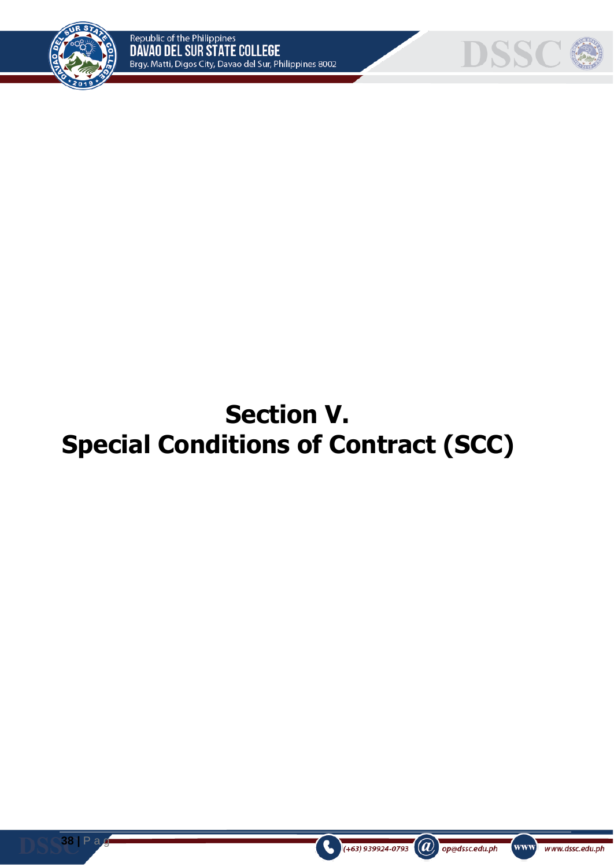



# **Section V. Special Conditions of Contract (SCC)**

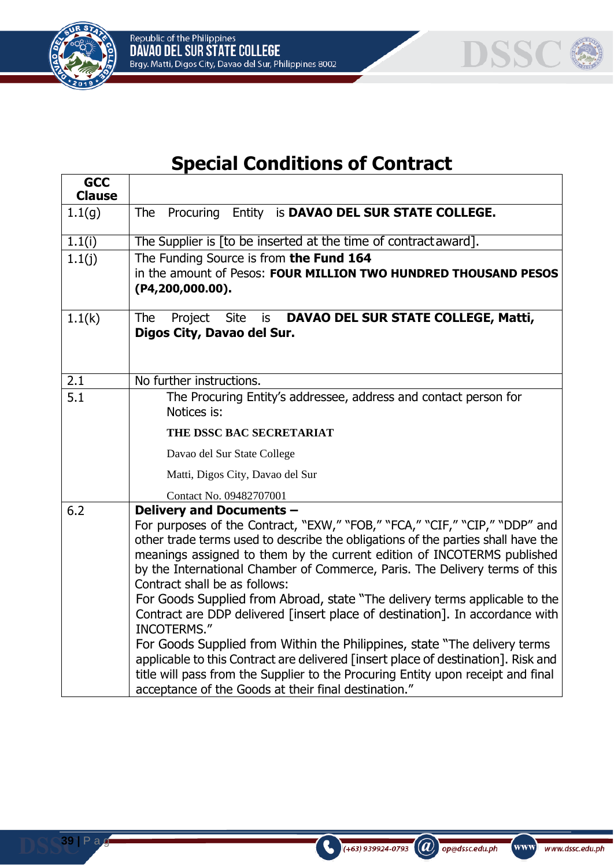



# **Special Conditions of Contract**

| <b>GCC</b><br><b>Clause</b> |                                                                                                                                                                                                                                                                                                                                                                                                                                                                                                                                                                                                                                                                                                                                                                                                                                                                                          |
|-----------------------------|------------------------------------------------------------------------------------------------------------------------------------------------------------------------------------------------------------------------------------------------------------------------------------------------------------------------------------------------------------------------------------------------------------------------------------------------------------------------------------------------------------------------------------------------------------------------------------------------------------------------------------------------------------------------------------------------------------------------------------------------------------------------------------------------------------------------------------------------------------------------------------------|
| 1.1(g)                      | The Procuring<br>Entity is DAVAO DEL SUR STATE COLLEGE.                                                                                                                                                                                                                                                                                                                                                                                                                                                                                                                                                                                                                                                                                                                                                                                                                                  |
| 1.1(i)                      | The Supplier is [to be inserted at the time of contract award].                                                                                                                                                                                                                                                                                                                                                                                                                                                                                                                                                                                                                                                                                                                                                                                                                          |
| 1.1(j)                      | The Funding Source is from the Fund 164<br>in the amount of Pesos: FOUR MILLION TWO HUNDRED THOUSAND PESOS<br>(P4, 200, 000.00).                                                                                                                                                                                                                                                                                                                                                                                                                                                                                                                                                                                                                                                                                                                                                         |
| 1.1(k)                      | DAVAO DEL SUR STATE COLLEGE, Matti,<br>The<br><b>Site</b><br>Project<br>is<br>Digos City, Davao del Sur.                                                                                                                                                                                                                                                                                                                                                                                                                                                                                                                                                                                                                                                                                                                                                                                 |
| 2.1                         | No further instructions.                                                                                                                                                                                                                                                                                                                                                                                                                                                                                                                                                                                                                                                                                                                                                                                                                                                                 |
| 5.1                         | The Procuring Entity's addressee, address and contact person for<br>Notices is:                                                                                                                                                                                                                                                                                                                                                                                                                                                                                                                                                                                                                                                                                                                                                                                                          |
|                             | THE DSSC BAC SECRETARIAT                                                                                                                                                                                                                                                                                                                                                                                                                                                                                                                                                                                                                                                                                                                                                                                                                                                                 |
|                             | Davao del Sur State College                                                                                                                                                                                                                                                                                                                                                                                                                                                                                                                                                                                                                                                                                                                                                                                                                                                              |
|                             | Matti, Digos City, Davao del Sur                                                                                                                                                                                                                                                                                                                                                                                                                                                                                                                                                                                                                                                                                                                                                                                                                                                         |
|                             | Contact No. 09482707001                                                                                                                                                                                                                                                                                                                                                                                                                                                                                                                                                                                                                                                                                                                                                                                                                                                                  |
| 6.2                         | Delivery and Documents -<br>For purposes of the Contract, "EXW," "FOB," "FCA," "CIF," "CIP," "DDP" and<br>other trade terms used to describe the obligations of the parties shall have the<br>meanings assigned to them by the current edition of INCOTERMS published<br>by the International Chamber of Commerce, Paris. The Delivery terms of this<br>Contract shall be as follows:<br>For Goods Supplied from Abroad, state "The delivery terms applicable to the<br>Contract are DDP delivered [insert place of destination]. In accordance with<br><b>INCOTERMS."</b><br>For Goods Supplied from Within the Philippines, state "The delivery terms<br>applicable to this Contract are delivered [insert place of destination]. Risk and<br>title will pass from the Supplier to the Procuring Entity upon receipt and final<br>acceptance of the Goods at their final destination." |

 $\bigodot$  (+63) 939924-0793 (a) op@dssc.edu.ph

www www.dssc.edu.ph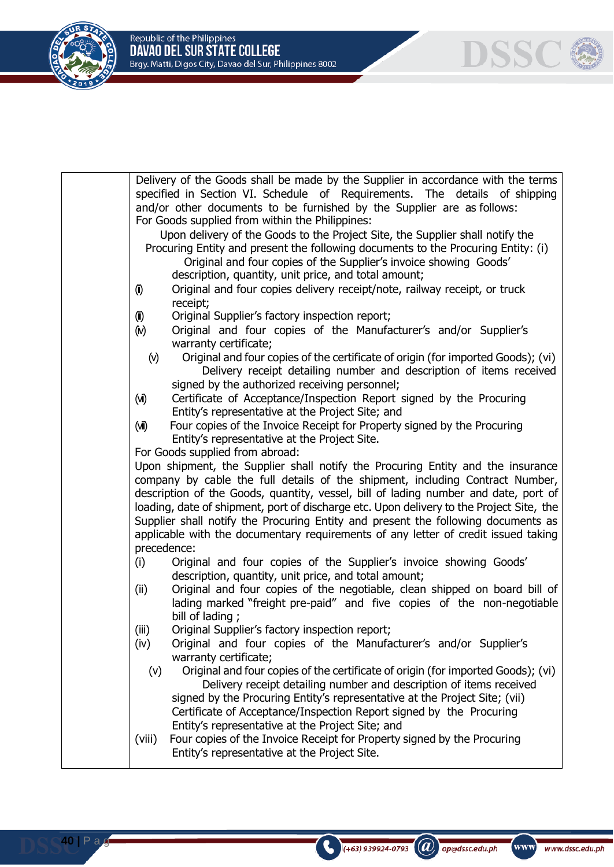**DSSC** 



|                                                                               | Delivery of the Goods shall be made by the Supplier in accordance with the terms<br>specified in Section VI. Schedule of Requirements. The details of shipping          |  |  |  |  |  |
|-------------------------------------------------------------------------------|-------------------------------------------------------------------------------------------------------------------------------------------------------------------------|--|--|--|--|--|
| and/or other documents to be furnished by the Supplier are as follows:        |                                                                                                                                                                         |  |  |  |  |  |
|                                                                               | For Goods supplied from within the Philippines:                                                                                                                         |  |  |  |  |  |
| Upon delivery of the Goods to the Project Site, the Supplier shall notify the |                                                                                                                                                                         |  |  |  |  |  |
|                                                                               | Procuring Entity and present the following documents to the Procuring Entity: (i)                                                                                       |  |  |  |  |  |
|                                                                               | Original and four copies of the Supplier's invoice showing Goods'                                                                                                       |  |  |  |  |  |
|                                                                               | description, quantity, unit price, and total amount;                                                                                                                    |  |  |  |  |  |
| $\left( 0 \right)$                                                            | Original and four copies delivery receipt/note, railway receipt, or truck                                                                                               |  |  |  |  |  |
|                                                                               | receipt;                                                                                                                                                                |  |  |  |  |  |
| $\left( \tilde{\mathbf{I}} \right)$                                           | Original Supplier's factory inspection report;                                                                                                                          |  |  |  |  |  |
| (M)                                                                           | Original and four copies of the Manufacturer's and/or Supplier's                                                                                                        |  |  |  |  |  |
|                                                                               | warranty certificate;                                                                                                                                                   |  |  |  |  |  |
| $(\vee)$                                                                      | Original and four copies of the certificate of origin (for imported Goods); (vi)                                                                                        |  |  |  |  |  |
|                                                                               | Delivery receipt detailing number and description of items received                                                                                                     |  |  |  |  |  |
|                                                                               | signed by the authorized receiving personnel;                                                                                                                           |  |  |  |  |  |
| $(\vec{M})$                                                                   | Certificate of Acceptance/Inspection Report signed by the Procuring                                                                                                     |  |  |  |  |  |
|                                                                               | Entity's representative at the Project Site; and                                                                                                                        |  |  |  |  |  |
| (WI)                                                                          | Four copies of the Invoice Receipt for Property signed by the Procuring                                                                                                 |  |  |  |  |  |
|                                                                               | Entity's representative at the Project Site.                                                                                                                            |  |  |  |  |  |
|                                                                               | For Goods supplied from abroad:                                                                                                                                         |  |  |  |  |  |
|                                                                               | Upon shipment, the Supplier shall notify the Procuring Entity and the insurance                                                                                         |  |  |  |  |  |
|                                                                               | company by cable the full details of the shipment, including Contract Number,                                                                                           |  |  |  |  |  |
|                                                                               | description of the Goods, quantity, vessel, bill of lading number and date, port of                                                                                     |  |  |  |  |  |
|                                                                               | loading, date of shipment, port of discharge etc. Upon delivery to the Project Site, the                                                                                |  |  |  |  |  |
|                                                                               | Supplier shall notify the Procuring Entity and present the following documents as<br>applicable with the documentary requirements of any letter of credit issued taking |  |  |  |  |  |
| precedence:                                                                   |                                                                                                                                                                         |  |  |  |  |  |
| (i)                                                                           | Original and four copies of the Supplier's invoice showing Goods'                                                                                                       |  |  |  |  |  |
|                                                                               | description, quantity, unit price, and total amount;                                                                                                                    |  |  |  |  |  |
| (ii)                                                                          | Original and four copies of the negotiable, clean shipped on board bill of                                                                                              |  |  |  |  |  |
|                                                                               | lading marked "freight pre-paid" and five copies of the non-negotiable                                                                                                  |  |  |  |  |  |
|                                                                               | bill of lading;                                                                                                                                                         |  |  |  |  |  |
| (iii)                                                                         | Original Supplier's factory inspection report;                                                                                                                          |  |  |  |  |  |
| (iv)                                                                          | Original and four copies of the Manufacturer's and/or Supplier's                                                                                                        |  |  |  |  |  |
|                                                                               | warranty certificate;                                                                                                                                                   |  |  |  |  |  |
| (v)                                                                           | Original and four copies of the certificate of origin (for imported Goods); (vi)                                                                                        |  |  |  |  |  |
|                                                                               | Delivery receipt detailing number and description of items received                                                                                                     |  |  |  |  |  |
|                                                                               | signed by the Procuring Entity's representative at the Project Site; (vii)                                                                                              |  |  |  |  |  |
|                                                                               | Certificate of Acceptance/Inspection Report signed by the Procuring                                                                                                     |  |  |  |  |  |
|                                                                               | Entity's representative at the Project Site; and                                                                                                                        |  |  |  |  |  |
| (viii)                                                                        | Four copies of the Invoice Receipt for Property signed by the Procuring                                                                                                 |  |  |  |  |  |
|                                                                               | Entity's representative at the Project Site.                                                                                                                            |  |  |  |  |  |
|                                                                               |                                                                                                                                                                         |  |  |  |  |  |

 $\bigcirc$  (+63) 939924-0793 (a) op@dssc.edu.ph

www)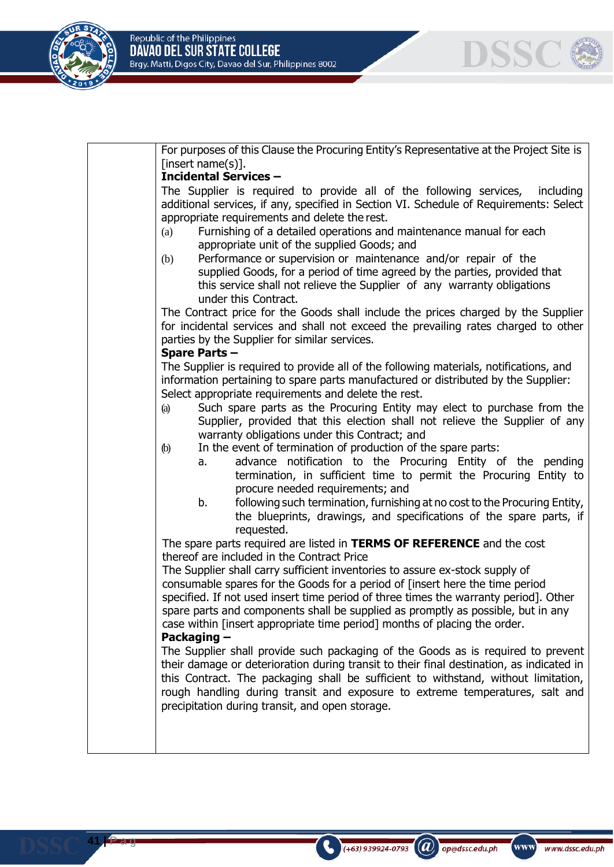

**41 |** P a g e

| For purposes of this Clause the Procuring Entity's Representative at the Project Site is<br>[insert name(s)].                                                                                                                                                                                                                                                                                                                        |
|--------------------------------------------------------------------------------------------------------------------------------------------------------------------------------------------------------------------------------------------------------------------------------------------------------------------------------------------------------------------------------------------------------------------------------------|
| <b>Incidental Services -</b>                                                                                                                                                                                                                                                                                                                                                                                                         |
| The Supplier is required to provide all of the following services,<br>including<br>additional services, if any, specified in Section VI. Schedule of Requirements: Select<br>appropriate requirements and delete the rest.                                                                                                                                                                                                           |
| Furnishing of a detailed operations and maintenance manual for each<br>(a)<br>appropriate unit of the supplied Goods; and                                                                                                                                                                                                                                                                                                            |
| Performance or supervision or maintenance and/or repair of the<br>(b)<br>supplied Goods, for a period of time agreed by the parties, provided that<br>this service shall not relieve the Supplier of any warranty obligations<br>under this Contract.                                                                                                                                                                                |
| The Contract price for the Goods shall include the prices charged by the Supplier<br>for incidental services and shall not exceed the prevailing rates charged to other<br>parties by the Supplier for similar services.<br><b>Spare Parts-</b>                                                                                                                                                                                      |
| The Supplier is required to provide all of the following materials, notifications, and<br>information pertaining to spare parts manufactured or distributed by the Supplier:<br>Select appropriate requirements and delete the rest.                                                                                                                                                                                                 |
| Such spare parts as the Procuring Entity may elect to purchase from the<br>(a)<br>Supplier, provided that this election shall not relieve the Supplier of any<br>warranty obligations under this Contract; and                                                                                                                                                                                                                       |
| In the event of termination of production of the spare parts:<br>(b)<br>advance notification to the Procuring Entity of the pending<br>а.<br>termination, in sufficient time to permit the Procuring Entity to<br>procure needed requirements; and                                                                                                                                                                                   |
| b.<br>following such termination, furnishing at no cost to the Procuring Entity,<br>the blueprints, drawings, and specifications of the spare parts, if<br>requested.                                                                                                                                                                                                                                                                |
| The spare parts required are listed in <b>TERMS OF REFERENCE</b> and the cost<br>thereof are included in the Contract Price                                                                                                                                                                                                                                                                                                          |
| The Supplier shall carry sufficient inventories to assure ex-stock supply of<br>consumable spares for the Goods for a period of [insert here the time period<br>specified. If not used insert time period of three times the warranty period]. Other<br>spare parts and components shall be supplied as promptly as possible, but in any<br>case within [insert appropriate time period] months of placing the order.<br>Packaging - |
| The Supplier shall provide such packaging of the Goods as is required to prevent<br>their damage or deterioration during transit to their final destination, as indicated in<br>this Contract. The packaging shall be sufficient to withstand, without limitation,<br>rough handling during transit and exposure to extreme temperatures, salt and<br>precipitation during transit, and open storage.                                |
|                                                                                                                                                                                                                                                                                                                                                                                                                                      |

 $\bigodot$  (+63) 939924-0793 (a) op@dssc.edu.ph

**DSSC**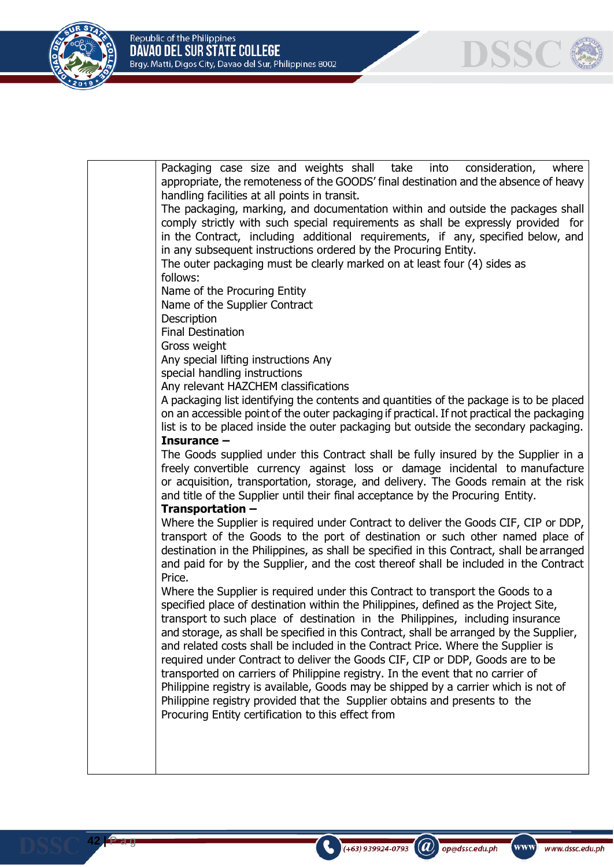

**42 |** P a g e

| Packaging case size and weights shall take<br>into<br>consideration,<br>where<br>appropriate, the remoteness of the GOODS' final destination and the absence of heavy       |
|-----------------------------------------------------------------------------------------------------------------------------------------------------------------------------|
| handling facilities at all points in transit.                                                                                                                               |
| The packaging, marking, and documentation within and outside the packages shall                                                                                             |
| comply strictly with such special requirements as shall be expressly provided for                                                                                           |
| in the Contract, including additional requirements, if any, specified below, and                                                                                            |
| in any subsequent instructions ordered by the Procuring Entity.                                                                                                             |
| The outer packaging must be clearly marked on at least four (4) sides as                                                                                                    |
| follows:                                                                                                                                                                    |
| Name of the Procuring Entity                                                                                                                                                |
| Name of the Supplier Contract                                                                                                                                               |
| Description                                                                                                                                                                 |
| <b>Final Destination</b>                                                                                                                                                    |
| Gross weight                                                                                                                                                                |
| Any special lifting instructions Any                                                                                                                                        |
| special handling instructions                                                                                                                                               |
| Any relevant HAZCHEM classifications                                                                                                                                        |
| A packaging list identifying the contents and quantities of the package is to be placed                                                                                     |
| on an accessible point of the outer packaging if practical. If not practical the packaging                                                                                  |
| list is to be placed inside the outer packaging but outside the secondary packaging.                                                                                        |
| Insurance $-$                                                                                                                                                               |
| The Goods supplied under this Contract shall be fully insured by the Supplier in a                                                                                          |
| freely convertible currency against loss or damage incidental to manufacture                                                                                                |
| or acquisition, transportation, storage, and delivery. The Goods remain at the risk                                                                                         |
| and title of the Supplier until their final acceptance by the Procuring Entity.                                                                                             |
| Transportation -                                                                                                                                                            |
| Where the Supplier is required under Contract to deliver the Goods CIF, CIP or DDP,                                                                                         |
| transport of the Goods to the port of destination or such other named place of<br>destination in the Philippines, as shall be specified in this Contract, shall be arranged |
| and paid for by the Supplier, and the cost thereof shall be included in the Contract                                                                                        |
| Price.                                                                                                                                                                      |
| Where the Supplier is required under this Contract to transport the Goods to a                                                                                              |
| specified place of destination within the Philippines, defined as the Project Site,                                                                                         |
| transport to such place of destination in the Philippines, including insurance                                                                                              |
| and storage, as shall be specified in this Contract, shall be arranged by the Supplier,                                                                                     |
| and related costs shall be included in the Contract Price. Where the Supplier is                                                                                            |
| required under Contract to deliver the Goods CIF, CIP or DDP, Goods are to be                                                                                               |
| transported on carriers of Philippine registry. In the event that no carrier of                                                                                             |
| Philippine registry is available, Goods may be shipped by a carrier which is not of                                                                                         |
| Philippine registry provided that the Supplier obtains and presents to the                                                                                                  |
| Procuring Entity certification to this effect from                                                                                                                          |
|                                                                                                                                                                             |
|                                                                                                                                                                             |
|                                                                                                                                                                             |
|                                                                                                                                                                             |
|                                                                                                                                                                             |

 $\bigodot$  (+63) 939924-0793 (a) op@dssc.edu.ph

(www)

www.dssc.edu.ph

**DSSC**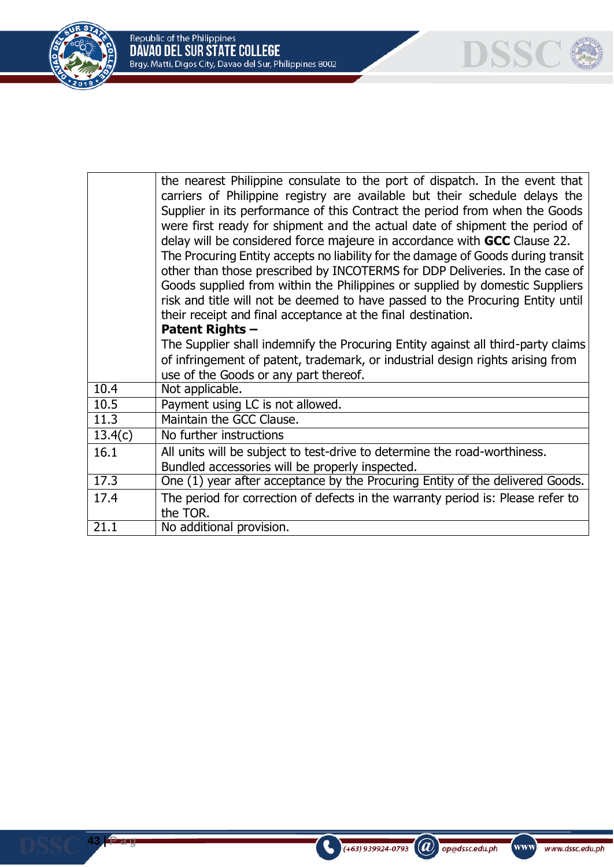

**43 |** P a g e

|         | the nearest Philippine consulate to the port of dispatch. In the event that<br>carriers of Philippine registry are available but their schedule delays the<br>Supplier in its performance of this Contract the period from when the Goods<br>were first ready for shipment and the actual date of shipment the period of<br>delay will be considered force majeure in accordance with GCC Clause 22.<br>The Procuring Entity accepts no liability for the damage of Goods during transit<br>other than those prescribed by INCOTERMS for DDP Deliveries. In the case of<br>Goods supplied from within the Philippines or supplied by domestic Suppliers<br>risk and title will not be deemed to have passed to the Procuring Entity until<br>their receipt and final acceptance at the final destination.<br><b>Patent Rights -</b><br>The Supplier shall indemnify the Procuring Entity against all third-party claims |
|---------|-------------------------------------------------------------------------------------------------------------------------------------------------------------------------------------------------------------------------------------------------------------------------------------------------------------------------------------------------------------------------------------------------------------------------------------------------------------------------------------------------------------------------------------------------------------------------------------------------------------------------------------------------------------------------------------------------------------------------------------------------------------------------------------------------------------------------------------------------------------------------------------------------------------------------|
|         | of infringement of patent, trademark, or industrial design rights arising from<br>use of the Goods or any part thereof.                                                                                                                                                                                                                                                                                                                                                                                                                                                                                                                                                                                                                                                                                                                                                                                                 |
| 10.4    | Not applicable.                                                                                                                                                                                                                                                                                                                                                                                                                                                                                                                                                                                                                                                                                                                                                                                                                                                                                                         |
| 10.5    | Payment using LC is not allowed.                                                                                                                                                                                                                                                                                                                                                                                                                                                                                                                                                                                                                                                                                                                                                                                                                                                                                        |
| 11.3    | Maintain the GCC Clause.                                                                                                                                                                                                                                                                                                                                                                                                                                                                                                                                                                                                                                                                                                                                                                                                                                                                                                |
| 13.4(c) | No further instructions                                                                                                                                                                                                                                                                                                                                                                                                                                                                                                                                                                                                                                                                                                                                                                                                                                                                                                 |
| 16.1    | All units will be subject to test-drive to determine the road-worthiness.<br>Bundled accessories will be properly inspected.                                                                                                                                                                                                                                                                                                                                                                                                                                                                                                                                                                                                                                                                                                                                                                                            |
| 17.3    | One (1) year after acceptance by the Procuring Entity of the delivered Goods.                                                                                                                                                                                                                                                                                                                                                                                                                                                                                                                                                                                                                                                                                                                                                                                                                                           |
| 17.4    | The period for correction of defects in the warranty period is: Please refer to<br>the TOR.                                                                                                                                                                                                                                                                                                                                                                                                                                                                                                                                                                                                                                                                                                                                                                                                                             |
| 21.1    | No additional provision.                                                                                                                                                                                                                                                                                                                                                                                                                                                                                                                                                                                                                                                                                                                                                                                                                                                                                                |



**DSSC**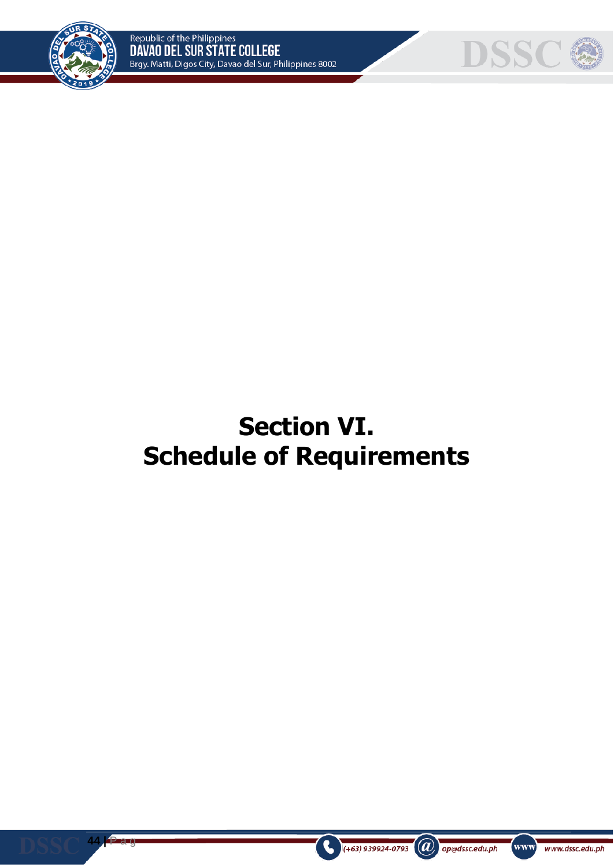

**44 |** P a g

e



# **Section VI. Schedule of Requirements**



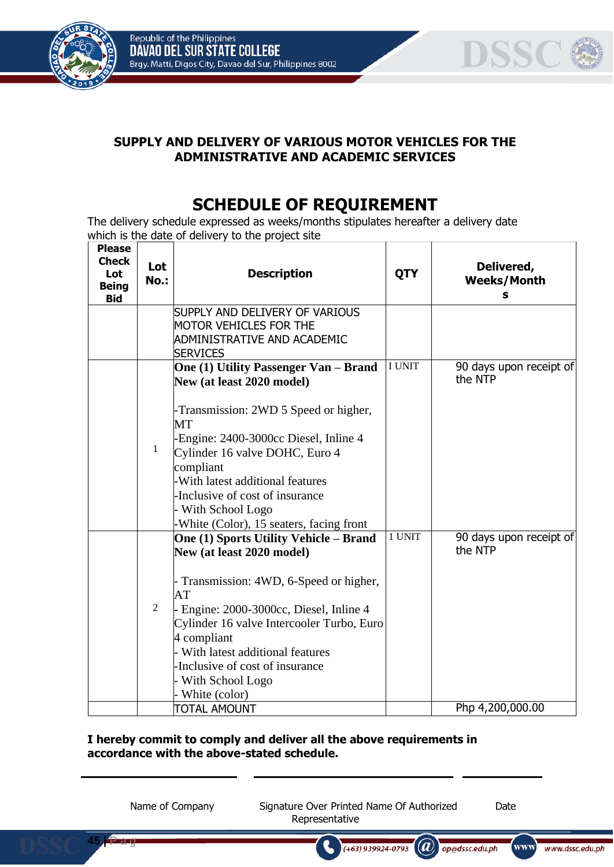

**45 |** P a g

e



# **SUPPLY AND DELIVERY OF VARIOUS MOTOR VEHICLES FOR THE ADMINISTRATIVE AND ACADEMIC SERVICES**

# **SCHEDULE OF REQUIREMENT**

The delivery schedule expressed as weeks/months stipulates hereafter a delivery date which is the date of delivery to the project site

| <b>Please</b><br><b>Check</b><br>Lot<br><b>Being</b><br><b>Bid</b> | Lot<br><b>No.:</b> | <b>Description</b>                                                              | <b>QTY</b>    | Delivered,<br><b>Weeks/Month</b><br>s |
|--------------------------------------------------------------------|--------------------|---------------------------------------------------------------------------------|---------------|---------------------------------------|
|                                                                    |                    | SUPPLY AND DELIVERY OF VARIOUS                                                  |               |                                       |
|                                                                    |                    | <b>MOTOR VEHICLES FOR THE</b><br>ADMINISTRATIVE AND ACADEMIC<br><b>SERVICES</b> |               |                                       |
|                                                                    |                    | One (1) Utility Passenger Van - Brand<br>New (at least 2020 model)              | <b>I UNIT</b> | 90 days upon receipt of<br>the NTP    |
|                                                                    |                    | -Transmission: 2WD 5 Speed or higher,<br>MT                                     |               |                                       |
|                                                                    | $\mathbf{1}$       | -Engine: 2400-3000cc Diesel, Inline 4<br>Cylinder 16 valve DOHC, Euro 4         |               |                                       |
|                                                                    |                    | compliant                                                                       |               |                                       |
|                                                                    |                    | -With latest additional features<br>Inclusive of cost of insurance              |               |                                       |
|                                                                    |                    | With School Logo                                                                |               |                                       |
|                                                                    |                    | -White (Color), 15 seaters, facing front                                        |               |                                       |
|                                                                    |                    | <b>One (1) Sports Utility Vehicle – Brand</b><br>New (at least 2020 model)      | 1 UNIT        | 90 days upon receipt of<br>the NTP    |
|                                                                    |                    |                                                                                 |               |                                       |
|                                                                    |                    | Transmission: 4WD, 6-Speed or higher,<br>AT                                     |               |                                       |
|                                                                    | 2                  | - Engine: 2000-3000cc, Diesel, Inline 4                                         |               |                                       |
|                                                                    |                    | Cylinder 16 valve Intercooler Turbo, Euro                                       |               |                                       |
|                                                                    |                    | 4 compliant<br>With latest additional features                                  |               |                                       |
|                                                                    |                    | Inclusive of cost of insurance                                                  |               |                                       |
|                                                                    |                    | With School Logo                                                                |               |                                       |
|                                                                    |                    | White (color)                                                                   |               |                                       |
|                                                                    |                    | <b>TOTAL AMOUNT</b>                                                             |               | Php 4,200,000.00                      |

## **I hereby commit to comply and deliver all the above requirements in accordance with the above-stated schedule.**

Name of Company Signature Over Printed Name Of Authorized Date Representative

 $(+63)$  939924-0793

 $(a)$ 

op@dssc.edu.ph

www)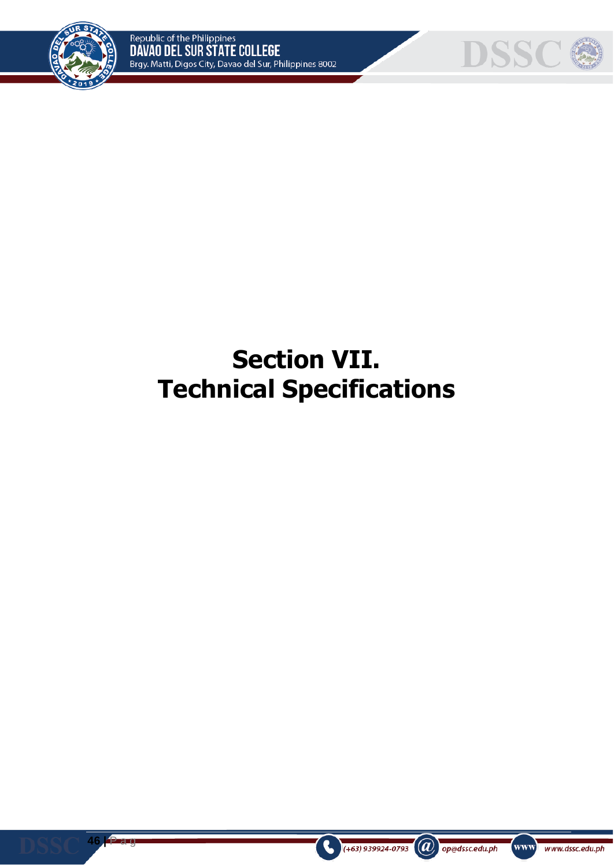



# **Section VII. Technical Specifications**



**46 |** P a g e



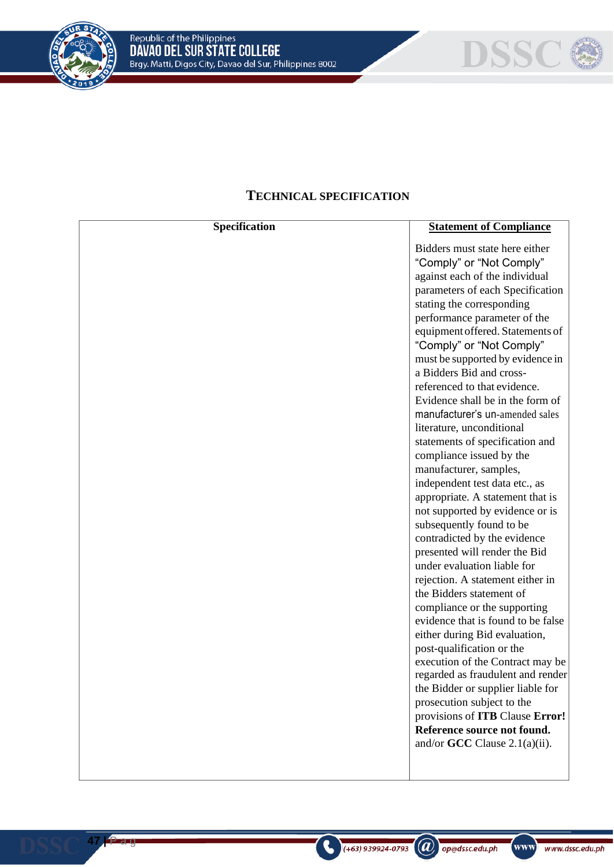

**47 |** P a g e



# **TECHNICAL SPECIFICATION**

| Specification | <b>Statement of Compliance</b>                                        |
|---------------|-----------------------------------------------------------------------|
|               | Bidders must state here either                                        |
|               | "Comply" or "Not Comply"                                              |
|               | against each of the individual                                        |
|               | parameters of each Specification                                      |
|               | stating the corresponding                                             |
|               | performance parameter of the                                          |
|               | equipment offered. Statements of                                      |
|               | "Comply" or "Not Comply"                                              |
|               | must be supported by evidence in                                      |
|               | a Bidders Bid and cross-                                              |
|               | referenced to that evidence.                                          |
|               | Evidence shall be in the form of                                      |
|               | manufacturer's un-amended sales                                       |
|               | literature, unconditional                                             |
|               | statements of specification and                                       |
|               | compliance issued by the                                              |
|               | manufacturer, samples,                                                |
|               | independent test data etc., as                                        |
|               | appropriate. A statement that is                                      |
|               | not supported by evidence or is                                       |
|               | subsequently found to be                                              |
|               | contradicted by the evidence                                          |
|               | presented will render the Bid                                         |
|               | under evaluation liable for                                           |
|               | rejection. A statement either in                                      |
|               | the Bidders statement of                                              |
|               | compliance or the supporting                                          |
|               | evidence that is found to be false                                    |
|               | either during Bid evaluation,                                         |
|               | post-qualification or the                                             |
|               | execution of the Contract may be<br>regarded as fraudulent and render |
|               | the Bidder or supplier liable for                                     |
|               | prosecution subject to the                                            |
|               | provisions of ITB Clause Error!                                       |
|               | Reference source not found.                                           |
|               | and/or $GCC$ Clause 2.1(a)(ii).                                       |
|               |                                                                       |
|               |                                                                       |

 $\bigcirc$  (+63) 939924-0793 (a) op@dssc.edu.ph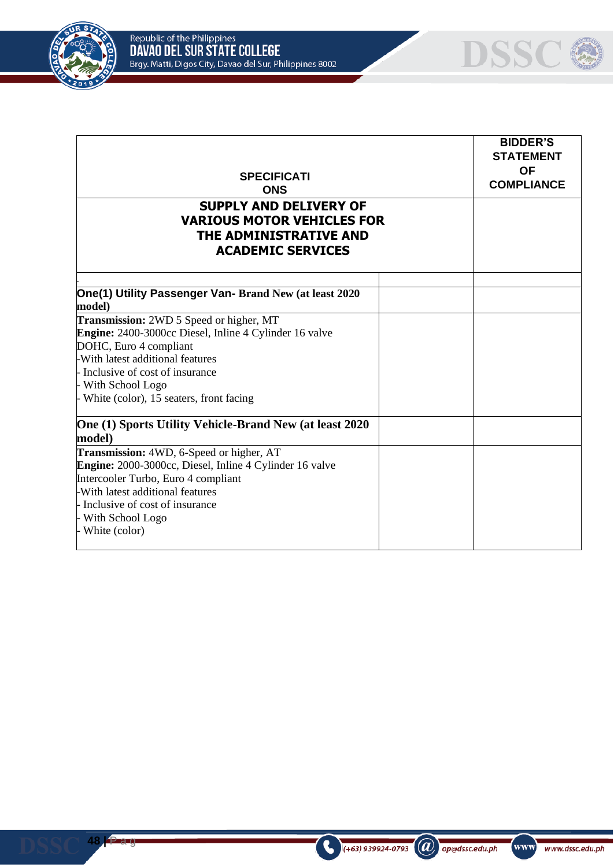

| <b>SPECIFICATI</b><br><b>ONS</b>                                                                                         | <b>BIDDER'S</b><br><b>STATEMENT</b><br><b>OF</b><br><b>COMPLIANCE</b> |
|--------------------------------------------------------------------------------------------------------------------------|-----------------------------------------------------------------------|
| <b>SUPPLY AND DELIVERY OF</b><br><b>VARIOUS MOTOR VEHICLES FOR</b><br>THE ADMINISTRATIVE AND<br><b>ACADEMIC SERVICES</b> |                                                                       |
| One(1) Utility Passenger Van- Brand New (at least 2020<br>model)                                                         |                                                                       |
| Transmission: 2WD 5 Speed or higher, MT                                                                                  |                                                                       |
| <b>Engine:</b> 2400-3000cc Diesel, Inline 4 Cylinder 16 valve                                                            |                                                                       |
| DOHC, Euro 4 compliant                                                                                                   |                                                                       |
| -With latest additional features                                                                                         |                                                                       |
| - Inclusive of cost of insurance                                                                                         |                                                                       |
| - With School Logo                                                                                                       |                                                                       |
| - White (color), 15 seaters, front facing                                                                                |                                                                       |
| One (1) Sports Utility Vehicle-Brand New (at least 2020                                                                  |                                                                       |
| model)                                                                                                                   |                                                                       |
| Transmission: 4WD, 6-Speed or higher, AT                                                                                 |                                                                       |
| Engine: 2000-3000cc, Diesel, Inline 4 Cylinder 16 valve                                                                  |                                                                       |
| Intercooler Turbo, Euro 4 compliant                                                                                      |                                                                       |
| -With latest additional features                                                                                         |                                                                       |
| - Inclusive of cost of insurance                                                                                         |                                                                       |
| - With School Logo                                                                                                       |                                                                       |





**48 |** P a g

e

 $\bigodot$  (+63) 939924-0793 (a) op@dssc.edu.ph

**DSSC @**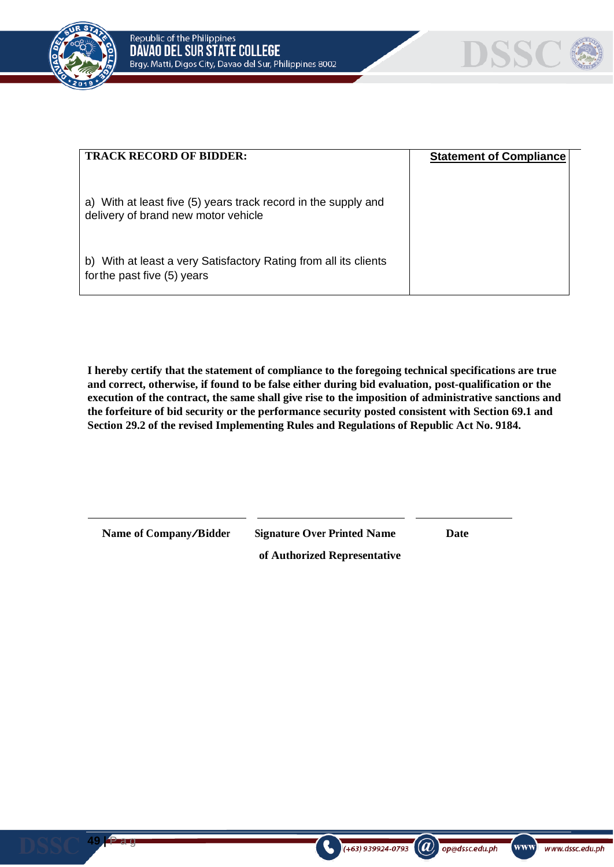



| <b>TRACK RECORD OF BIDDER:</b>                                                                        | <b>Statement of Compliance</b> |  |
|-------------------------------------------------------------------------------------------------------|--------------------------------|--|
| a) With at least five (5) years track record in the supply and<br>delivery of brand new motor vehicle |                                |  |
| With at least a very Satisfactory Rating from all its clients<br>b)<br>for the past five (5) years    |                                |  |

**I hereby certify that the statement of compliance to the foregoing technical specifications are true and correct, otherwise, if found to be false either during bid evaluation, post-qualification or the execution of the contract, the same shall give rise to the imposition of administrative sanctions and the forfeiture of bid security or the performance security posted consistent with Section 69.1 and Section 29.2 of the revised Implementing Rules and Regulations of Republic Act No. 9184.**

**49 |** P a g

e

**Name of Company/Bidder Signature Over Printed Name Date**

 $\left(\boldsymbol{a}\right)$  op@dssc.edu.ph

**of Authorized Representative**

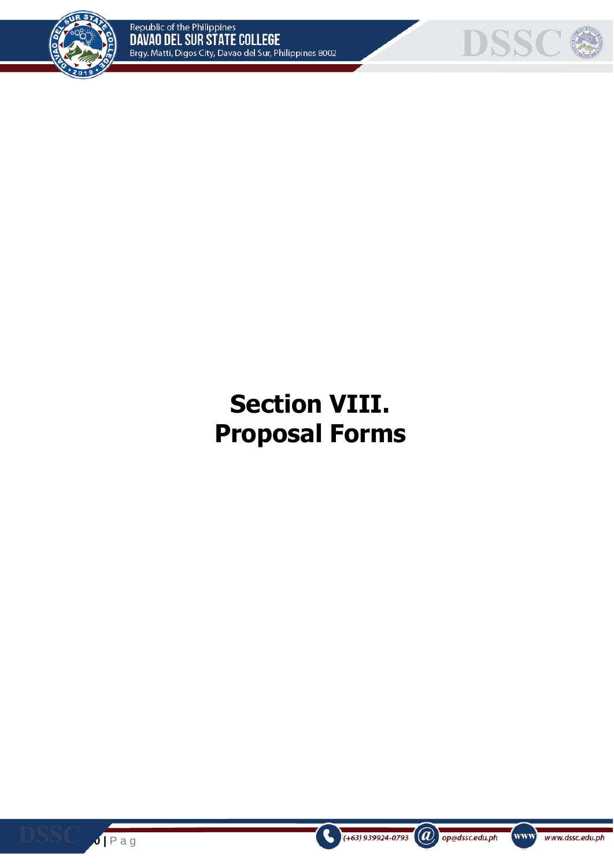



# **Section VIII. Proposal Forms**



e

 $\left( +63 \right)$  939924-0793

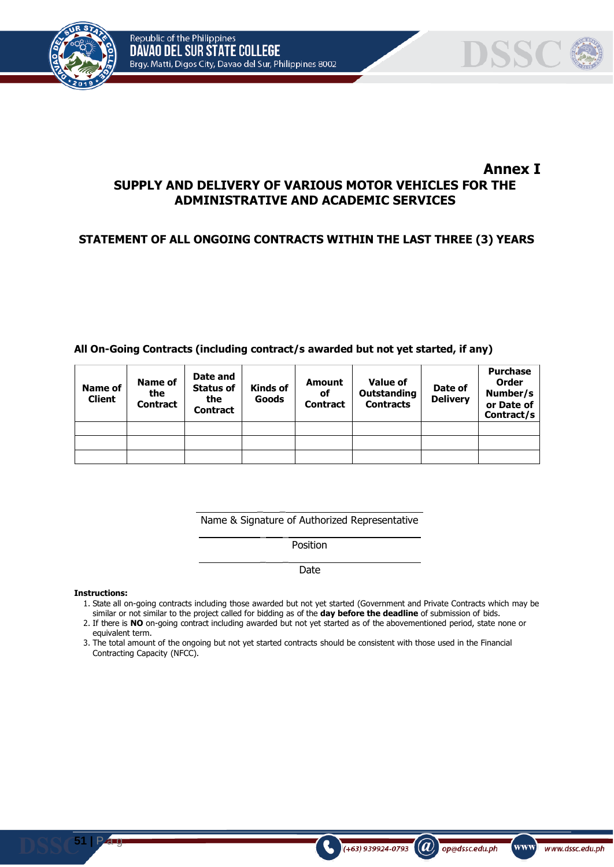



## **Annex I SUPPLY AND DELIVERY OF VARIOUS MOTOR VEHICLES FOR THE ADMINISTRATIVE AND ACADEMIC SERVICES**

# **STATEMENT OF ALL ONGOING CONTRACTS WITHIN THE LAST THREE (3) YEARS**

### **All On-Going Contracts (including contract/s awarded but not yet started, if any)**

| <b>Name of</b><br><b>Client</b> | <b>Name of</b><br>the<br><b>Contract</b> | Date and<br><b>Status of</b><br>the<br><b>Contract</b> | Kinds of<br>Goods | Amount<br>οf<br><b>Contract</b> | <b>Value of</b><br>Outstanding<br><b>Contracts</b> | Date of<br><b>Delivery</b> | <b>Purchase</b><br><b>Order</b><br>Number/s<br>or Date of<br>Contract/s |
|---------------------------------|------------------------------------------|--------------------------------------------------------|-------------------|---------------------------------|----------------------------------------------------|----------------------------|-------------------------------------------------------------------------|
|                                 |                                          |                                                        |                   |                                 |                                                    |                            |                                                                         |
|                                 |                                          |                                                        |                   |                                 |                                                    |                            |                                                                         |
|                                 |                                          |                                                        |                   |                                 |                                                    |                            |                                                                         |

 $\overline{\phantom{a}}$ Name & Signature of Authorized Representative

 $\overline{\phantom{a}}$ 

 $\overline{\phantom{a}}$ 

Position

Date

#### **Instructions:**

**51 |** P a g

1. State all on-going contracts including those awarded but not yet started (Government and Private Contracts which may be similar or not similar to the project called for bidding as of the **day before the deadline** of submission of bids.

 $(a)$ 

op@dssc.edu.ph

 $(+63)$  939924-0793

www)

- 2. If there is **NO** on-going contract including awarded but not yet started as of the abovementioned period, state none or equivalent term.
- 3. The total amount of the ongoing but not yet started contracts should be consistent with those used in the Financial Contracting Capacity (NFCC).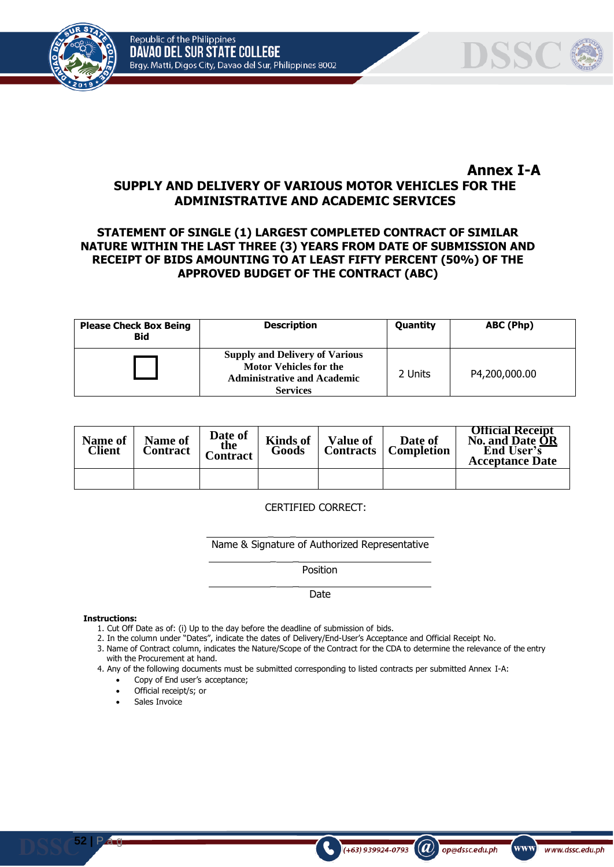Republic of the Philippines DAVAO DEL SUR STATE COLLEGE Brgy. Matti, Digos City, Davao del Sur, Philippines 8002





# **Annex I-A**

# **SUPPLY AND DELIVERY OF VARIOUS MOTOR VEHICLES FOR THE ADMINISTRATIVE AND ACADEMIC SERVICES**

### **STATEMENT OF SINGLE (1) LARGEST COMPLETED CONTRACT OF SIMILAR NATURE WITHIN THE LAST THREE (3) YEARS FROM DATE OF SUBMISSION AND RECEIPT OF BIDS AMOUNTING TO AT LEAST FIFTY PERCENT (50%) OF THE APPROVED BUDGET OF THE CONTRACT (ABC)**

| <b>Please Check Box Being</b><br><b>Bid</b> | <b>Description</b>                                                                                                              | Quantity | ABC (Php)     |
|---------------------------------------------|---------------------------------------------------------------------------------------------------------------------------------|----------|---------------|
|                                             | <b>Supply and Delivery of Various</b><br><b>Motor Vehicles for the</b><br><b>Administrative and Academic</b><br><b>Services</b> | 2 Units  | P4,200,000.00 |

| Name of<br>Client | Name of<br>Contract | Date of<br>the<br><b>Contract</b> | <b>Kinds of</b><br>Goods | <b>Value of</b> | Date of<br><b>Contracts</b>   <b>Completion</b> | <b>Official Receipt</b><br>No. and Date OR<br>End User's<br><b>Acceptance Date</b> |
|-------------------|---------------------|-----------------------------------|--------------------------|-----------------|-------------------------------------------------|------------------------------------------------------------------------------------|
|                   |                     |                                   |                          |                 |                                                 |                                                                                    |

#### CERTIFIED CORRECT:

\_ \_

 $\overline{\phantom{a}}$ 

 $\overline{\phantom{a}}$ 

Name & Signature of Authorized Representative

Position

Date

#### **Instructions:**

- 1. Cut Off Date as of: (i) Up to the day before the deadline of submission of bids.
- 2. In the column under "Dates", indicate the dates of Delivery/End-User's Acceptance and Official Receipt No.
- 3. Name of Contract column, indicates the Nature/Scope of the Contract for the CDA to determine the relevance of the entry with the Procurement at hand.

 $\mathbf{a}$ 

op@dssc.edu.ph

www

www.dssc.edu.ph

(+63) 939924-0793

- 4. Any of the following documents must be submitted corresponding to listed contracts per submitted Annex I-A:
	- Copy of End user's acceptance;
	- Official receipt/s; or
	- Sales Invoice

 $52$  **| Pag**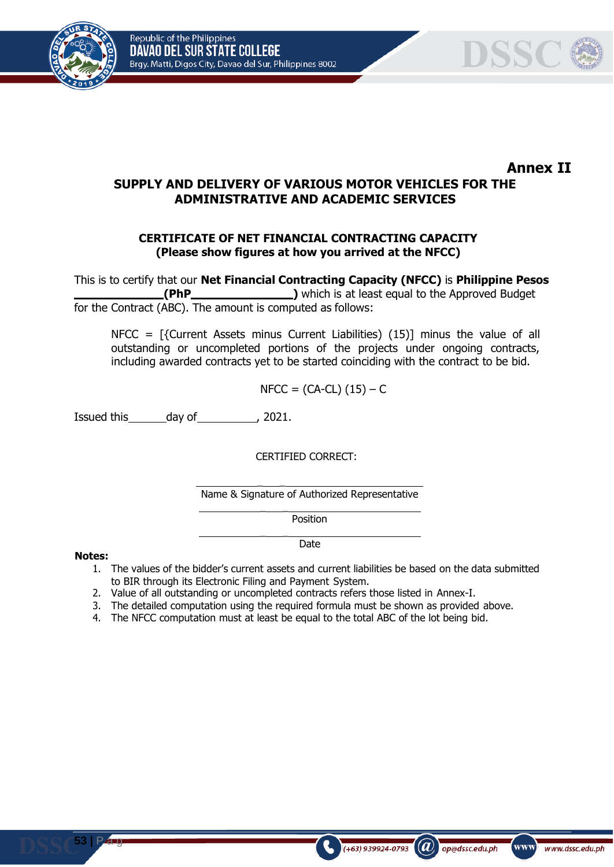Republic of the Philippines DAVAO DEL SUR STATE COLLEGE Brgy. Matti, Digos City, Davao del Sur, Philippines 8002





**Annex II**

# **SUPPLY AND DELIVERY OF VARIOUS MOTOR VEHICLES FOR THE ADMINISTRATIVE AND ACADEMIC SERVICES**

### **CERTIFICATE OF NET FINANCIAL CONTRACTING CAPACITY (Please show figures at how you arrived at the NFCC)**

This is to certify that our **Net Financial Contracting Capacity (NFCC)** is **Philippine Pesos (PhP )** which is at least equal to the Approved Budget for the Contract (ABC). The amount is computed as follows:

NFCC = [{Current Assets minus Current Liabilities) (15)] minus the value of all outstanding or uncompleted portions of the projects under ongoing contracts, including awarded contracts yet to be started coinciding with the contract to be bid.

$$
NFCC = (CA-CL) (15) - C
$$

Issued this day of 100 and 100.

CERTIFIED CORRECT:

 $\overline{\phantom{a}}$ Name & Signature of Authorized Representative

Position

Date

#### **Notes:**

**53 |** P a g

1. The values of the bidder's current assets and current liabilities be based on the data submitted to BIR through its Electronic Filing and Payment System.

 $(a)$ 

op@dssc.edu.ph

www]

www.dssc.edu.ph

 $(+63)$  939924-0793

2. Value of all outstanding or uncompleted contracts refers those listed in Annex-I.

 $\overline{\phantom{a}}$ 

 $\overline{\phantom{a}}$ 

- 3. The detailed computation using the required formula must be shown as provided above.
- 4. The NFCC computation must at least be equal to the total ABC of the lot being bid.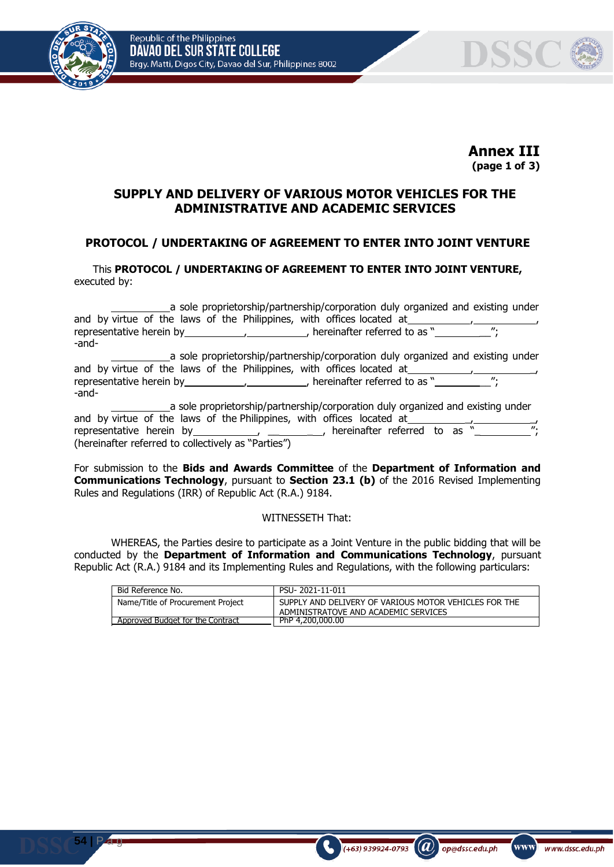



**Annex III (page 1 of 3)**

## **SUPPLY AND DELIVERY OF VARIOUS MOTOR VEHICLES FOR THE ADMINISTRATIVE AND ACADEMIC SERVICES**

## **PROTOCOL / UNDERTAKING OF AGREEMENT TO ENTER INTO JOINT VENTURE**

This **PROTOCOL / UNDERTAKING OF AGREEMENT TO ENTER INTO JOINT VENTURE,** executed by:

| a sole proprietorship/partnership/corporation duly organized and existing under |
|---------------------------------------------------------------------------------|
| and by virtue of the laws of the Philippines, with offices located at           |
|                                                                                 |
| -and-                                                                           |
| a sole proprietorship/partnership/corporation duly organized and existing under |
| and by virtue of the laws of the Philippines, with offices located at____       |
|                                                                                 |
| -and-                                                                           |
| a sole proprietorship/partnership/corporation duly organized and existing under |
| and by virtue of the laws of the Philippines, with offices located at           |
| $\mathbf{u}$                                                                    |
| (hereinafter referred to collectively as "Parties")                             |

For submission to the **Bids and Awards Committee** of the **Department of Information and Communications Technology**, pursuant to **Section 23.1 (b)** of the 2016 Revised Implementing Rules and Regulations (IRR) of Republic Act (R.A.) 9184.

#### WITNESSETH That:

WHEREAS, the Parties desire to participate as a Joint Venture in the public bidding that will be conducted by the **Department of Information and Communications Technology**, pursuant Republic Act (R.A.) 9184 and its Implementing Rules and Regulations, with the following particulars:

| Bid Reference No.                 | PSU-2021-11-011                                                                               |
|-----------------------------------|-----------------------------------------------------------------------------------------------|
| Name/Title of Procurement Project | SUPPLY AND DELIVERY OF VARIOUS MOTOR VEHICLES FOR THE<br>ADMINISTRATOVE AND ACADEMIC SERVICES |
| Approved Budget for the Contract  | PhP 4.200.000.00                                                                              |

 $(a)$ 

(+63) 939924-0793

op@dssc.edu.ph

www)

www.dssc.edu.ph

**54 |** P a g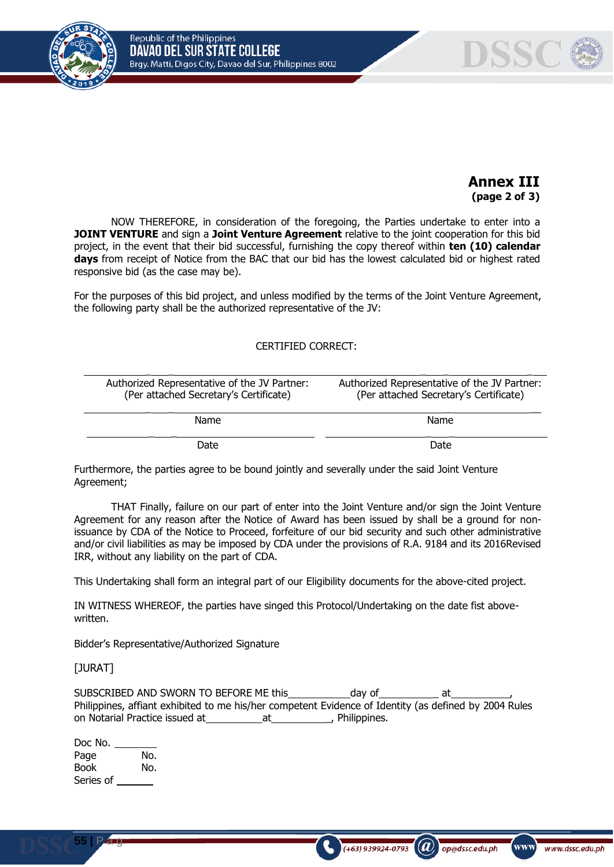

## **Annex III (page 2 of 3)**

NOW THEREFORE, in consideration of the foregoing, the Parties undertake to enter into a **JOINT VENTURE** and sign a **Joint Venture Agreement** relative to the joint cooperation for this bid project, in the event that their bid successful, furnishing the copy thereof within **ten (10) calendar days** from receipt of Notice from the BAC that our bid has the lowest calculated bid or highest rated responsive bid (as the case may be).

For the purposes of this bid project, and unless modified by the terms of the Joint Venture Agreement, the following party shall be the authorized representative of the JV:

#### CERTIFIED CORRECT:

| Authorized Representative of the JV Partner:<br>(Per attached Secretary's Certificate) | Authorized Representative of the JV Partner:<br>(Per attached Secretary's Certificate) |  |
|----------------------------------------------------------------------------------------|----------------------------------------------------------------------------------------|--|
| Name                                                                                   | Name                                                                                   |  |
| Date                                                                                   | Date                                                                                   |  |

Furthermore, the parties agree to be bound jointly and severally under the said Joint Venture Agreement;

THAT Finally, failure on our part of enter into the Joint Venture and/or sign the Joint Venture Agreement for any reason after the Notice of Award has been issued by shall be a ground for nonissuance by CDA of the Notice to Proceed, forfeiture of our bid security and such other administrative and/or civil liabilities as may be imposed by CDA under the provisions of R.A. 9184 and its 2016Revised IRR, without any liability on the part of CDA.

This Undertaking shall form an integral part of our Eligibility documents for the above-cited project.

IN WITNESS WHEREOF, the parties have singed this Protocol/Undertaking on the date fist abovewritten.

Bidder's Representative/Authorized Signature

#### [JURAT]

SUBSCRIBED AND SWORN TO BEFORE ME this day of at at Philippines, affiant exhibited to me his/her competent Evidence of Identity (as defined by 2004 Rules on Notarial Practice issued at at at the Multippines.

 $\mathcal{L}$ 

op@dssc.edu.ph

 $(+63)$  939924-0793

www)

| Doc No.     |     |
|-------------|-----|
| Page        | No. |
| <b>Book</b> | No. |
| Series of   |     |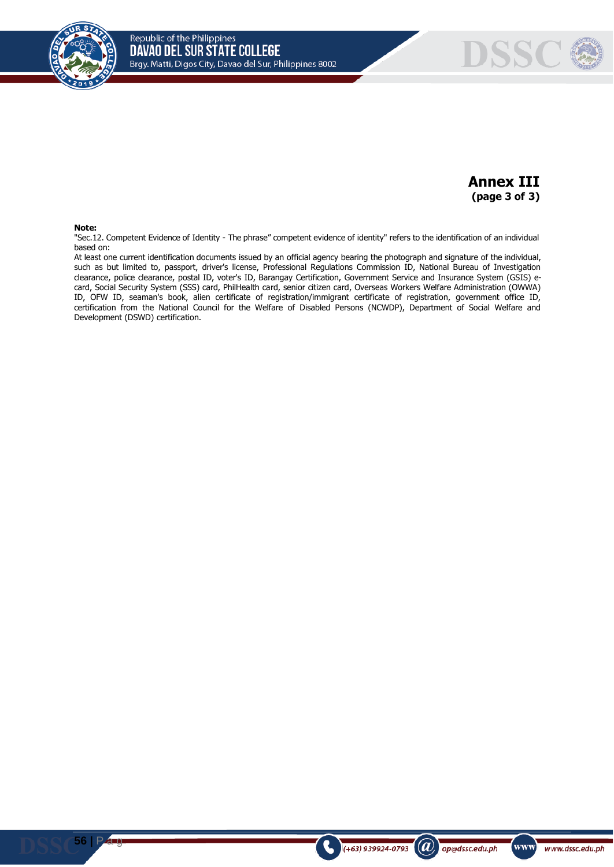



# **Annex III (page 3 of 3)**

 $\mathbf{a}$ 

op@dssc.edu.ph

www)

www.dssc.edu.ph

(+63) 939924-0793

#### **Note:**

"Sec.12. Competent Evidence of Identity - The phrase" competent evidence of identity" refers to the identification of an individual based on:

At least one current identification documents issued by an official agency bearing the photograph and signature of the individual, such as but limited to, passport, driver's license, Professional Regulations Commission ID, National Bureau of Investigation clearance, police clearance, postal ID, voter's ID, Barangay Certification, Government Service and Insurance System (GSIS) ecard, Social Security System (SSS) card, PhilHealth card, senior citizen card, Overseas Workers Welfare Administration (OWWA) ID, OFW ID, seaman's book, alien certificate of registration/immigrant certificate of registration, government office ID, certification from the National Council for the Welfare of Disabled Persons (NCWDP), Department of Social Welfare and Development (DSWD) certification.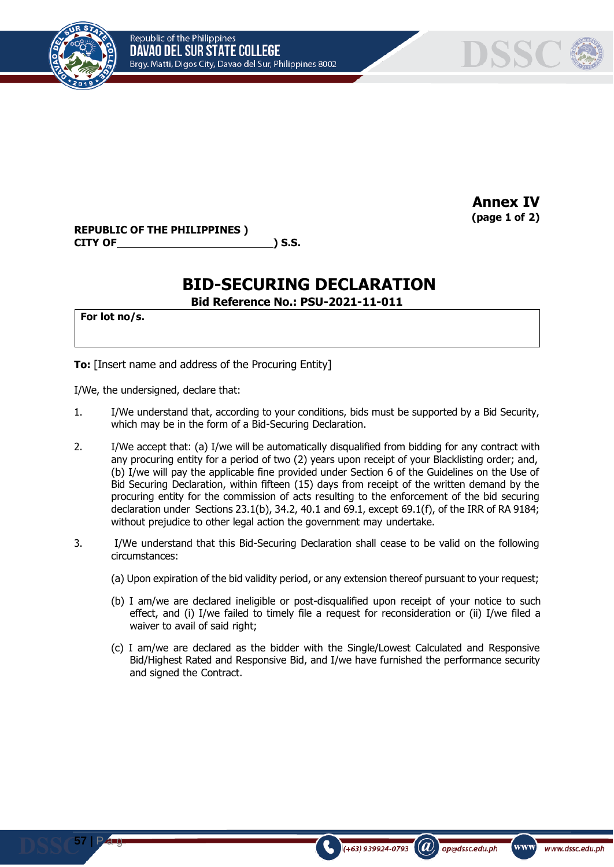



**Annex IV (page 1 of 2)**

**REPUBLIC OF THE PHILIPPINES ) CITY OF ) S.S.**

# **BID-SECURING DECLARATION**

**Bid Reference No.: PSU-2021-11-011**

**For lot no/s.**

**57 |** P a g

**To:** [Insert name and address of the Procuring Entity]

I/We, the undersigned, declare that:

- 1. I/We understand that, according to your conditions, bids must be supported by a Bid Security, which may be in the form of a Bid-Securing Declaration.
- 2. I/We accept that: (a) I/we will be automatically disqualified from bidding for any contract with any procuring entity for a period of two (2) years upon receipt of your Blacklisting order; and, (b) I/we will pay the applicable fine provided under Section 6 of the Guidelines on the Use of Bid Securing Declaration, within fifteen (15) days from receipt of the written demand by the procuring entity for the commission of acts resulting to the enforcement of the bid securing declaration under Sections 23.1(b), 34.2, 40.1 and 69.1, except 69.1(f), of the IRR of RA 9184; without prejudice to other legal action the government may undertake.
- 3. I/We understand that this Bid-Securing Declaration shall cease to be valid on the following circumstances:
	- (a) Upon expiration of the bid validity period, or any extension thereof pursuant to your request;
	- (b) I am/we are declared ineligible or post-disqualified upon receipt of your notice to such effect, and (i) I/we failed to timely file a request for reconsideration or (ii) I/we filed a waiver to avail of said right;
	- (c) I am/we are declared as the bidder with the Single/Lowest Calculated and Responsive Bid/Highest Rated and Responsive Bid, and I/we have furnished the performance security and signed the Contract.

 $(a)$ 

op@dssc.edu.ph

 $(+63)$  939924-0793

www]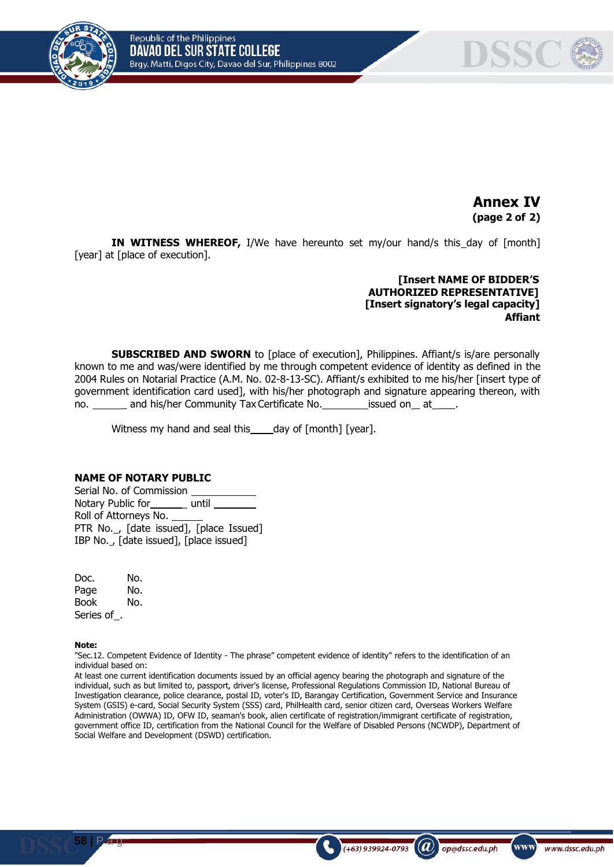

**Annex IV (page 2 of 2)**

**IN WITNESS WHEREOF,** I/We have hereunto set my/our hand/s this day of [month] [year] at [place of execution].

#### **[Insert NAME OF BIDDER'S AUTHORIZED REPRESENTATIVE] [Insert signatory's legal capacity] Affiant**

(A)

op@dssc.edu.ph

www

www.dssc.edu.ph

 $(+63)$  939924-0793

**SUBSCRIBED AND SWORN** to [place of execution], Philippines. Affiant/s is/are personally known to me and was/were identified by me through competent evidence of identity as defined in the 2004 Rules on Notarial Practice (A.M. No. 02-8-13-SC). Affiant/s exhibited to me his/her [insert type of government identification card used], with his/her photograph and signature appearing thereon, with no. and his/her Community Tax Certificate No. issued on at

Witness my hand and seal this  $\qquad$  day of  $[$ month $]$  [year].

#### **NAME OF NOTARY PUBLIC**

Serial No. of Commission Notary Public for\_\_\_\_\_\_\_ until Roll of Attorneys No. PTR No., [date issued], [place Issued] IBP No. , [date issued], [place issued]

Doc. No. Page No. Book No. Series of .

#### **Note:**

"Sec.12. Competent Evidence of Identity - The phrase" competent evidence of identity" refers to the identification of an individual based on:

At least one current identification documents issued by an official agency bearing the photograph and signature of the individual, such as but limited to, passport, driver's license, Professional Regulations Commission ID, National Bureau of Investigation clearance, police clearance, postal ID, voter's ID, Barangay Certification, Government Service and Insurance System (GSIS) e-card, Social Security System (SSS) card, PhilHealth card, senior citizen card, Overseas Workers Welfare Administration (OWWA) ID, OFW ID, seaman's book, alien certificate of registration/immigrant certificate of registration, government office ID, certification from the National Council for the Welfare of Disabled Persons (NCWDP), Department of Social Welfare and Development (DSWD) certification.

**58 |** P a g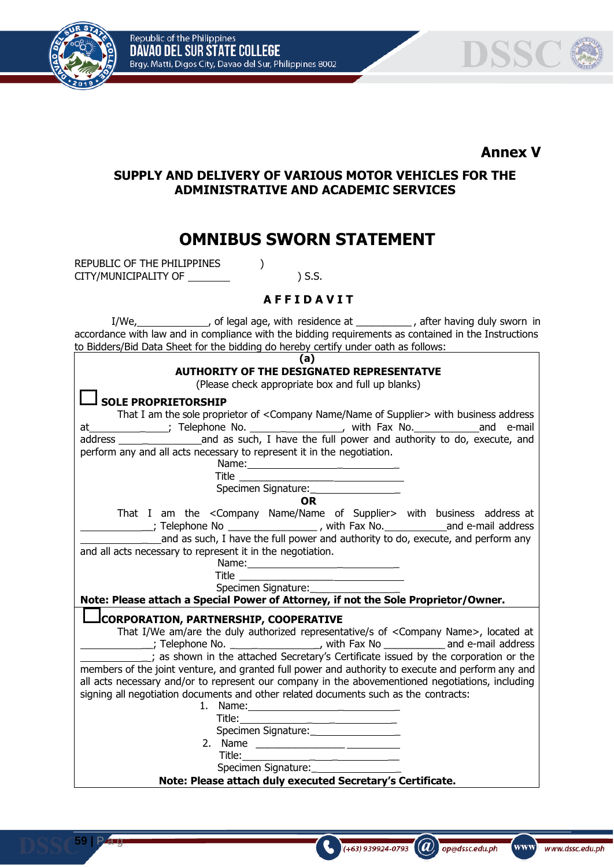



# **Annex V**

# **SUPPLY AND DELIVERY OF VARIOUS MOTOR VEHICLES FOR THE ADMINISTRATIVE AND ACADEMIC SERVICES**

# **OMNIBUS SWORN STATEMENT**

REPUBLIC OF THE PHILIPPINES  $)$ CITY/MUNICIPALITY OF  $\qquad \qquad$  ) S.S.

## **A F F I D A V I T**

I/We, , of legal age, with residence at \_\_\_\_\_\_\_\_\_\_ , after having duly sworn in accordance with law and in compliance with the bidding requirements as contained in the Instructions to Bidders/Bid Data Sheet for the bidding do hereby certify under oath as follows:

| (a)                                                                                                                                                                                                                                                                                          |  |  |  |
|----------------------------------------------------------------------------------------------------------------------------------------------------------------------------------------------------------------------------------------------------------------------------------------------|--|--|--|
| <b>AUTHORITY OF THE DESIGNATED REPRESENTATVE</b>                                                                                                                                                                                                                                             |  |  |  |
| (Please check appropriate box and full up blanks)                                                                                                                                                                                                                                            |  |  |  |
| <b>SOLE PROPRIETORSHIP</b>                                                                                                                                                                                                                                                                   |  |  |  |
| That I am the sole proprietor of <company name="" of="" supplier=""> with business address</company>                                                                                                                                                                                         |  |  |  |
| at                                                                                                                                                                                                                                                                                           |  |  |  |
| address _______________________and as such, I have the full power and authority to do, execute, and                                                                                                                                                                                          |  |  |  |
| perform any and all acts necessary to represent it in the negotiation.                                                                                                                                                                                                                       |  |  |  |
| Name: Name and the state of the state of the state of the state of the state of the state of the state of the state of the state of the state of the state of the state of the state of the state of the state of the state of                                                               |  |  |  |
|                                                                                                                                                                                                                                                                                              |  |  |  |
|                                                                                                                                                                                                                                                                                              |  |  |  |
| <b>OR</b>                                                                                                                                                                                                                                                                                    |  |  |  |
| That I am the <company name="" of="" supplier=""> with business address at</company>                                                                                                                                                                                                         |  |  |  |
| _______; Telephone No ____________________, with Fax No.___________________and e-mail address                                                                                                                                                                                                |  |  |  |
| and as such, I have the full power and authority to do, execute, and perform any                                                                                                                                                                                                             |  |  |  |
| and all acts necessary to represent it in the negotiation.                                                                                                                                                                                                                                   |  |  |  |
|                                                                                                                                                                                                                                                                                              |  |  |  |
|                                                                                                                                                                                                                                                                                              |  |  |  |
| Specimen Signature: _________________                                                                                                                                                                                                                                                        |  |  |  |
| Note: Please attach a Special Power of Attorney, if not the Sole Proprietor/Owner.                                                                                                                                                                                                           |  |  |  |
| CORPORATION, PARTNERSHIP, COOPERATIVE                                                                                                                                                                                                                                                        |  |  |  |
| That I/We am/are the duly authorized representative/s of <company name="">, located at</company>                                                                                                                                                                                             |  |  |  |
| $\frac{1}{2}$ ; Telephone No. $\frac{1}{2}$ = $\frac{1}{2}$ = $\frac{1}{2}$ , with Fax No $\frac{1}{2}$ = $\frac{1}{2}$ and e-mail address                                                                                                                                                   |  |  |  |
| ; as shown in the attached Secretary's Certificate issued by the corporation or the                                                                                                                                                                                                          |  |  |  |
| members of the joint venture, and granted full power and authority to execute and perform any and                                                                                                                                                                                            |  |  |  |
| all acts necessary and/or to represent our company in the abovementioned negotiations, including                                                                                                                                                                                             |  |  |  |
| signing all negotiation documents and other related documents such as the contracts:                                                                                                                                                                                                         |  |  |  |
| 1. Name: 1. 2008. 2010. 2010. 2010. 2010. 2011. 2012. 2012. 2012. 2014. 2016. 2017. 2018. 2019. 2019. 2019. 20                                                                                                                                                                               |  |  |  |
| Title: The Think of the Think of the Think of the Think of the Think of the Think of the Think of the Think of the Think of the Think of the Think of the Think of the Think of the Think of the Think of the Think of the Thi<br><u> 1989 - Johann Barbara, martxa al III-lea (b. 1989)</u> |  |  |  |
| Specimen Signature:                                                                                                                                                                                                                                                                          |  |  |  |
|                                                                                                                                                                                                                                                                                              |  |  |  |
|                                                                                                                                                                                                                                                                                              |  |  |  |
| Note: Please attach duly executed Secretary's Certificate.                                                                                                                                                                                                                                   |  |  |  |
|                                                                                                                                                                                                                                                                                              |  |  |  |

 $(a)$ 

op@dssc.edu.ph

(+63) 939924-0793

www)

www.dssc.edu.ph

**59 |** P a g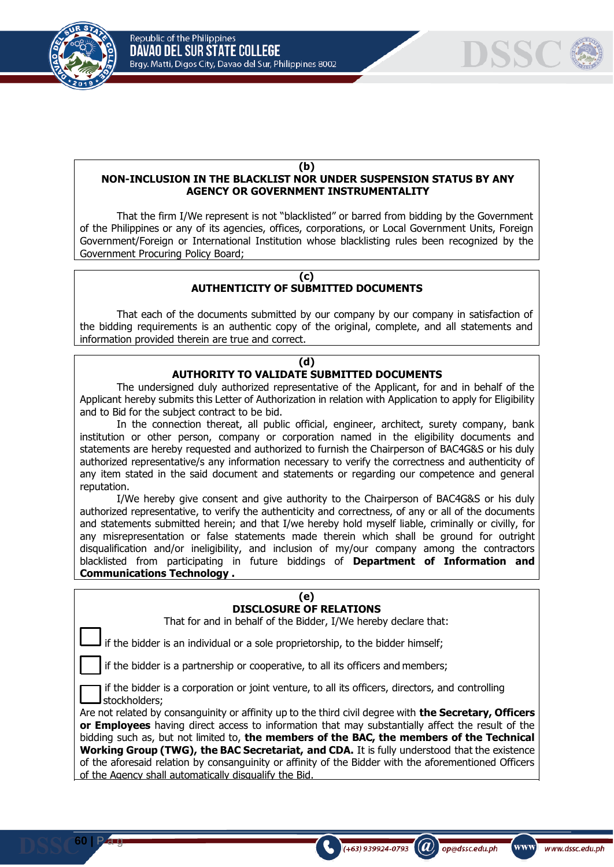



#### **(b)**

#### **NON-INCLUSION IN THE BLACKLIST NOR UNDER SUSPENSION STATUS BY ANY AGENCY OR GOVERNMENT INSTRUMENTALITY**

That the firm I/We represent is not "blacklisted" or barred from bidding by the Government of the Philippines or any of its agencies, offices, corporations, or Local Government Units, Foreign Government/Foreign or International Institution whose blacklisting rules been recognized by the Government Procuring Policy Board;

#### **(c) AUTHENTICITY OF SUBMITTED DOCUMENTS**

That each of the documents submitted by our company by our company in satisfaction of the bidding requirements is an authentic copy of the original, complete, and all statements and information provided therein are true and correct.

#### **(d) AUTHORITY TO VALIDATE SUBMITTED DOCUMENTS**

The undersigned duly authorized representative of the Applicant, for and in behalf of the Applicant hereby submits this Letter of Authorization in relation with Application to apply for Eligibility and to Bid for the subject contract to be bid.

In the connection thereat, all public official, engineer, architect, surety company, bank institution or other person, company or corporation named in the eligibility documents and statements are hereby requested and authorized to furnish the Chairperson of BAC4G&S or his duly authorized representative/s any information necessary to verify the correctness and authenticity of any item stated in the said document and statements or regarding our competence and general reputation.

I/We hereby give consent and give authority to the Chairperson of BAC4G&S or his duly authorized representative, to verify the authenticity and correctness, of any or all of the documents and statements submitted herein; and that I/we hereby hold myself liable, criminally or civilly, for any misrepresentation or false statements made therein which shall be ground for outright disqualification and/or ineligibility, and inclusion of my/our company among the contractors blacklisted from participating in future biddings of **Department of Information and Communications Technology .**

| (e)                                                                                                               |  |  |  |
|-------------------------------------------------------------------------------------------------------------------|--|--|--|
| <b>DISCLOSURE OF RELATIONS</b>                                                                                    |  |  |  |
|                                                                                                                   |  |  |  |
| That for and in behalf of the Bidder, I/We hereby declare that:                                                   |  |  |  |
| if the bidder is an individual or a sole proprietorship, to the bidder himself;                                   |  |  |  |
|                                                                                                                   |  |  |  |
| if the bidder is a partnership or cooperative, to all its officers and members;                                   |  |  |  |
| if the bidder is a corporation or joint venture, to all its officers, directors, and controlling<br>stockholders; |  |  |  |
| Are not related by consanguinity or affinity up to the third civil degree with <b>the Secretary, Officers</b>     |  |  |  |
| or Employees having direct access to information that may substantially affect the result of the                  |  |  |  |
| bidding such as, but not limited to, the members of the BAC, the members of the Technical                         |  |  |  |
| <b>Working Group (TWG), the BAC Secretariat, and CDA.</b> It is fully understood that the existence               |  |  |  |
|                                                                                                                   |  |  |  |
| of the aforesaid relation by consanguinity or affinity of the Bidder with the aforementioned Officers             |  |  |  |
| of the Agency shall automatically disqualify the Bid.                                                             |  |  |  |

 $\mathbf{a}$ 

op@dssc.edu.ph

 $(+63)$  939924-0793

www]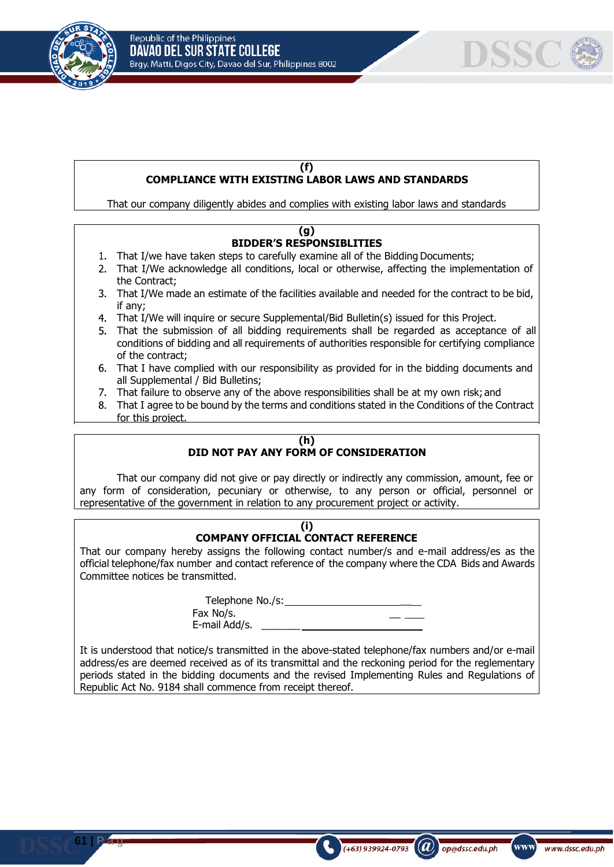



#### **(f) COMPLIANCE WITH EXISTING LABOR LAWS AND STANDARDS**

That our company diligently abides and complies with existing labor laws and standards

#### **(g) BIDDER'S RESPONSIBLITIES**

- 1. That I/we have taken steps to carefully examine all of the Bidding Documents;
- That I/We acknowledge all conditions, local or otherwise, affecting the implementation of the Contract;
- That I/We made an estimate of the facilities available and needed for the contract to be bid, if any;
- That I/We will inquire or secure Supplemental/Bid Bulletin(s) issued for this Project.
- That the submission of all bidding requirements shall be regarded as acceptance of all conditions of bidding and all requirements of authorities responsible for certifying compliance of the contract;
- That I have complied with our responsibility as provided for in the bidding documents and all Supplemental / Bid Bulletins;
- That failure to observe any of the above responsibilities shall be at my own risk; and
- That I agree to be bound by the terms and conditions stated in the Conditions of the Contract for this project.

# **(h)**

# **DID NOT PAY ANY FORM OF CONSIDERATION**

That our company did not give or pay directly or indirectly any commission, amount, fee or any form of consideration, pecuniary or otherwise, to any person or official, personnel or representative of the government in relation to any procurement project or activity.

#### **(i) COMPANY OFFICIAL CONTACT REFERENCE**

That our company hereby assigns the following contact number/s and e-mail address/es as the official telephone/fax number and contact reference of the company where the CDA Bids and Awards Committee notices be transmitted.

> Telephone No./s: \_\_ Fax No/s. E-mail Add/s. \_\_\_\_\_\_\_

It is understood that notice/s transmitted in the above-stated telephone/fax numbers and/or e-mail address/es are deemed received as of its transmittal and the reckoning period for the reglementary periods stated in the bidding documents and the revised Implementing Rules and Regulations of Republic Act No. 9184 shall commence from receipt thereof.

 $(a)$ 

op@dssc.edu.ph

www)

www.dssc.edu.ph

 $(+63)$  939924-0793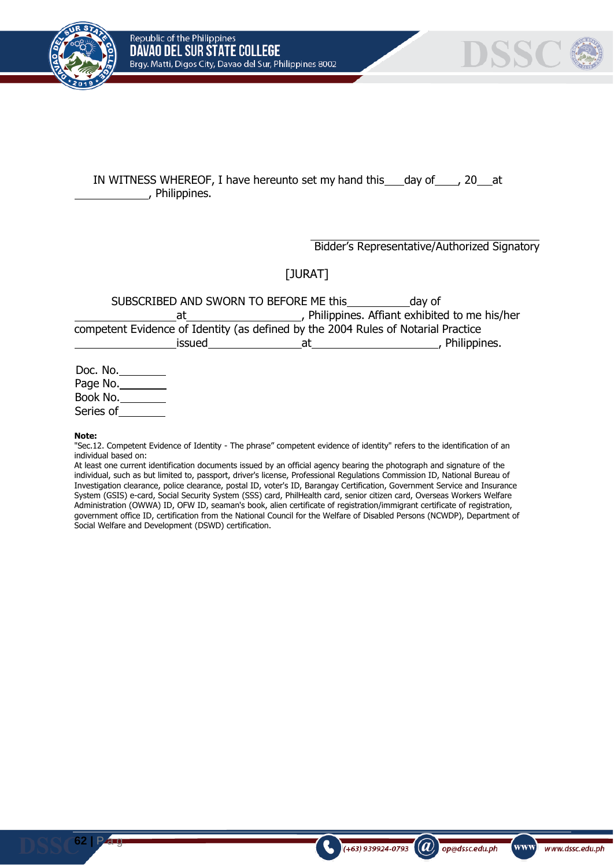



## IN WITNESS WHEREOF, I have hereunto set my hand this day of , 20 at , Philippines.

Bidder's Representative/Authorized Signatory

 $\mathbf{a}$ 

op@dssc.edu.ph

www

www.dssc.edu.ph

 $(+63)$  939924-0793

[JURAT]

SUBSCRIBED AND SWORN TO BEFORE ME this day of at 1. Philippines. Affiant exhibited to me his/her competent Evidence of Identity (as defined by the 2004 Rules of Notarial Practice issued at at , Philippines.

Doc. No. Page No. Book No. Series of

**Note:**

"Sec.12. Competent Evidence of Identity - The phrase" competent evidence of identity" refers to the identification of an individual based on:

At least one current identification documents issued by an official agency bearing the photograph and signature of the individual, such as but limited to, passport, driver's license, Professional Regulations Commission ID, National Bureau of Investigation clearance, police clearance, postal ID, voter's ID, Barangay Certification, Government Service and Insurance System (GSIS) e-card, Social Security System (SSS) card, PhilHealth card, senior citizen card, Overseas Workers Welfare Administration (OWWA) ID, OFW ID, seaman's book, alien certificate of registration/immigrant certificate of registration, government office ID, certification from the National Council for the Welfare of Disabled Persons (NCWDP), Department of Social Welfare and Development (DSWD) certification.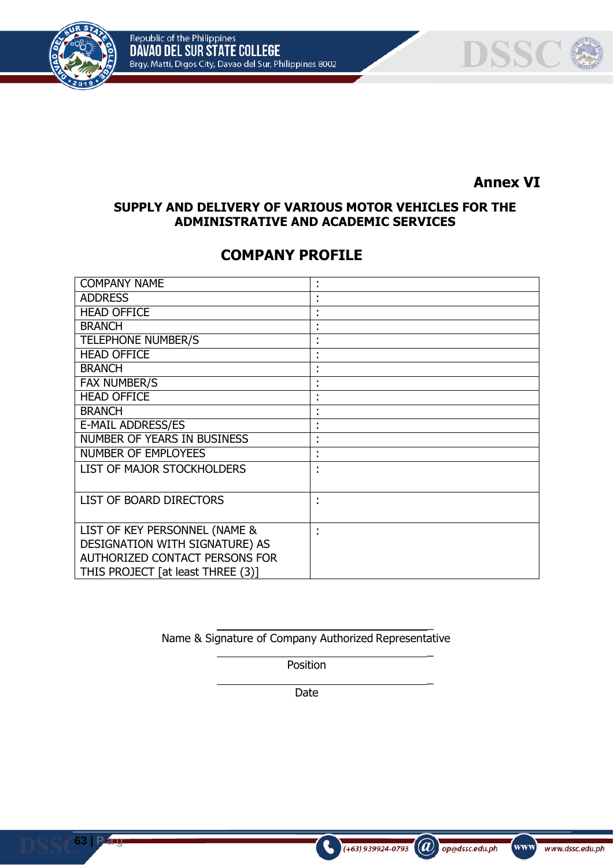



# **Annex VI**

# **SUPPLY AND DELIVERY OF VARIOUS MOTOR VEHICLES FOR THE ADMINISTRATIVE AND ACADEMIC SERVICES**

# **COMPANY PROFILE**

| <b>COMPANY NAME</b>                | ٠      |
|------------------------------------|--------|
| <b>ADDRESS</b>                     |        |
| <b>HEAD OFFICE</b>                 |        |
| <b>BRANCH</b>                      |        |
| <b>TELEPHONE NUMBER/S</b>          |        |
| <b>HEAD OFFICE</b>                 |        |
| <b>BRANCH</b>                      |        |
| <b>FAX NUMBER/S</b>                |        |
| <b>HEAD OFFICE</b>                 |        |
| <b>BRANCH</b>                      |        |
| <b>E-MAIL ADDRESS/ES</b>           |        |
| <b>NUMBER OF YEARS IN BUSINESS</b> | ٠<br>٠ |
| <b>NUMBER OF EMPLOYEES</b>         | ٠      |
| LIST OF MAJOR STOCKHOLDERS         |        |
|                                    |        |
| LIST OF BOARD DIRECTORS            |        |
|                                    |        |
| LIST OF KEY PERSONNEL (NAME &      |        |
| DESIGNATION WITH SIGNATURE) AS     |        |
| AUTHORIZED CONTACT PERSONS FOR     |        |
| THIS PROJECT [at least THREE (3)]  |        |

Name & Signature of Company Authorized Representative

 $\overline{a}$ 

\_

\_

 $(a)$  op@dssc.edu.ph

www www.dssc.edu.ph

 $\left( +63\right)$  939924-0793

Position

Date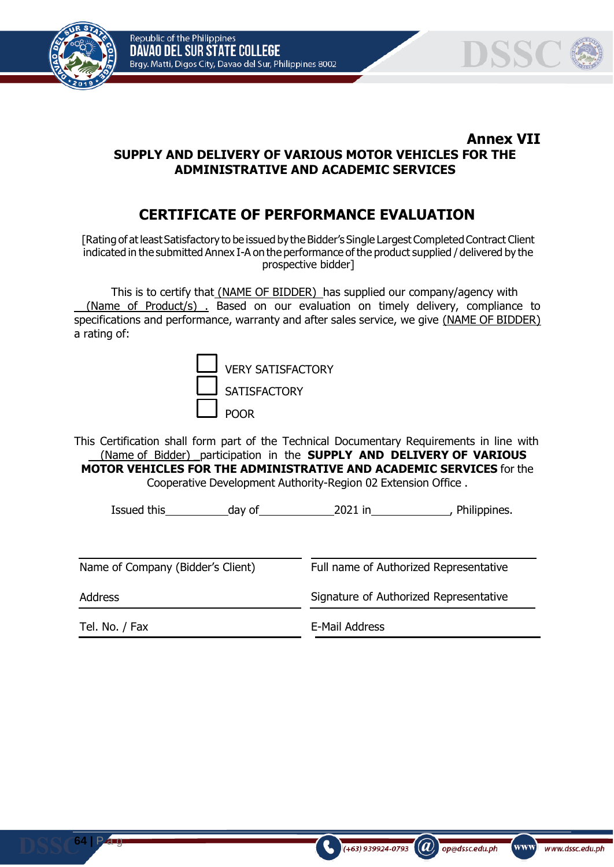Republic of the Philippines DAVAO DEL SUR STATE COLLEGE Brgy. Matti, Digos City, Davao del Sur, Philippines 8002





### **Annex VII SUPPLY AND DELIVERY OF VARIOUS MOTOR VEHICLES FOR THE ADMINISTRATIVE AND ACADEMIC SERVICES**

# **CERTIFICATE OF PERFORMANCE EVALUATION**

[Rating of at least Satisfactory to be issued by the Bidder's Single Largest Completed Contract Client indicated in the submitted Annex I-A on the performance of the product supplied / delivered by the prospective bidder]

This is to certify that (NAME OF BIDDER) has supplied our company/agency with (Name of Product/s) . Based on our evaluation on timely delivery, compliance to specifications and performance, warranty and after sales service, we give (NAME OF BIDDER) a rating of:

| <b>VERY SATISFACTORY</b> |
|--------------------------|
| <b>SATISFACTORY</b>      |
| <b>POOR</b>              |

This Certification shall form part of the Technical Documentary Requirements in line with (Name of Bidder) \_participation in the **SUPPLY AND DELIVERY OF VARIOUS MOTOR VEHICLES FOR THE ADMINISTRATIVE AND ACADEMIC SERVICES** for the Cooperative Development Authority-Region 02 Extension Office .

Issued this day of 2021 in , Philippines.

| Name of Company (Bidder's Client) | Full name of Authorized Representative |  |
|-----------------------------------|----------------------------------------|--|
| Address                           | Signature of Authorized Representative |  |
| Tel. No. / Fax                    | E-Mail Address                         |  |

 $\mathcal{L}(\boldsymbol{a})$ 

 $(+63)$  939924-0793

op@dssc.edu.ph

www)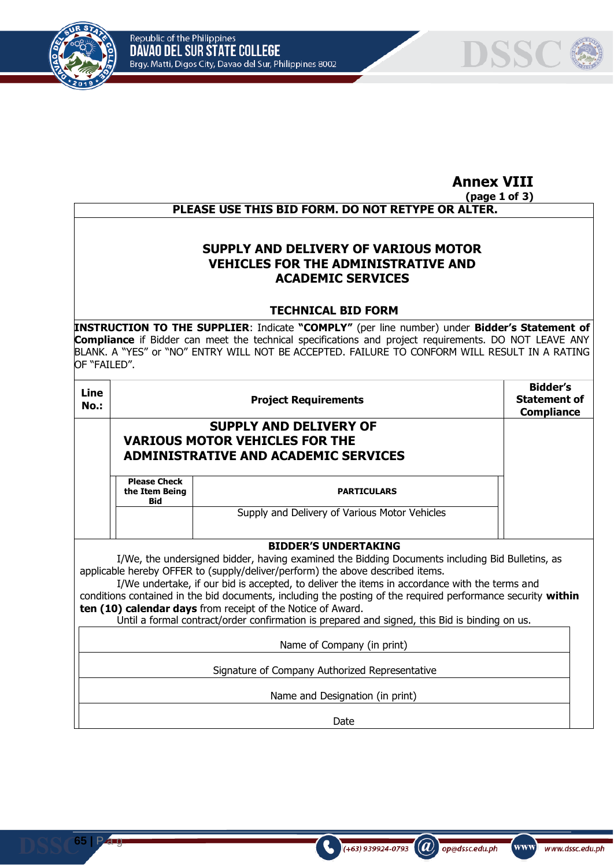

**65 |** P a g



# **Annex VIII**

#### **(page 1 of 3) PLEASE USE THIS BID FORM. DO NOT RETYPE OR ALTER.**

## **SUPPLY AND DELIVERY OF VARIOUS MOTOR VEHICLES FOR THE ADMINISTRATIVE AND ACADEMIC SERVICES**

#### **TECHNICAL BID FORM**

**INSTRUCTION TO THE SUPPLIER**: Indicate **"COMPLY"** (per line number) under **Bidder's Statement of Compliance** if Bidder can meet the technical specifications and project requirements. DO NOT LEAVE ANY BLANK. A "YES" or "NO" ENTRY WILL NOT BE ACCEPTED. FAILURE TO CONFORM WILL RESULT IN A RATING OF "FAILED".

| Line<br><b>No.:</b> |                                              | Bidder's<br><b>Statement of</b><br><b>Compliance</b>                                                                                                                                                                                                                                                                                                                                                                                                              |  |
|---------------------|----------------------------------------------|-------------------------------------------------------------------------------------------------------------------------------------------------------------------------------------------------------------------------------------------------------------------------------------------------------------------------------------------------------------------------------------------------------------------------------------------------------------------|--|
|                     |                                              | <b>SUPPLY AND DELIVERY OF</b><br><b>VARIOUS MOTOR VEHICLES FOR THE</b><br><b>ADMINISTRATIVE AND ACADEMIC SERVICES</b>                                                                                                                                                                                                                                                                                                                                             |  |
|                     | <b>Please Check</b><br>the Item Being<br>Bid | <b>PARTICULARS</b>                                                                                                                                                                                                                                                                                                                                                                                                                                                |  |
|                     |                                              | Supply and Delivery of Various Motor Vehicles                                                                                                                                                                                                                                                                                                                                                                                                                     |  |
|                     |                                              | <b>BIDDER'S UNDERTAKING</b>                                                                                                                                                                                                                                                                                                                                                                                                                                       |  |
|                     |                                              | I/We, the undersigned bidder, having examined the Bidding Documents including Bid Bulletins, as<br>applicable hereby OFFER to (supply/deliver/perform) the above described items.<br>I/We undertake, if our bid is accepted, to deliver the items in accordance with the terms and<br>conditions contained in the bid documents, including the posting of the required performance security within<br>ten (10) calendar days from receipt of the Notice of Award. |  |

Until a formal contract/order confirmation is prepared and signed, this Bid is binding on us.

Name of Company (in print)

Signature of Company Authorized Representative

Name and Designation (in print)

Date

 $(a)$ 

op@dssc.edu.ph

www)

www.dssc.edu.ph

 $(+63)$  939924-0793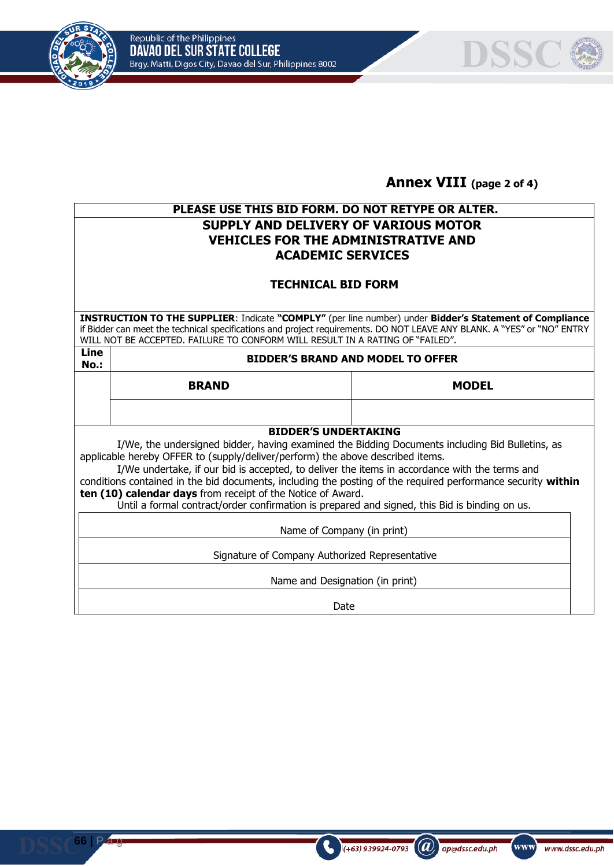





# **Annex VIII (page 2 of 4)**

# **PLEASE USE THIS BID FORM. DO NOT RETYPE OR ALTER. SUPPLY AND DELIVERY OF VARIOUS MOTOR VEHICLES FOR THE ADMINISTRATIVE AND ACADEMIC SERVICES**

## **TECHNICAL BID FORM**

**INSTRUCTION TO THE SUPPLIER**: Indicate **"COMPLY"** (per line number) under **Bidder's Statement of Compliance**  if Bidder can meet the technical specifications and project requirements. DO NOT LEAVE ANY BLANK. A "YES" or "NO" ENTRY WILL NOT BE ACCEPTED. FAILURE TO CONFORM WILL RESULT IN A RATING OF "FAILED".

**Line** 

**No.: BIDDER'S BRAND AND MODEL TO OFFER**

**BRAND MODEL**

# **BIDDER'S UNDERTAKING**

I/We, the undersigned bidder, having examined the Bidding Documents including Bid Bulletins, as applicable hereby OFFER to (supply/deliver/perform) the above described items.

I/We undertake, if our bid is accepted, to deliver the items in accordance with the terms and conditions contained in the bid documents, including the posting of the required performance security **within ten (10) calendar days** from receipt of the Notice of Award.

Until a formal contract/order confirmation is prepared and signed, this Bid is binding on us.

Name of Company (in print)

Signature of Company Authorized Representative

Name and Designation (in print)

Date

 $\mathcal{L}(\boldsymbol{a})$ 

op@dssc.edu.ph

www]

www.dssc.edu.ph

 $(+63)$  939924-0793

**66 |** P a g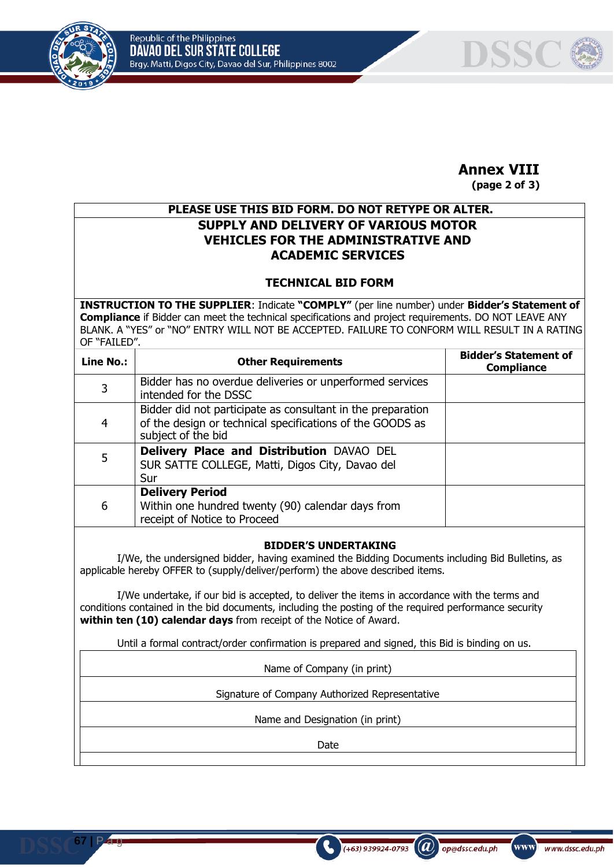

**67 |** P a g



# **Annex VIII**

**(page 2 of 3)**

# **PLEASE USE THIS BID FORM. DO NOT RETYPE OR ALTER. SUPPLY AND DELIVERY OF VARIOUS MOTOR VEHICLES FOR THE ADMINISTRATIVE AND ACADEMIC SERVICES**

### **TECHNICAL BID FORM**

**INSTRUCTION TO THE SUPPLIER**: Indicate **"COMPLY"** (per line number) under **Bidder's Statement of Compliance** if Bidder can meet the technical specifications and project requirements. DO NOT LEAVE ANY BLANK. A "YES" or "NO" ENTRY WILL NOT BE ACCEPTED. FAILURE TO CONFORM WILL RESULT IN A RATING OF "FAILED".

| Line No.: | <b>Other Requirements</b>                                                                                                                      | <b>Bidder's Statement of</b><br><b>Compliance</b> |
|-----------|------------------------------------------------------------------------------------------------------------------------------------------------|---------------------------------------------------|
| 3         | Bidder has no overdue deliveries or unperformed services<br>intended for the DSSC                                                              |                                                   |
| 4         | Bidder did not participate as consultant in the preparation<br>of the design or technical specifications of the GOODS as<br>subject of the bid |                                                   |
| 5         | Delivery Place and Distribution DAVAO DEL<br>SUR SATTE COLLEGE, Matti, Digos City, Davao del<br>Sur                                            |                                                   |
| 6         | <b>Delivery Period</b><br>Within one hundred twenty (90) calendar days from<br>receipt of Notice to Proceed                                    |                                                   |

#### **BIDDER'S UNDERTAKING**

I/We, the undersigned bidder, having examined the Bidding Documents including Bid Bulletins, as applicable hereby OFFER to (supply/deliver/perform) the above described items.

I/We undertake, if our bid is accepted, to deliver the items in accordance with the terms and conditions contained in the bid documents, including the posting of the required performance security **within ten (10) calendar days** from receipt of the Notice of Award.

Until a formal contract/order confirmation is prepared and signed, this Bid is binding on us.

Name of Company (in print)

Signature of Company Authorized Representative

Name and Designation (in print)

Date

 $(a)$ 

op@dssc.edu.ph

 $(+63)$  939924-0793

www]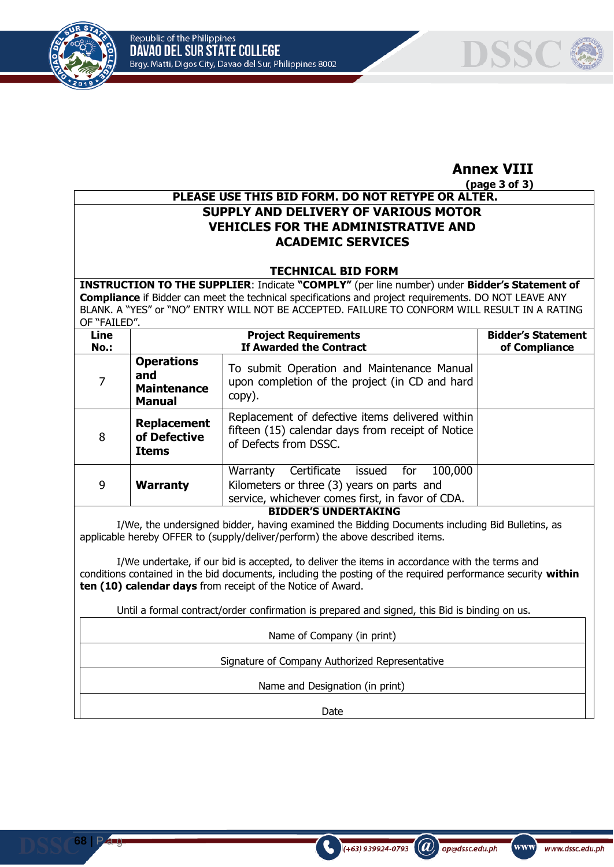



# **Annex VIII**

**(page 3 of 3)**

## **PLEASE USE THIS BID FORM. DO NOT RETYPE OR ALTER. SUPPLY AND DELIVERY OF VARIOUS MOTOR VEHICLES FOR THE ADMINISTRATIVE AND ACADEMIC SERVICES**

### **TECHNICAL BID FORM**

**INSTRUCTION TO THE SUPPLIER**: Indicate **"COMPLY"** (per line number) under **Bidder's Statement of Compliance** if Bidder can meet the technical specifications and project requirements. DO NOT LEAVE ANY BLANK. A "YES" or "NO" ENTRY WILL NOT BE ACCEPTED. FAILURE TO CONFORM WILL RESULT IN A RATING OF "FAILED".

| Line<br>No.:                |                                                          | <b>Bidder's Statement</b><br>of Compliance                                                                                                         |  |
|-----------------------------|----------------------------------------------------------|----------------------------------------------------------------------------------------------------------------------------------------------------|--|
| 7                           | <b>Operations</b><br>and<br><b>Maintenance</b><br>Manual | To submit Operation and Maintenance Manual<br>upon completion of the project (in CD and hard<br>copy).                                             |  |
| 8                           | <b>Replacement</b><br>of Defective<br><b>Items</b>       | Replacement of defective items delivered within<br>fifteen (15) calendar days from receipt of Notice<br>of Defects from DSSC.                      |  |
| 9                           | <b>Warranty</b>                                          | Warranty<br>Certificate<br>100,000<br>issued for<br>Kilometers or three (3) years on parts and<br>service, whichever comes first, in favor of CDA. |  |
| <b>BIDDER'S UNDERTAKING</b> |                                                          |                                                                                                                                                    |  |

I/We, the undersigned bidder, having examined the Bidding Documents including Bid Bulletins, as applicable hereby OFFER to (supply/deliver/perform) the above described items.

I/We undertake, if our bid is accepted, to deliver the items in accordance with the terms and conditions contained in the bid documents, including the posting of the required performance security **within ten (10) calendar days** from receipt of the Notice of Award.

Until a formal contract/order confirmation is prepared and signed, this Bid is binding on us.

Name of Company (in print)

Signature of Company Authorized Representative

Name and Designation (in print)

Date

 $(a)$ 

op@dssc.edu.ph

 $(+63)$  939924-0793

www]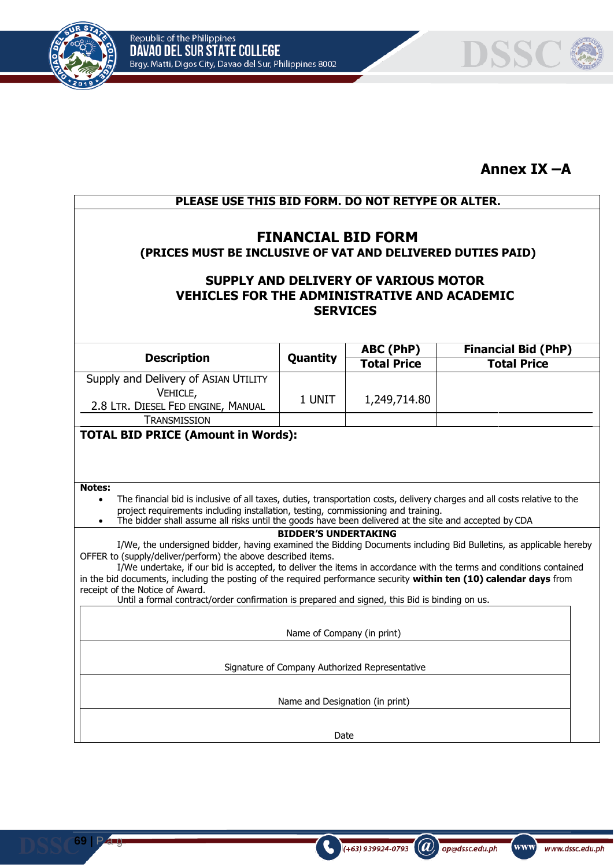



# **Annex IX –A**

| PLEASE USE THIS BID FORM. DO NOT RETYPE OR ALTER.<br><b>FINANCIAL BID FORM</b><br>(PRICES MUST BE INCLUSIVE OF VAT AND DELIVERED DUTIES PAID)                                                                                                                                                                                                                                                                                                                                                                                                                      |                             |                    |                            |  |  |
|--------------------------------------------------------------------------------------------------------------------------------------------------------------------------------------------------------------------------------------------------------------------------------------------------------------------------------------------------------------------------------------------------------------------------------------------------------------------------------------------------------------------------------------------------------------------|-----------------------------|--------------------|----------------------------|--|--|
|                                                                                                                                                                                                                                                                                                                                                                                                                                                                                                                                                                    |                             |                    |                            |  |  |
|                                                                                                                                                                                                                                                                                                                                                                                                                                                                                                                                                                    |                             | ABC (PhP)          | <b>Financial Bid (PhP)</b> |  |  |
| <b>Description</b>                                                                                                                                                                                                                                                                                                                                                                                                                                                                                                                                                 | Quantity                    | <b>Total Price</b> | <b>Total Price</b>         |  |  |
| Supply and Delivery of ASIAN UTILITY<br>VEHICLE,<br>2.8 LTR. DIESEL FED ENGINE, MANUAL                                                                                                                                                                                                                                                                                                                                                                                                                                                                             | 1 UNIT                      | 1,249,714.80       |                            |  |  |
| <b>TRANSMISSION</b>                                                                                                                                                                                                                                                                                                                                                                                                                                                                                                                                                |                             |                    |                            |  |  |
| <b>Notes:</b><br>The financial bid is inclusive of all taxes, duties, transportation costs, delivery charges and all costs relative to the<br>$\bullet$<br>project requirements including installation, testing, commissioning and training.<br>The bidder shall assume all risks until the goods have been delivered at the site and accepted by CDA<br>$\bullet$                                                                                                                                                                                                 |                             |                    |                            |  |  |
|                                                                                                                                                                                                                                                                                                                                                                                                                                                                                                                                                                    | <b>BIDDER'S UNDERTAKING</b> |                    |                            |  |  |
| I/We, the undersigned bidder, having examined the Bidding Documents including Bid Bulletins, as applicable hereby<br>OFFER to (supply/deliver/perform) the above described items.<br>I/We undertake, if our bid is accepted, to deliver the items in accordance with the terms and conditions contained<br>in the bid documents, including the posting of the required performance security within ten (10) calendar days from<br>receipt of the Notice of Award.<br>Until a formal contract/order confirmation is prepared and signed, this Bid is binding on us. |                             |                    |                            |  |  |
|                                                                                                                                                                                                                                                                                                                                                                                                                                                                                                                                                                    |                             |                    |                            |  |  |
| Name of Company (in print)                                                                                                                                                                                                                                                                                                                                                                                                                                                                                                                                         |                             |                    |                            |  |  |
| Signature of Company Authorized Representative                                                                                                                                                                                                                                                                                                                                                                                                                                                                                                                     |                             |                    |                            |  |  |
| Name and Designation (in print)                                                                                                                                                                                                                                                                                                                                                                                                                                                                                                                                    |                             |                    |                            |  |  |
|                                                                                                                                                                                                                                                                                                                                                                                                                                                                                                                                                                    | Date                        |                    |                            |  |  |

 $\bigodot$  (+63) 939924-0793 (a) op@dssc.edu.ph

www www.dssc.edu.ph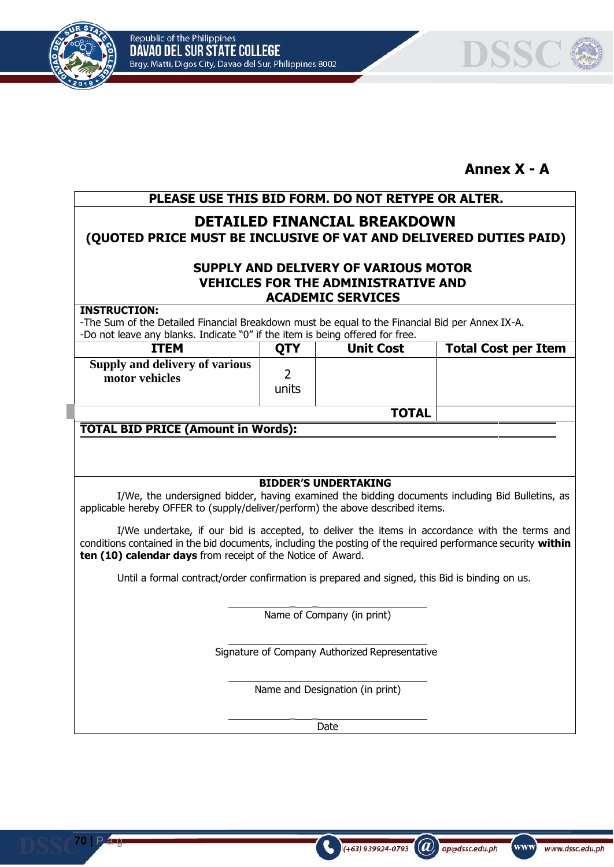



# **Annex X - A**

# **PLEASE USE THIS BID FORM. DO NOT RETYPE OR ALTER.**

# **DETAILED FINANCIAL BREAKDOWN (QUOTED PRICE MUST BE INCLUSIVE OF VAT AND DELIVERED DUTIES PAID)**

## **SUPPLY AND DELIVERY OF VARIOUS MOTOR VEHICLES FOR THE ADMINISTRATIVE AND ACADEMIC SERVICES**

#### **INSTRUCTION:**

**70 |** P a g

-The Sum of the Detailed Financial Breakdown must be equal to the Financial Bid per Annex IX-A. -Do not leave any blanks. Indicate "0" if the item is being offered for free.

| <u>pointer care any planned and cate of memorial discussed and care in cer</u> |            |                  |                            |  |  |
|--------------------------------------------------------------------------------|------------|------------------|----------------------------|--|--|
| <b>ITEM</b>                                                                    | <b>OTY</b> | <b>Unit Cost</b> | <b>Total Cost per Item</b> |  |  |
| Supply and delivery of various<br>motor vehicles                               | units      |                  |                            |  |  |
|                                                                                |            | <b>TOTAL</b>     |                            |  |  |

# **TOTAL BID PRICE (Amount in Words):**

#### **BIDDER'S UNDERTAKING**

I/We, the undersigned bidder, having examined the bidding documents including Bid Bulletins, as applicable hereby OFFER to (supply/deliver/perform) the above described items.

I/We undertake, if our bid is accepted, to deliver the items in accordance with the terms and conditions contained in the bid documents, including the posting of the required performance security **within ten (10) calendar days** from receipt of the Notice of Award.

Until a formal contract/order confirmation is prepared and signed, this Bid is binding on us.

 $\overline{\phantom{a}}$ Name of Company (in print)

Signature of Company Authorized Representative

 $\overline{\phantom{a}}$ 

 $\overline{\phantom{a}}$ 

 $\overline{\phantom{a}}$ 

Name and Designation (in print)

Date

 $(a)$ 

op@dssc.edu.ph

 $(+63)$  939924-0793

www]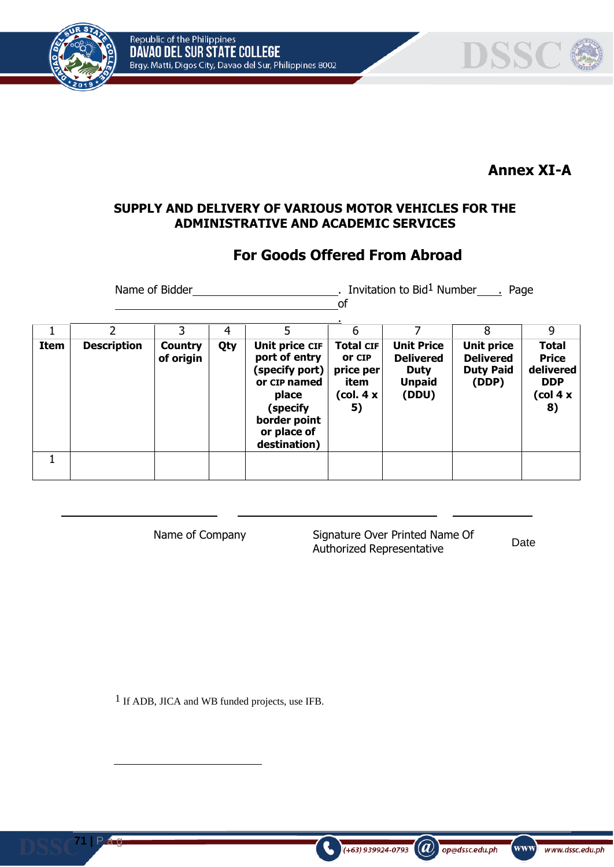Republic of the Philippines<br>DAVAO DEL SUR STATE COLLEGE Brgy. Matti, Digos City, Davao del Sur, Philippines 8002





## **Annex XI-A**

#### **SUPPLY AND DELIVERY OF VARIOUS MOTOR VEHICLES FOR THE ADMINISTRATIVE AND ACADEMIC SERVICES**

# **For Goods Offered From Abroad**

Name of Bidder **.** Invitation to Bid<sup>1</sup> Number . Page of

|      |                    | 3                           | 4   |                                                                                                                                       | 6                                                                  |                                                                                | 8                                                                  | 9                                                                         |
|------|--------------------|-----------------------------|-----|---------------------------------------------------------------------------------------------------------------------------------------|--------------------------------------------------------------------|--------------------------------------------------------------------------------|--------------------------------------------------------------------|---------------------------------------------------------------------------|
| Item | <b>Description</b> | <b>Country</b><br>of origin | Qty | Unit price CIF<br>port of entry<br>(specify port)<br>or CIP named<br>place<br>(specify<br>border point<br>or place of<br>destination) | <b>Total CIF</b><br>or CIP<br>price per<br>item<br>(col. 4 x<br>5) | <b>Unit Price</b><br><b>Delivered</b><br><b>Duty</b><br><b>Unpaid</b><br>(DDU) | <b>Unit price</b><br><b>Delivered</b><br><b>Duty Paid</b><br>(DDP) | <b>Total</b><br><b>Price</b><br>delivered<br><b>DDP</b><br>(col 4 x<br>8) |
|      |                    |                             |     |                                                                                                                                       |                                                                    |                                                                                |                                                                    |                                                                           |

Name of Company Signature Over Printed Name Of Authorized Representative

 $($ +63) 939924-0793 ( $\omega$ ) op@dssc.edu.ph

Date

www)

www.dssc.edu.ph

1 If ADB, JICA and WB funded projects, use IFB.

**71 |** P a g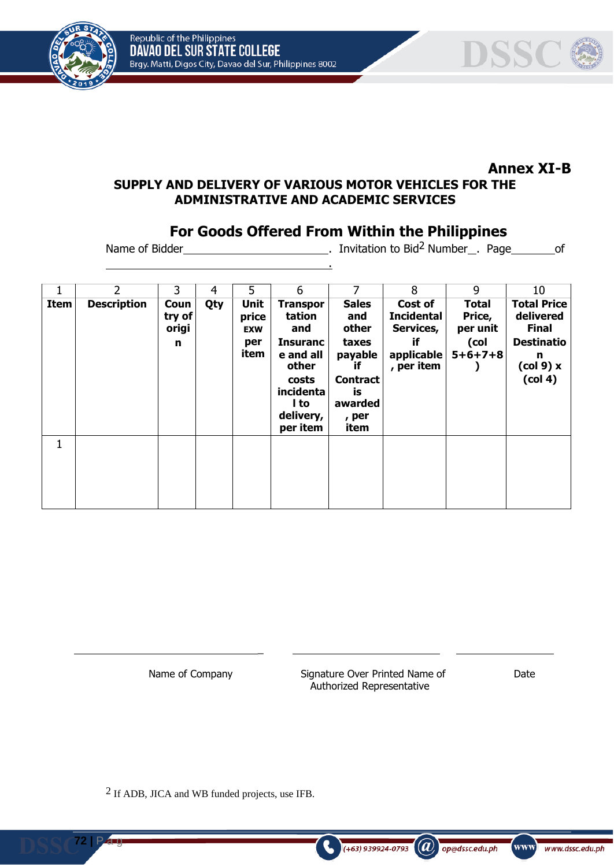



#### **Annex XI-B SUPPLY AND DELIVERY OF VARIOUS MOTOR VEHICLES FOR THE ADMINISTRATIVE AND ACADEMIC SERVICES**

.

# **For Goods Offered From Within the Philippines**

Name of Bidder \_\_\_\_\_\_\_\_\_\_\_\_\_\_\_\_\_\_\_\_\_\_\_\_\_\_\_\_\_\_\_\_. Invitation to Bid<sup>2</sup> Number \_\_. Page \_\_\_\_\_\_\_\_\_of

| 1           | $\overline{2}$     | 3                            | 4   | 5                                          | 6                                                                                                                                | 7                                                                                                           | 8                                                                           | 9                                                             | 10                                                                                                                     |
|-------------|--------------------|------------------------------|-----|--------------------------------------------|----------------------------------------------------------------------------------------------------------------------------------|-------------------------------------------------------------------------------------------------------------|-----------------------------------------------------------------------------|---------------------------------------------------------------|------------------------------------------------------------------------------------------------------------------------|
| <b>Item</b> | <b>Description</b> | Coun<br>try of<br>origi<br>n | Qty | Unit<br>price<br><b>EXW</b><br>per<br>item | <b>Transpor</b><br>tation<br>and<br><b>Insuranc</b><br>e and all<br>other<br>costs<br>incidenta<br>l to<br>delivery,<br>per item | <b>Sales</b><br>and<br>other<br>taxes<br>payable<br>if<br><b>Contract</b><br>is<br>awarded<br>, per<br>item | Cost of<br><b>Incidental</b><br>Services,<br>if<br>applicable<br>, per item | <b>Total</b><br>Price,<br>per unit<br>(col<br>$5 + 6 + 7 + 8$ | <b>Total Price</b><br>delivered<br><b>Final</b><br><b>Destinatio</b><br>n<br>$\left(\text{col } 9\right)$ x<br>(col 4) |
| 1           |                    |                              |     |                                            |                                                                                                                                  |                                                                                                             |                                                                             |                                                               |                                                                                                                        |

 $\overline{a}$ 

Name of Company Signature Over Printed Name of Date Authorized Representative

(+63) 939924-0793

www)

www.dssc.edu.ph

 $(a)$  op@dssc.edu.ph

2 If ADB, JICA and WB funded projects, use IFB.

**72 |** P a g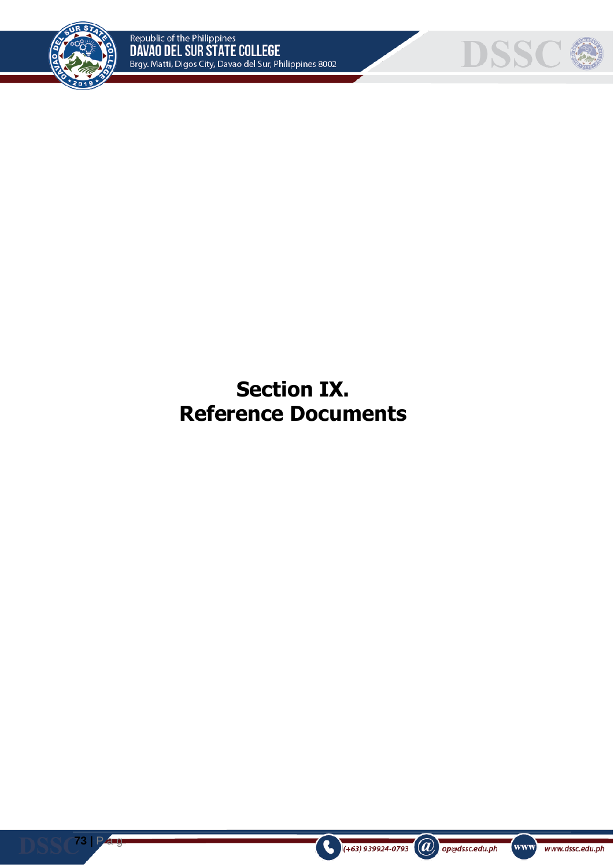

**73 |** P a g



**Section IX. Reference Documents**



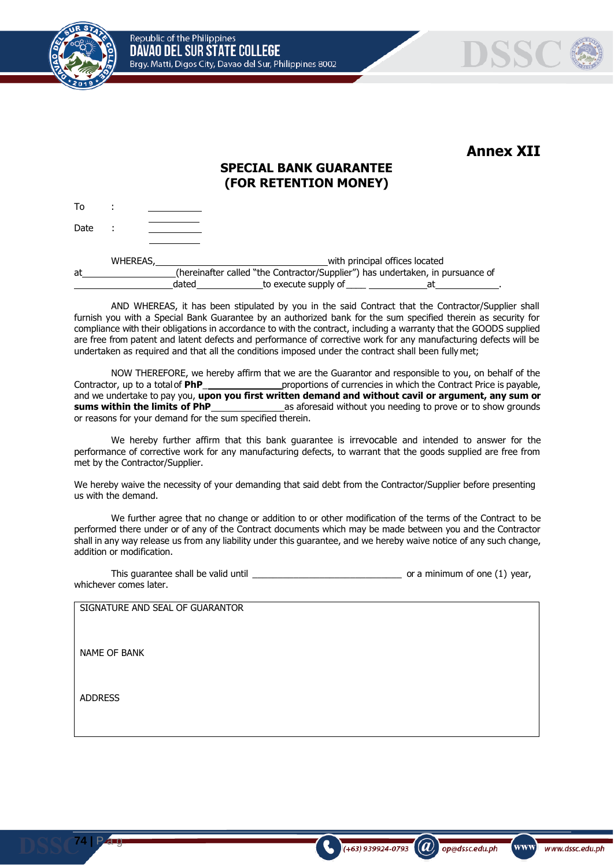Republic of the Philippines DAVAO DEL SUR STATE COLLEGE Brgy. Matti, Digos City, Davao del Sur, Philippines 8002



To :



**Annex XII**

### **SPECIAL BANK GUARANTEE (FOR RETENTION MONEY)**

Date :

**74 |** P a g

|    | <b>WHEREAS,</b> |       |                      | with principal offices located                                                 |  |
|----|-----------------|-------|----------------------|--------------------------------------------------------------------------------|--|
| at |                 |       |                      | (hereinafter called "the Contractor/Supplier") has undertaken, in pursuance of |  |
|    |                 | dated | to execute supply of | at                                                                             |  |

AND WHEREAS, it has been stipulated by you in the said Contract that the Contractor/Supplier shall furnish you with a Special Bank Guarantee by an authorized bank for the sum specified therein as security for compliance with their obligations in accordance to with the contract, including a warranty that the GOODS supplied are free from patent and latent defects and performance of corrective work for any manufacturing defects will be undertaken as required and that all the conditions imposed under the contract shall been fully met;

NOW THEREFORE, we hereby affirm that we are the Guarantor and responsible to you, on behalf of the Contractor, up to a totalof **PhP**\_ proportions of currencies in which the Contract Price is payable, and we undertake to pay you, **upon you first written demand and without cavil or argument, any sum or sums within the limits of PhP** as aforesaid without you needing to prove or to show grounds or reasons for your demand for the sum specified therein.

We hereby further affirm that this bank guarantee is irrevocable and intended to answer for the performance of corrective work for any manufacturing defects, to warrant that the goods supplied are free from met by the Contractor/Supplier.

We hereby waive the necessity of your demanding that said debt from the Contractor/Supplier before presenting us with the demand.

We further agree that no change or addition to or other modification of the terms of the Contract to be performed there under or of any of the Contract documents which may be made between you and the Contractor shall in any way release us from any liability under this guarantee, and we hereby waive notice of any such change, addition or modification.

| This quarantee shall be valid until | or a minimum of one (1) year, |
|-------------------------------------|-------------------------------|
| whichever comes later.              |                               |

| SIGNATURE AND SEAL OF GUARANTOR |
|---------------------------------|
| NAME OF BANK                    |
| <b>ADDRESS</b>                  |

 $\bm{a}$ 

op@dssc.edu.ph

 $(+63)$  939924-0793

www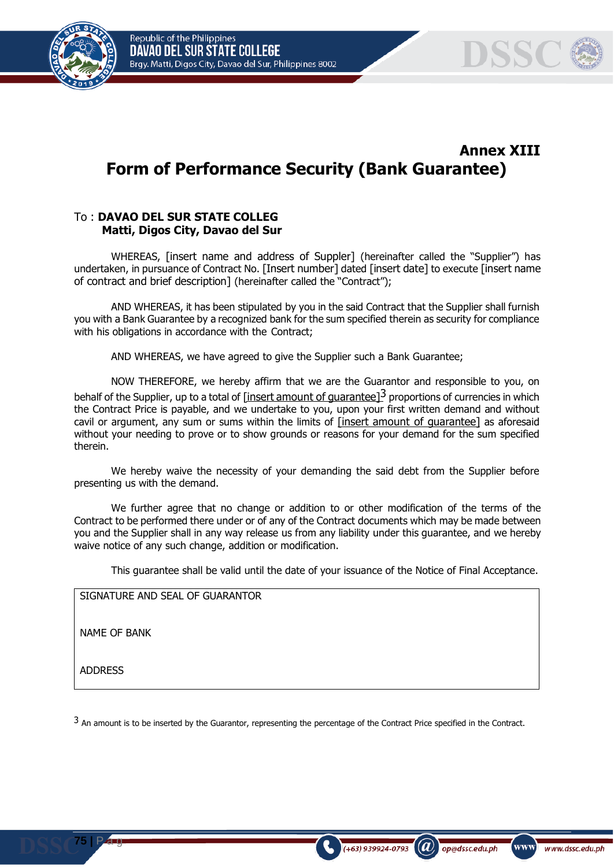Republic of the Philippines DAVAO DEL SUR STATE COLLEGE Brgy. Matti, Digos City, Davao del Sur, Philippines 8002





# **Annex XIII Form of Performance Security (Bank Guarantee)**

#### To : **DAVAO DEL SUR STATE COLLEG Matti, Digos City, Davao del Sur**

WHEREAS, [insert name and address of Suppler] (hereinafter called the "Supplier") has undertaken, in pursuance of Contract No. [Insert number] dated [insert date] to execute [insert name of contract and brief description] (hereinafter called the "Contract");

AND WHEREAS, it has been stipulated by you in the said Contract that the Supplier shall furnish you with a Bank Guarantee by a recognized bank for the sum specified therein as security for compliance with his obligations in accordance with the Contract;

AND WHEREAS, we have agreed to give the Supplier such a Bank Guarantee;

NOW THEREFORE, we hereby affirm that we are the Guarantor and responsible to you, on behalf of the Supplier, up to a total of  $[insert amount of guarantee]$ <sup>3</sup> proportions of currencies in which the Contract Price is payable, and we undertake to you, upon your first written demand and without cavil or argument, any sum or sums within the limits of [insert amount of guarantee] as aforesaid without your needing to prove or to show grounds or reasons for your demand for the sum specified therein.

We hereby waive the necessity of your demanding the said debt from the Supplier before presenting us with the demand.

We further agree that no change or addition to or other modification of the terms of the Contract to be performed there under or of any of the Contract documents which may be made between you and the Supplier shall in any way release us from any liability under this guarantee, and we hereby waive notice of any such change, addition or modification.

This guarantee shall be valid until the date of your issuance of the Notice of Final Acceptance.

SIGNATURE AND SEAL OF GUARANTOR

NAME OF BANK

ADDRESS

**75 |** P a g

 $3$  An amount is to be inserted by the Guarantor, representing the percentage of the Contract Price specified in the Contract.

 $(a)$ 

op@dssc.edu.ph

 $(+63)$  939924-0793

www]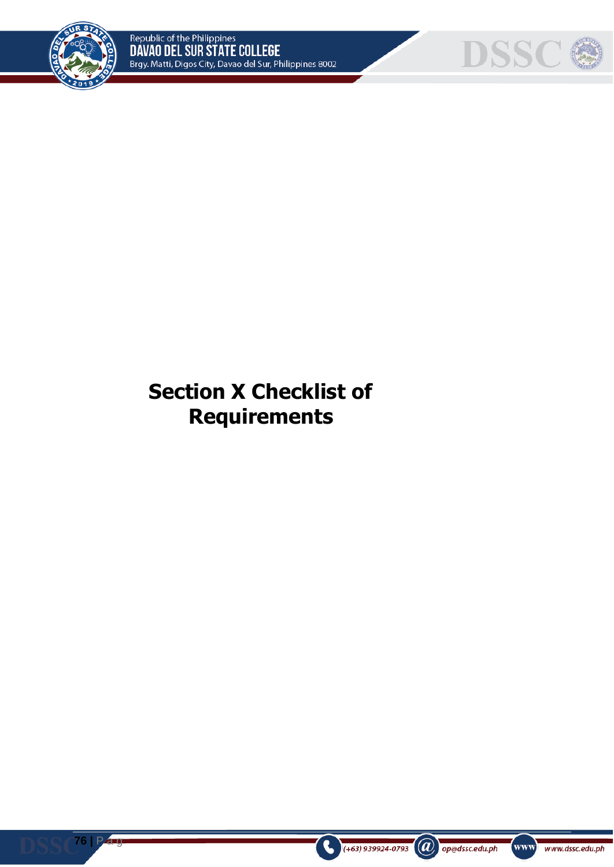

**76 |** P a g



# **Section X Checklist of Requirements**





www www.dssc.edu.ph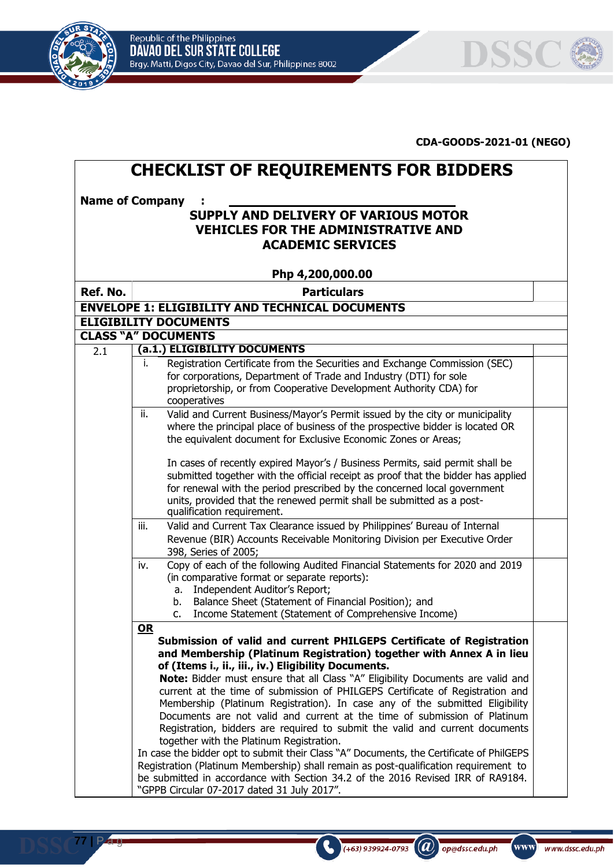

**77 |** P a g



#### **CDA-GOODS-2021-01 (NEGO)**

| <b>CHECKLIST OF REQUIREMENTS FOR BIDDERS</b>                   |                                                                                                                                                                                                                                                                                                                                                                        |  |  |  |  |  |  |  |  |
|----------------------------------------------------------------|------------------------------------------------------------------------------------------------------------------------------------------------------------------------------------------------------------------------------------------------------------------------------------------------------------------------------------------------------------------------|--|--|--|--|--|--|--|--|
| <b>Name of Company</b><br>SUPPLY AND DELIVERY OF VARIOUS MOTOR |                                                                                                                                                                                                                                                                                                                                                                        |  |  |  |  |  |  |  |  |
| <b>VEHICLES FOR THE ADMINISTRATIVE AND</b>                     |                                                                                                                                                                                                                                                                                                                                                                        |  |  |  |  |  |  |  |  |
|                                                                | <b>ACADEMIC SERVICES</b>                                                                                                                                                                                                                                                                                                                                               |  |  |  |  |  |  |  |  |
|                                                                | Php 4,200,000.00                                                                                                                                                                                                                                                                                                                                                       |  |  |  |  |  |  |  |  |
| Ref. No.                                                       | <b>Particulars</b>                                                                                                                                                                                                                                                                                                                                                     |  |  |  |  |  |  |  |  |
|                                                                | <b>ENVELOPE 1: ELIGIBILITY AND TECHNICAL DOCUMENTS</b>                                                                                                                                                                                                                                                                                                                 |  |  |  |  |  |  |  |  |
|                                                                | <b>ELIGIBILITY DOCUMENTS</b>                                                                                                                                                                                                                                                                                                                                           |  |  |  |  |  |  |  |  |
|                                                                | <b>CLASS "A" DOCUMENTS</b>                                                                                                                                                                                                                                                                                                                                             |  |  |  |  |  |  |  |  |
| 2.1                                                            | (a.1.) ELIGIBILITY DOCUMENTS                                                                                                                                                                                                                                                                                                                                           |  |  |  |  |  |  |  |  |
|                                                                | Registration Certificate from the Securities and Exchange Commission (SEC)<br>İ.<br>for corporations, Department of Trade and Industry (DTI) for sole<br>proprietorship, or from Cooperative Development Authority CDA) for<br>cooperatives                                                                                                                            |  |  |  |  |  |  |  |  |
|                                                                | ii.<br>Valid and Current Business/Mayor's Permit issued by the city or municipality<br>where the principal place of business of the prospective bidder is located OR<br>the equivalent document for Exclusive Economic Zones or Areas;                                                                                                                                 |  |  |  |  |  |  |  |  |
|                                                                | In cases of recently expired Mayor's / Business Permits, said permit shall be<br>submitted together with the official receipt as proof that the bidder has applied<br>for renewal with the period prescribed by the concerned local government<br>units, provided that the renewed permit shall be submitted as a post-<br>qualification requirement.                  |  |  |  |  |  |  |  |  |
|                                                                | Valid and Current Tax Clearance issued by Philippines' Bureau of Internal<br>iii.<br>Revenue (BIR) Accounts Receivable Monitoring Division per Executive Order<br>398, Series of 2005;                                                                                                                                                                                 |  |  |  |  |  |  |  |  |
|                                                                | Copy of each of the following Audited Financial Statements for 2020 and 2019<br>iv.<br>(in comparative format or separate reports):<br>a. Independent Auditor's Report;<br>Balance Sheet (Statement of Financial Position); and<br>b.<br>Income Statement (Statement of Comprehensive Income)<br>$C_{1}$                                                               |  |  |  |  |  |  |  |  |
|                                                                | $OR$<br>Submission of valid and current PHILGEPS Certificate of Registration<br>and Membership (Platinum Registration) together with Annex A in lieu<br>of (Items i., ii., iii., iv.) Eligibility Documents.<br>Note: Bidder must ensure that all Class "A" Eligibility Documents are valid and                                                                        |  |  |  |  |  |  |  |  |
|                                                                | current at the time of submission of PHILGEPS Certificate of Registration and<br>Membership (Platinum Registration). In case any of the submitted Eligibility<br>Documents are not valid and current at the time of submission of Platinum<br>Registration, bidders are required to submit the valid and current documents<br>together with the Platinum Registration. |  |  |  |  |  |  |  |  |
|                                                                | In case the bidder opt to submit their Class "A" Documents, the Certificate of PhilGEPS<br>Registration (Platinum Membership) shall remain as post-qualification requirement to<br>be submitted in accordance with Section 34.2 of the 2016 Revised IRR of RA9184.<br>"GPPB Circular 07-2017 dated 31 July 2017".                                                      |  |  |  |  |  |  |  |  |

(+63) 939924-0793 (a) op@dssc.edu.ph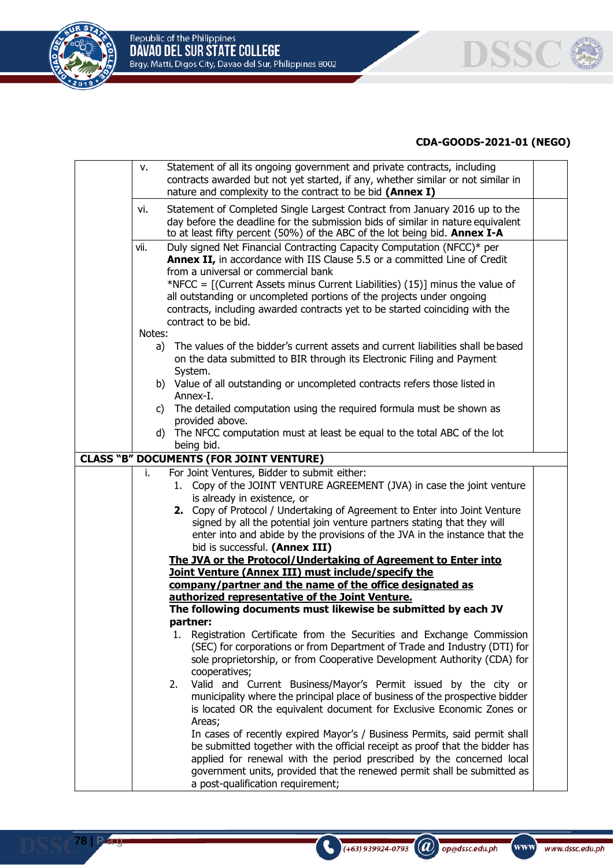



| v.     | Statement of all its ongoing government and private contracts, including                                                                               |  |
|--------|--------------------------------------------------------------------------------------------------------------------------------------------------------|--|
|        | contracts awarded but not yet started, if any, whether similar or not similar in                                                                       |  |
|        | nature and complexity to the contract to be bid (Annex I)                                                                                              |  |
| vi.    | Statement of Completed Single Largest Contract from January 2016 up to the                                                                             |  |
|        | day before the deadline for the submission bids of similar in nature equivalent                                                                        |  |
|        | to at least fifty percent (50%) of the ABC of the lot being bid. Annex I-A                                                                             |  |
| vii.   | Duly signed Net Financial Contracting Capacity Computation (NFCC)* per                                                                                 |  |
|        | Annex II, in accordance with IIS Clause 5.5 or a committed Line of Credit                                                                              |  |
|        | from a universal or commercial bank                                                                                                                    |  |
|        | *NFCC = $[(Current Assets minus Current Liabilities) (15)]$ minus the value of                                                                         |  |
|        | all outstanding or uncompleted portions of the projects under ongoing                                                                                  |  |
|        | contracts, including awarded contracts yet to be started coinciding with the                                                                           |  |
|        | contract to be bid.                                                                                                                                    |  |
| Notes: |                                                                                                                                                        |  |
| a)     | The values of the bidder's current assets and current liabilities shall be based                                                                       |  |
|        | on the data submitted to BIR through its Electronic Filing and Payment                                                                                 |  |
|        | System.<br>b) Value of all outstanding or uncompleted contracts refers those listed in                                                                 |  |
|        | Annex-I.                                                                                                                                               |  |
|        | c) The detailed computation using the required formula must be shown as                                                                                |  |
|        | provided above.                                                                                                                                        |  |
|        | d) The NFCC computation must at least be equal to the total ABC of the lot                                                                             |  |
|        | being bid.                                                                                                                                             |  |
|        | <b>CLASS "B" DOCUMENTS (FOR JOINT VENTURE)</b>                                                                                                         |  |
| i.     | For Joint Ventures, Bidder to submit either:                                                                                                           |  |
|        | 1. Copy of the JOINT VENTURE AGREEMENT (JVA) in case the joint venture                                                                                 |  |
|        | is already in existence, or                                                                                                                            |  |
|        | 2. Copy of Protocol / Undertaking of Agreement to Enter into Joint Venture<br>signed by all the potential join venture partners stating that they will |  |
|        | enter into and abide by the provisions of the JVA in the instance that the                                                                             |  |
|        | bid is successful. (Annex III)                                                                                                                         |  |
|        | The JVA or the Protocol/Undertaking of Agreement to Enter into                                                                                         |  |
|        | Joint Venture (Annex III) must include/specify the                                                                                                     |  |
|        | company/partner and the name of the office designated as                                                                                               |  |
|        | authorized representative of the Joint Venture.                                                                                                        |  |
|        | The following documents must likewise be submitted by each JV                                                                                          |  |
|        | partner:                                                                                                                                               |  |
|        | 1. Registration Certificate from the Securities and Exchange Commission                                                                                |  |
|        | (SEC) for corporations or from Department of Trade and Industry (DTI) for                                                                              |  |
|        | sole proprietorship, or from Cooperative Development Authority (CDA) for                                                                               |  |
|        | cooperatives;                                                                                                                                          |  |
|        | Valid and Current Business/Mayor's Permit issued by the city or<br>2.                                                                                  |  |
|        | municipality where the principal place of business of the prospective bidder<br>is located OR the equivalent document for Exclusive Economic Zones or  |  |
|        | Areas;                                                                                                                                                 |  |
|        | In cases of recently expired Mayor's / Business Permits, said permit shall                                                                             |  |
|        | be submitted together with the official receipt as proof that the bidder has                                                                           |  |
|        | applied for renewal with the period prescribed by the concerned local                                                                                  |  |
|        | government units, provided that the renewed permit shall be submitted as                                                                               |  |
|        | a post-qualification requirement;                                                                                                                      |  |
|        |                                                                                                                                                        |  |

(+63) 939924-0793 (a) op@dssc.edu.ph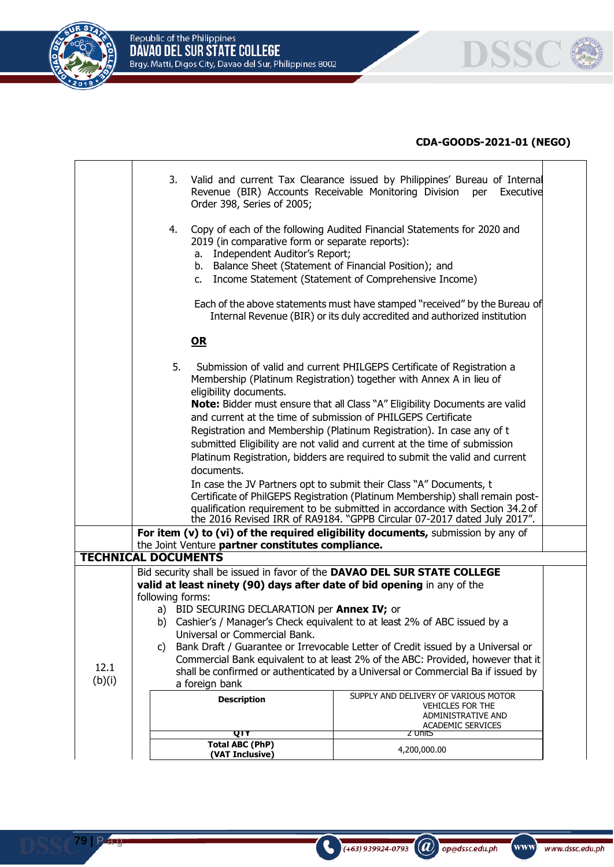





|                | 3.<br>Valid and current Tax Clearance issued by Philippines' Bureau of Internal<br>Revenue (BIR) Accounts Receivable Monitoring Division per Executive<br>Order 398, Series of 2005;                                                                                                                                                                                                                                                                                                                                                                 |                                                                                                                                                                                                                                                                                                                                                                                                                                                                                                                                                                                                                                                                                                                                                                                                                                                                                                                                           |  |  |  |  |  |
|----------------|------------------------------------------------------------------------------------------------------------------------------------------------------------------------------------------------------------------------------------------------------------------------------------------------------------------------------------------------------------------------------------------------------------------------------------------------------------------------------------------------------------------------------------------------------|-------------------------------------------------------------------------------------------------------------------------------------------------------------------------------------------------------------------------------------------------------------------------------------------------------------------------------------------------------------------------------------------------------------------------------------------------------------------------------------------------------------------------------------------------------------------------------------------------------------------------------------------------------------------------------------------------------------------------------------------------------------------------------------------------------------------------------------------------------------------------------------------------------------------------------------------|--|--|--|--|--|
|                | 4.<br>2019 (in comparative form or separate reports):<br>Independent Auditor's Report;<br>а. –<br>b. Balance Sheet (Statement of Financial Position); and                                                                                                                                                                                                                                                                                                                                                                                            | Copy of each of the following Audited Financial Statements for 2020 and<br>c. Income Statement (Statement of Comprehensive Income)                                                                                                                                                                                                                                                                                                                                                                                                                                                                                                                                                                                                                                                                                                                                                                                                        |  |  |  |  |  |
|                |                                                                                                                                                                                                                                                                                                                                                                                                                                                                                                                                                      | Each of the above statements must have stamped "received" by the Bureau of<br>Internal Revenue (BIR) or its duly accredited and authorized institution                                                                                                                                                                                                                                                                                                                                                                                                                                                                                                                                                                                                                                                                                                                                                                                    |  |  |  |  |  |
|                | $OR$                                                                                                                                                                                                                                                                                                                                                                                                                                                                                                                                                 |                                                                                                                                                                                                                                                                                                                                                                                                                                                                                                                                                                                                                                                                                                                                                                                                                                                                                                                                           |  |  |  |  |  |
|                | 5.<br>eligibility documents.<br>documents.<br>the Joint Venture partner constitutes compliance.<br><b>TECHNICAL DOCUMENTS</b>                                                                                                                                                                                                                                                                                                                                                                                                                        | Submission of valid and current PHILGEPS Certificate of Registration a<br>Membership (Platinum Registration) together with Annex A in lieu of<br>Note: Bidder must ensure that all Class "A" Eligibility Documents are valid<br>and current at the time of submission of PHILGEPS Certificate<br>Registration and Membership (Platinum Registration). In case any of t<br>submitted Eligibility are not valid and current at the time of submission<br>Platinum Registration, bidders are required to submit the valid and current<br>In case the JV Partners opt to submit their Class "A" Documents, t<br>Certificate of PhilGEPS Registration (Platinum Membership) shall remain post-<br>qualification requirement to be submitted in accordance with Section 34.2 of<br>the 2016 Revised IRR of RA9184. "GPPB Circular 07-2017 dated July 2017".<br>For item (v) to (vi) of the required eligibility documents, submission by any of |  |  |  |  |  |
|                | Bid security shall be issued in favor of the DAVAO DEL SUR STATE COLLEGE                                                                                                                                                                                                                                                                                                                                                                                                                                                                             |                                                                                                                                                                                                                                                                                                                                                                                                                                                                                                                                                                                                                                                                                                                                                                                                                                                                                                                                           |  |  |  |  |  |
| 12.1<br>(b)(i) | valid at least ninety (90) days after date of bid opening in any of the<br>following forms:<br>a) BID SECURING DECLARATION per <b>Annex IV;</b> or<br>b) Cashier's / Manager's Check equivalent to at least 2% of ABC issued by a<br>Universal or Commercial Bank.<br>Bank Draft / Guarantee or Irrevocable Letter of Credit issued by a Universal or<br>C)<br>Commercial Bank equivalent to at least 2% of the ABC: Provided, however that it<br>shall be confirmed or authenticated by a Universal or Commercial Ba if issued by<br>a foreign bank |                                                                                                                                                                                                                                                                                                                                                                                                                                                                                                                                                                                                                                                                                                                                                                                                                                                                                                                                           |  |  |  |  |  |
|                | <b>Description</b>                                                                                                                                                                                                                                                                                                                                                                                                                                                                                                                                   | SUPPLY AND DELIVERY OF VARIOUS MOTOR<br><b>VEHICLES FOR THE</b>                                                                                                                                                                                                                                                                                                                                                                                                                                                                                                                                                                                                                                                                                                                                                                                                                                                                           |  |  |  |  |  |
|                |                                                                                                                                                                                                                                                                                                                                                                                                                                                                                                                                                      | ADMINISTRATIVE AND<br><b>ACADEMIC SERVICES</b>                                                                                                                                                                                                                                                                                                                                                                                                                                                                                                                                                                                                                                                                                                                                                                                                                                                                                            |  |  |  |  |  |
|                | QTY                                                                                                                                                                                                                                                                                                                                                                                                                                                                                                                                                  | 2 UnitS                                                                                                                                                                                                                                                                                                                                                                                                                                                                                                                                                                                                                                                                                                                                                                                                                                                                                                                                   |  |  |  |  |  |
|                | <b>Total ABC (PhP)</b><br>(VAT Inclusive)                                                                                                                                                                                                                                                                                                                                                                                                                                                                                                            | 4,200,000.00                                                                                                                                                                                                                                                                                                                                                                                                                                                                                                                                                                                                                                                                                                                                                                                                                                                                                                                              |  |  |  |  |  |

 $\bigodot$  (+63) 939924-0793 (a) op@dssc.edu.ph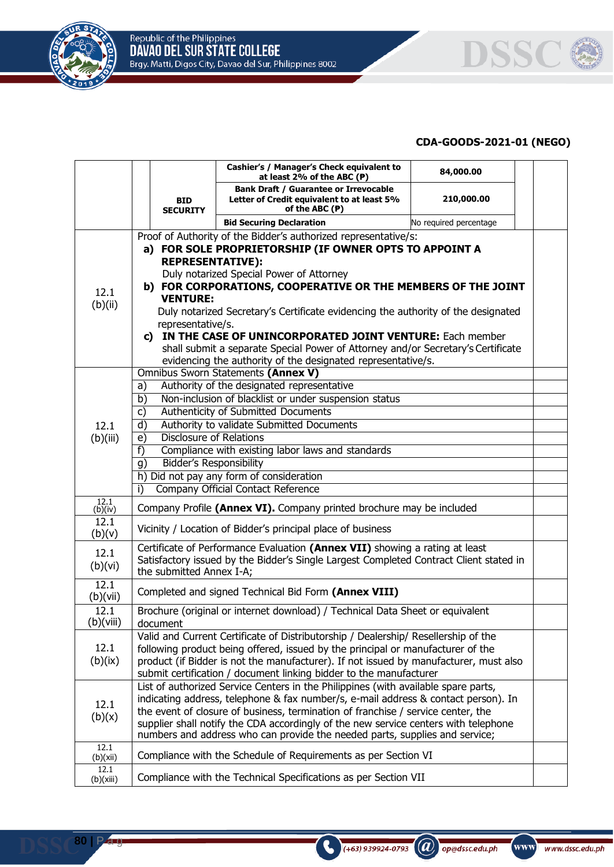



|                                                                                                                                                                                                                                                                                                                                                                                                                                                                                                                                                                                                                                                              |                                                                                                                    |                               | Cashier's / Manager's Check equivalent to<br>at least 2% of the ABC $(P)$                                                                                                                                                                                                                                                                                                                                                                                                                                                                                                                                                                                                                                                                                                                                                                                                                                                                                                                                                                                                                                                                                                                                                                                                                                                                                                                        | 84,000.00              |  |
|--------------------------------------------------------------------------------------------------------------------------------------------------------------------------------------------------------------------------------------------------------------------------------------------------------------------------------------------------------------------------------------------------------------------------------------------------------------------------------------------------------------------------------------------------------------------------------------------------------------------------------------------------------------|--------------------------------------------------------------------------------------------------------------------|-------------------------------|--------------------------------------------------------------------------------------------------------------------------------------------------------------------------------------------------------------------------------------------------------------------------------------------------------------------------------------------------------------------------------------------------------------------------------------------------------------------------------------------------------------------------------------------------------------------------------------------------------------------------------------------------------------------------------------------------------------------------------------------------------------------------------------------------------------------------------------------------------------------------------------------------------------------------------------------------------------------------------------------------------------------------------------------------------------------------------------------------------------------------------------------------------------------------------------------------------------------------------------------------------------------------------------------------------------------------------------------------------------------------------------------------|------------------------|--|
|                                                                                                                                                                                                                                                                                                                                                                                                                                                                                                                                                                                                                                                              |                                                                                                                    | <b>BID</b><br><b>SECURITY</b> | <b>Bank Draft / Guarantee or Irrevocable</b><br>Letter of Credit equivalent to at least 5%<br>of the ABC (P)                                                                                                                                                                                                                                                                                                                                                                                                                                                                                                                                                                                                                                                                                                                                                                                                                                                                                                                                                                                                                                                                                                                                                                                                                                                                                     | 210,000.00             |  |
|                                                                                                                                                                                                                                                                                                                                                                                                                                                                                                                                                                                                                                                              |                                                                                                                    |                               | <b>Bid Securing Declaration</b>                                                                                                                                                                                                                                                                                                                                                                                                                                                                                                                                                                                                                                                                                                                                                                                                                                                                                                                                                                                                                                                                                                                                                                                                                                                                                                                                                                  | No required percentage |  |
|                                                                                                                                                                                                                                                                                                                                                                                                                                                                                                                                                                                                                                                              |                                                                                                                    |                               | Proof of Authority of the Bidder's authorized representative/s:                                                                                                                                                                                                                                                                                                                                                                                                                                                                                                                                                                                                                                                                                                                                                                                                                                                                                                                                                                                                                                                                                                                                                                                                                                                                                                                                  |                        |  |
|                                                                                                                                                                                                                                                                                                                                                                                                                                                                                                                                                                                                                                                              |                                                                                                                    |                               | a) FOR SOLE PROPRIETORSHIP (IF OWNER OPTS TO APPOINT A                                                                                                                                                                                                                                                                                                                                                                                                                                                                                                                                                                                                                                                                                                                                                                                                                                                                                                                                                                                                                                                                                                                                                                                                                                                                                                                                           |                        |  |
|                                                                                                                                                                                                                                                                                                                                                                                                                                                                                                                                                                                                                                                              |                                                                                                                    | <b>REPRESENTATIVE):</b>       |                                                                                                                                                                                                                                                                                                                                                                                                                                                                                                                                                                                                                                                                                                                                                                                                                                                                                                                                                                                                                                                                                                                                                                                                                                                                                                                                                                                                  |                        |  |
|                                                                                                                                                                                                                                                                                                                                                                                                                                                                                                                                                                                                                                                              |                                                                                                                    |                               | Duly notarized Special Power of Attorney                                                                                                                                                                                                                                                                                                                                                                                                                                                                                                                                                                                                                                                                                                                                                                                                                                                                                                                                                                                                                                                                                                                                                                                                                                                                                                                                                         |                        |  |
| 12.1                                                                                                                                                                                                                                                                                                                                                                                                                                                                                                                                                                                                                                                         |                                                                                                                    | <b>VENTURE:</b>               | b) FOR CORPORATIONS, COOPERATIVE OR THE MEMBERS OF THE JOINT                                                                                                                                                                                                                                                                                                                                                                                                                                                                                                                                                                                                                                                                                                                                                                                                                                                                                                                                                                                                                                                                                                                                                                                                                                                                                                                                     |                        |  |
| (b)(ii)                                                                                                                                                                                                                                                                                                                                                                                                                                                                                                                                                                                                                                                      |                                                                                                                    |                               | Duly notarized Secretary's Certificate evidencing the authority of the designated                                                                                                                                                                                                                                                                                                                                                                                                                                                                                                                                                                                                                                                                                                                                                                                                                                                                                                                                                                                                                                                                                                                                                                                                                                                                                                                |                        |  |
|                                                                                                                                                                                                                                                                                                                                                                                                                                                                                                                                                                                                                                                              |                                                                                                                    | representative/s.             |                                                                                                                                                                                                                                                                                                                                                                                                                                                                                                                                                                                                                                                                                                                                                                                                                                                                                                                                                                                                                                                                                                                                                                                                                                                                                                                                                                                                  |                        |  |
|                                                                                                                                                                                                                                                                                                                                                                                                                                                                                                                                                                                                                                                              |                                                                                                                    |                               |                                                                                                                                                                                                                                                                                                                                                                                                                                                                                                                                                                                                                                                                                                                                                                                                                                                                                                                                                                                                                                                                                                                                                                                                                                                                                                                                                                                                  |                        |  |
|                                                                                                                                                                                                                                                                                                                                                                                                                                                                                                                                                                                                                                                              |                                                                                                                    |                               |                                                                                                                                                                                                                                                                                                                                                                                                                                                                                                                                                                                                                                                                                                                                                                                                                                                                                                                                                                                                                                                                                                                                                                                                                                                                                                                                                                                                  |                        |  |
|                                                                                                                                                                                                                                                                                                                                                                                                                                                                                                                                                                                                                                                              |                                                                                                                    |                               |                                                                                                                                                                                                                                                                                                                                                                                                                                                                                                                                                                                                                                                                                                                                                                                                                                                                                                                                                                                                                                                                                                                                                                                                                                                                                                                                                                                                  |                        |  |
|                                                                                                                                                                                                                                                                                                                                                                                                                                                                                                                                                                                                                                                              |                                                                                                                    |                               |                                                                                                                                                                                                                                                                                                                                                                                                                                                                                                                                                                                                                                                                                                                                                                                                                                                                                                                                                                                                                                                                                                                                                                                                                                                                                                                                                                                                  |                        |  |
|                                                                                                                                                                                                                                                                                                                                                                                                                                                                                                                                                                                                                                                              |                                                                                                                    |                               |                                                                                                                                                                                                                                                                                                                                                                                                                                                                                                                                                                                                                                                                                                                                                                                                                                                                                                                                                                                                                                                                                                                                                                                                                                                                                                                                                                                                  |                        |  |
|                                                                                                                                                                                                                                                                                                                                                                                                                                                                                                                                                                                                                                                              |                                                                                                                    |                               |                                                                                                                                                                                                                                                                                                                                                                                                                                                                                                                                                                                                                                                                                                                                                                                                                                                                                                                                                                                                                                                                                                                                                                                                                                                                                                                                                                                                  |                        |  |
|                                                                                                                                                                                                                                                                                                                                                                                                                                                                                                                                                                                                                                                              |                                                                                                                    |                               |                                                                                                                                                                                                                                                                                                                                                                                                                                                                                                                                                                                                                                                                                                                                                                                                                                                                                                                                                                                                                                                                                                                                                                                                                                                                                                                                                                                                  |                        |  |
|                                                                                                                                                                                                                                                                                                                                                                                                                                                                                                                                                                                                                                                              |                                                                                                                    |                               |                                                                                                                                                                                                                                                                                                                                                                                                                                                                                                                                                                                                                                                                                                                                                                                                                                                                                                                                                                                                                                                                                                                                                                                                                                                                                                                                                                                                  |                        |  |
|                                                                                                                                                                                                                                                                                                                                                                                                                                                                                                                                                                                                                                                              |                                                                                                                    |                               |                                                                                                                                                                                                                                                                                                                                                                                                                                                                                                                                                                                                                                                                                                                                                                                                                                                                                                                                                                                                                                                                                                                                                                                                                                                                                                                                                                                                  |                        |  |
|                                                                                                                                                                                                                                                                                                                                                                                                                                                                                                                                                                                                                                                              |                                                                                                                    |                               |                                                                                                                                                                                                                                                                                                                                                                                                                                                                                                                                                                                                                                                                                                                                                                                                                                                                                                                                                                                                                                                                                                                                                                                                                                                                                                                                                                                                  |                        |  |
| Authority of the designated representative<br>a)<br>Non-inclusion of blacklist or under suspension status<br>b)<br>Authenticity of Submitted Documents<br>$\mathsf{c}$<br>Authority to validate Submitted Documents<br>d)<br>12.1<br><b>Disclosure of Relations</b><br>(b)(iii)<br>e)<br>Compliance with existing labor laws and standards<br>f)<br><b>Bidder's Responsibility</b><br>g)<br>h) Did not pay any form of consideration<br>Company Official Contact Reference<br>i)<br>12.1<br>Company Profile (Annex VI). Company printed brochure may be included<br>(b)(iv)<br>12.1<br>Vicinity / Location of Bidder's principal place of business<br>(b)(v) |                                                                                                                    |                               |                                                                                                                                                                                                                                                                                                                                                                                                                                                                                                                                                                                                                                                                                                                                                                                                                                                                                                                                                                                                                                                                                                                                                                                                                                                                                                                                                                                                  |                        |  |
|                                                                                                                                                                                                                                                                                                                                                                                                                                                                                                                                                                                                                                                              |                                                                                                                    |                               |                                                                                                                                                                                                                                                                                                                                                                                                                                                                                                                                                                                                                                                                                                                                                                                                                                                                                                                                                                                                                                                                                                                                                                                                                                                                                                                                                                                                  |                        |  |
|                                                                                                                                                                                                                                                                                                                                                                                                                                                                                                                                                                                                                                                              |                                                                                                                    |                               |                                                                                                                                                                                                                                                                                                                                                                                                                                                                                                                                                                                                                                                                                                                                                                                                                                                                                                                                                                                                                                                                                                                                                                                                                                                                                                                                                                                                  |                        |  |
|                                                                                                                                                                                                                                                                                                                                                                                                                                                                                                                                                                                                                                                              |                                                                                                                    |                               |                                                                                                                                                                                                                                                                                                                                                                                                                                                                                                                                                                                                                                                                                                                                                                                                                                                                                                                                                                                                                                                                                                                                                                                                                                                                                                                                                                                                  |                        |  |
|                                                                                                                                                                                                                                                                                                                                                                                                                                                                                                                                                                                                                                                              |                                                                                                                    |                               |                                                                                                                                                                                                                                                                                                                                                                                                                                                                                                                                                                                                                                                                                                                                                                                                                                                                                                                                                                                                                                                                                                                                                                                                                                                                                                                                                                                                  |                        |  |
| 12.1<br>(b)(vi)                                                                                                                                                                                                                                                                                                                                                                                                                                                                                                                                                                                                                                              | Satisfactory issued by the Bidder's Single Largest Completed Contract Client stated in<br>the submitted Annex I-A; |                               |                                                                                                                                                                                                                                                                                                                                                                                                                                                                                                                                                                                                                                                                                                                                                                                                                                                                                                                                                                                                                                                                                                                                                                                                                                                                                                                                                                                                  |                        |  |
| 12.1<br>(b)(vii)                                                                                                                                                                                                                                                                                                                                                                                                                                                                                                                                                                                                                                             |                                                                                                                    |                               |                                                                                                                                                                                                                                                                                                                                                                                                                                                                                                                                                                                                                                                                                                                                                                                                                                                                                                                                                                                                                                                                                                                                                                                                                                                                                                                                                                                                  |                        |  |
| 12.1<br>(b)(viii)                                                                                                                                                                                                                                                                                                                                                                                                                                                                                                                                                                                                                                            |                                                                                                                    | document                      |                                                                                                                                                                                                                                                                                                                                                                                                                                                                                                                                                                                                                                                                                                                                                                                                                                                                                                                                                                                                                                                                                                                                                                                                                                                                                                                                                                                                  |                        |  |
|                                                                                                                                                                                                                                                                                                                                                                                                                                                                                                                                                                                                                                                              |                                                                                                                    |                               |                                                                                                                                                                                                                                                                                                                                                                                                                                                                                                                                                                                                                                                                                                                                                                                                                                                                                                                                                                                                                                                                                                                                                                                                                                                                                                                                                                                                  |                        |  |
| 12.1                                                                                                                                                                                                                                                                                                                                                                                                                                                                                                                                                                                                                                                         |                                                                                                                    |                               |                                                                                                                                                                                                                                                                                                                                                                                                                                                                                                                                                                                                                                                                                                                                                                                                                                                                                                                                                                                                                                                                                                                                                                                                                                                                                                                                                                                                  |                        |  |
| (b)(ix)                                                                                                                                                                                                                                                                                                                                                                                                                                                                                                                                                                                                                                                      |                                                                                                                    |                               |                                                                                                                                                                                                                                                                                                                                                                                                                                                                                                                                                                                                                                                                                                                                                                                                                                                                                                                                                                                                                                                                                                                                                                                                                                                                                                                                                                                                  |                        |  |
|                                                                                                                                                                                                                                                                                                                                                                                                                                                                                                                                                                                                                                                              |                                                                                                                    |                               |                                                                                                                                                                                                                                                                                                                                                                                                                                                                                                                                                                                                                                                                                                                                                                                                                                                                                                                                                                                                                                                                                                                                                                                                                                                                                                                                                                                                  |                        |  |
|                                                                                                                                                                                                                                                                                                                                                                                                                                                                                                                                                                                                                                                              |                                                                                                                    |                               |                                                                                                                                                                                                                                                                                                                                                                                                                                                                                                                                                                                                                                                                                                                                                                                                                                                                                                                                                                                                                                                                                                                                                                                                                                                                                                                                                                                                  |                        |  |
| 12.1                                                                                                                                                                                                                                                                                                                                                                                                                                                                                                                                                                                                                                                         |                                                                                                                    |                               |                                                                                                                                                                                                                                                                                                                                                                                                                                                                                                                                                                                                                                                                                                                                                                                                                                                                                                                                                                                                                                                                                                                                                                                                                                                                                                                                                                                                  |                        |  |
| (b)(x)                                                                                                                                                                                                                                                                                                                                                                                                                                                                                                                                                                                                                                                       |                                                                                                                    |                               |                                                                                                                                                                                                                                                                                                                                                                                                                                                                                                                                                                                                                                                                                                                                                                                                                                                                                                                                                                                                                                                                                                                                                                                                                                                                                                                                                                                                  |                        |  |
|                                                                                                                                                                                                                                                                                                                                                                                                                                                                                                                                                                                                                                                              |                                                                                                                    |                               | c) IN THE CASE OF UNINCORPORATED JOINT VENTURE: Each member<br>shall submit a separate Special Power of Attorney and/or Secretary's Certificate<br>evidencing the authority of the designated representative/s.<br>Omnibus Sworn Statements (Annex V)<br>Certificate of Performance Evaluation (Annex VII) showing a rating at least<br>Completed and signed Technical Bid Form (Annex VIII)<br>Brochure (original or internet download) / Technical Data Sheet or equivalent<br>Valid and Current Certificate of Distributorship / Dealership/ Resellership of the<br>following product being offered, issued by the principal or manufacturer of the<br>product (if Bidder is not the manufacturer). If not issued by manufacturer, must also<br>submit certification / document linking bidder to the manufacturer<br>List of authorized Service Centers in the Philippines (with available spare parts,<br>indicating address, telephone & fax number/s, e-mail address & contact person). In<br>the event of closure of business, termination of franchise / service center, the<br>supplier shall notify the CDA accordingly of the new service centers with telephone<br>numbers and address who can provide the needed parts, supplies and service;<br>Compliance with the Schedule of Requirements as per Section VI<br>Compliance with the Technical Specifications as per Section VII |                        |  |
| 12.1<br>(b)(xii)                                                                                                                                                                                                                                                                                                                                                                                                                                                                                                                                                                                                                                             |                                                                                                                    |                               |                                                                                                                                                                                                                                                                                                                                                                                                                                                                                                                                                                                                                                                                                                                                                                                                                                                                                                                                                                                                                                                                                                                                                                                                                                                                                                                                                                                                  |                        |  |
| 12.1                                                                                                                                                                                                                                                                                                                                                                                                                                                                                                                                                                                                                                                         |                                                                                                                    |                               |                                                                                                                                                                                                                                                                                                                                                                                                                                                                                                                                                                                                                                                                                                                                                                                                                                                                                                                                                                                                                                                                                                                                                                                                                                                                                                                                                                                                  |                        |  |
| (b)(xiii)                                                                                                                                                                                                                                                                                                                                                                                                                                                                                                                                                                                                                                                    |                                                                                                                    |                               |                                                                                                                                                                                                                                                                                                                                                                                                                                                                                                                                                                                                                                                                                                                                                                                                                                                                                                                                                                                                                                                                                                                                                                                                                                                                                                                                                                                                  |                        |  |

(+63) 939924-0793 (a) op@dssc.edu.ph

www www.dssc.edu.ph